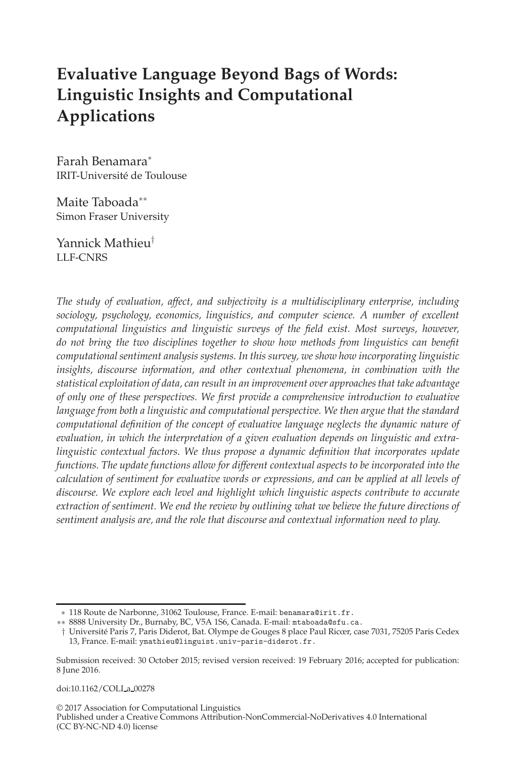# **Evaluative Language Beyond Bags of Words: Linguistic Insights and Computational Applications**

Farah Benamara<sup>∗</sup> IRIT-Université de Toulouse

Maite Taboada∗∗ Simon Fraser University

Yannick Mathieu† LLF-CNRS

*The study of evaluation, affect, and subjectivity is a multidisciplinary enterprise, including sociology, psychology, economics, linguistics, and computer science. A number of excellent computational linguistics and linguistic surveys of the field exist. Most surveys, however, do not bring the two disciplines together to show how methods from linguistics can benefit computational sentiment analysis systems. In this survey, we show how incorporating linguistic insights, discourse information, and other contextual phenomena, in combination with the statistical exploitation of data, can result in an improvement over approaches that take advantage of only one of these perspectives. We first provide a comprehensive introduction to evaluative language from both a linguistic and computational perspective. We then argue that the standard computational definition of the concept of evaluative language neglects the dynamic nature of evaluation, in which the interpretation of a given evaluation depends on linguistic and extralinguistic contextual factors. We thus propose a dynamic definition that incorporates update functions. The update functions allow for different contextual aspects to be incorporated into the calculation of sentiment for evaluative words or expressions, and can be applied at all levels of discourse. We explore each level and highlight which linguistic aspects contribute to accurate extraction of sentiment. We end the review by outlining what we believe the future directions of sentiment analysis are, and the role that discourse and contextual information need to play.*

doi:10.1162/COLI a 00278

© 2017 Association for Computational Linguistics

Published under a Creative Commons Attribution-NonCommercial-NoDerivatives 4.0 International (CC BY-NC-ND 4.0) license

<sup>∗</sup> 118 Route de Narbonne, 31062 Toulouse, France. E-mail: benamara@irit.fr.

<sup>∗∗</sup> 8888 University Dr., Burnaby, BC, V5A 1S6, Canada. E-mail: mtaboada@sfu.ca.

<sup>†</sup> Universit´e Paris 7, Paris Diderot, Bat. Olympe de Gouges 8 place Paul Ricœr, case 7031, 75205 Paris Cedex 13, France. E-mail: ymathieu@linguist.univ-paris-diderot.fr.

Submission received: 30 October 2015; revised version received: 19 February 2016; accepted for publication: 8 June 2016.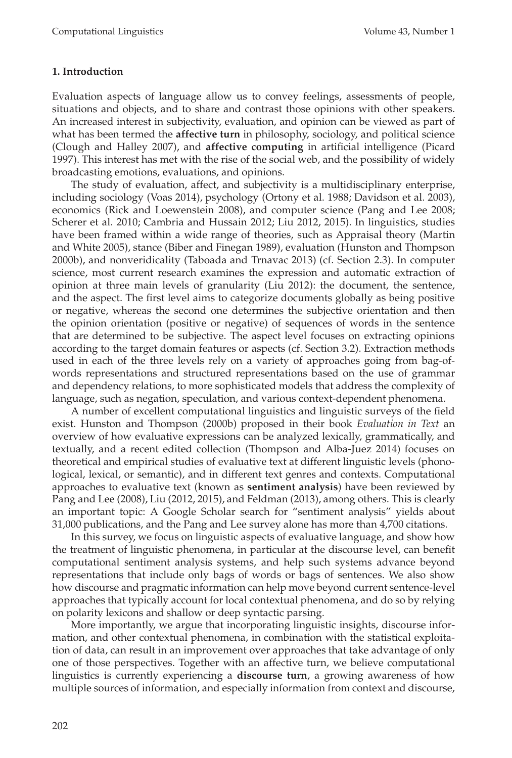## **1. Introduction**

Evaluation aspects of language allow us to convey feelings, assessments of people, situations and objects, and to share and contrast those opinions with other speakers. An increased interest in subjectivity, evaluation, and opinion can be viewed as part of what has been termed the **affective turn** in philosophy, sociology, and political science (Clough and Halley 2007), and **affective computing** in artificial intelligence (Picard 1997). This interest has met with the rise of the social web, and the possibility of widely broadcasting emotions, evaluations, and opinions.

The study of evaluation, affect, and subjectivity is a multidisciplinary enterprise, including sociology (Voas 2014), psychology (Ortony et al. 1988; Davidson et al. 2003), economics (Rick and Loewenstein 2008), and computer science (Pang and Lee 2008; Scherer et al. 2010; Cambria and Hussain 2012; Liu 2012, 2015). In linguistics, studies have been framed within a wide range of theories, such as Appraisal theory (Martin and White 2005), stance (Biber and Finegan 1989), evaluation (Hunston and Thompson 2000b), and nonveridicality (Taboada and Trnavac 2013) (cf. Section 2.3). In computer science, most current research examines the expression and automatic extraction of opinion at three main levels of granularity (Liu 2012): the document, the sentence, and the aspect. The first level aims to categorize documents globally as being positive or negative, whereas the second one determines the subjective orientation and then the opinion orientation (positive or negative) of sequences of words in the sentence that are determined to be subjective. The aspect level focuses on extracting opinions according to the target domain features or aspects (cf. Section 3.2). Extraction methods used in each of the three levels rely on a variety of approaches going from bag-ofwords representations and structured representations based on the use of grammar and dependency relations, to more sophisticated models that address the complexity of language, such as negation, speculation, and various context-dependent phenomena.

A number of excellent computational linguistics and linguistic surveys of the field exist. Hunston and Thompson (2000b) proposed in their book *Evaluation in Text* an overview of how evaluative expressions can be analyzed lexically, grammatically, and textually, and a recent edited collection (Thompson and Alba-Juez 2014) focuses on theoretical and empirical studies of evaluative text at different linguistic levels (phonological, lexical, or semantic), and in different text genres and contexts. Computational approaches to evaluative text (known as **sentiment analysis**) have been reviewed by Pang and Lee (2008), Liu (2012, 2015), and Feldman (2013), among others. This is clearly an important topic: A Google Scholar search for "sentiment analysis" yields about 31,000 publications, and the Pang and Lee survey alone has more than 4,700 citations.

In this survey, we focus on linguistic aspects of evaluative language, and show how the treatment of linguistic phenomena, in particular at the discourse level, can benefit computational sentiment analysis systems, and help such systems advance beyond representations that include only bags of words or bags of sentences. We also show how discourse and pragmatic information can help move beyond current sentence-level approaches that typically account for local contextual phenomena, and do so by relying on polarity lexicons and shallow or deep syntactic parsing.

More importantly, we argue that incorporating linguistic insights, discourse information, and other contextual phenomena, in combination with the statistical exploitation of data, can result in an improvement over approaches that take advantage of only one of those perspectives. Together with an affective turn, we believe computational linguistics is currently experiencing a **discourse turn**, a growing awareness of how multiple sources of information, and especially information from context and discourse,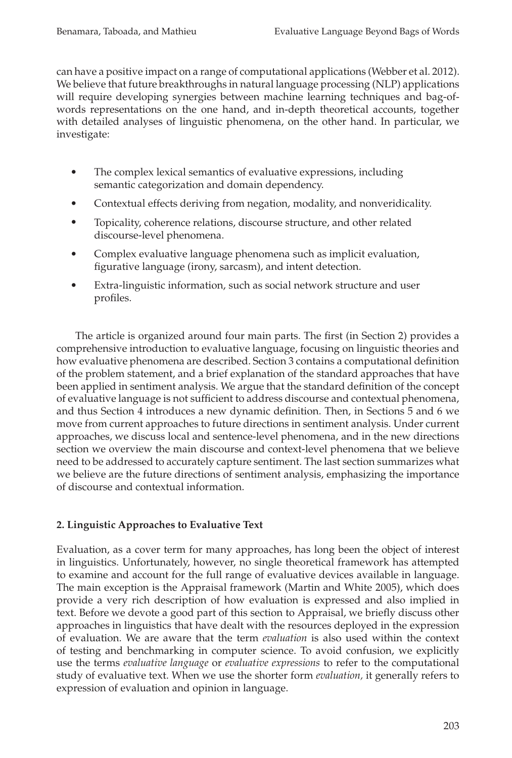can have a positive impact on a range of computational applications (Webber et al. 2012). We believe that future breakthroughs in natural language processing (NLP) applications will require developing synergies between machine learning techniques and bag-ofwords representations on the one hand, and in-depth theoretical accounts, together with detailed analyses of linguistic phenomena, on the other hand. In particular, we investigate:

- The complex lexical semantics of evaluative expressions, including semantic categorization and domain dependency.
- Contextual effects deriving from negation, modality, and nonveridicality.
- Topicality, coherence relations, discourse structure, and other related discourse-level phenomena.
- Complex evaluative language phenomena such as implicit evaluation, figurative language (irony, sarcasm), and intent detection.
- Extra-linguistic information, such as social network structure and user profiles.

The article is organized around four main parts. The first (in Section 2) provides a comprehensive introduction to evaluative language, focusing on linguistic theories and how evaluative phenomena are described. Section 3 contains a computational definition of the problem statement, and a brief explanation of the standard approaches that have been applied in sentiment analysis. We argue that the standard definition of the concept of evaluative language is not sufficient to address discourse and contextual phenomena, and thus Section 4 introduces a new dynamic definition. Then, in Sections 5 and 6 we move from current approaches to future directions in sentiment analysis. Under current approaches, we discuss local and sentence-level phenomena, and in the new directions section we overview the main discourse and context-level phenomena that we believe need to be addressed to accurately capture sentiment. The last section summarizes what we believe are the future directions of sentiment analysis, emphasizing the importance of discourse and contextual information.

# **2. Linguistic Approaches to Evaluative Text**

Evaluation, as a cover term for many approaches, has long been the object of interest in linguistics. Unfortunately, however, no single theoretical framework has attempted to examine and account for the full range of evaluative devices available in language. The main exception is the Appraisal framework (Martin and White 2005), which does provide a very rich description of how evaluation is expressed and also implied in text. Before we devote a good part of this section to Appraisal, we briefly discuss other approaches in linguistics that have dealt with the resources deployed in the expression of evaluation. We are aware that the term *evaluation* is also used within the context of testing and benchmarking in computer science. To avoid confusion, we explicitly use the terms *evaluative language* or *evaluative expressions* to refer to the computational study of evaluative text. When we use the shorter form *evaluation,* it generally refers to expression of evaluation and opinion in language.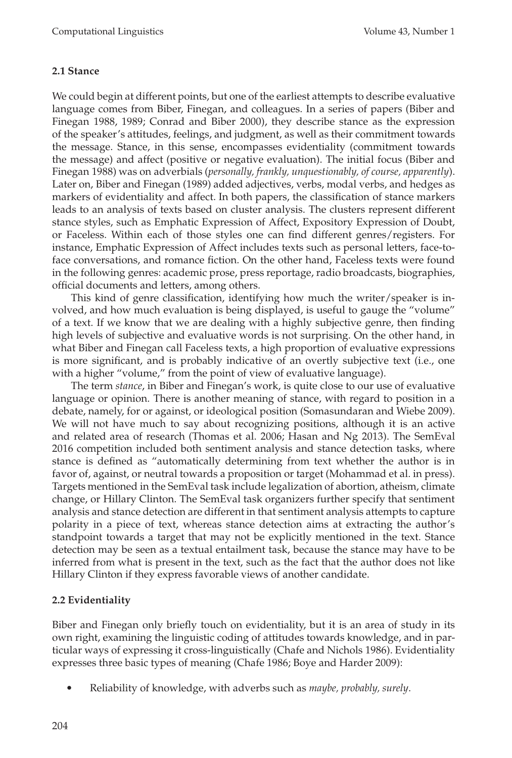## **2.1 Stance**

We could begin at different points, but one of the earliest attempts to describe evaluative language comes from Biber, Finegan, and colleagues. In a series of papers (Biber and Finegan 1988, 1989; Conrad and Biber 2000), they describe stance as the expression of the speaker's attitudes, feelings, and judgment, as well as their commitment towards the message. Stance, in this sense, encompasses evidentiality (commitment towards the message) and affect (positive or negative evaluation). The initial focus (Biber and Finegan 1988) was on adverbials (*personally, frankly, unquestionably, of course, apparently*). Later on, Biber and Finegan (1989) added adjectives, verbs, modal verbs, and hedges as markers of evidentiality and affect. In both papers, the classification of stance markers leads to an analysis of texts based on cluster analysis. The clusters represent different stance styles, such as Emphatic Expression of Affect, Expository Expression of Doubt, or Faceless. Within each of those styles one can find different genres/registers. For instance, Emphatic Expression of Affect includes texts such as personal letters, face-toface conversations, and romance fiction. On the other hand, Faceless texts were found in the following genres: academic prose, press reportage, radio broadcasts, biographies, official documents and letters, among others.

This kind of genre classification, identifying how much the writer/speaker is involved, and how much evaluation is being displayed, is useful to gauge the "volume" of a text. If we know that we are dealing with a highly subjective genre, then finding high levels of subjective and evaluative words is not surprising. On the other hand, in what Biber and Finegan call Faceless texts, a high proportion of evaluative expressions is more significant, and is probably indicative of an overtly subjective text (i.e., one with a higher "volume," from the point of view of evaluative language).

The term *stance*, in Biber and Finegan's work, is quite close to our use of evaluative language or opinion. There is another meaning of stance, with regard to position in a debate, namely, for or against, or ideological position (Somasundaran and Wiebe 2009). We will not have much to say about recognizing positions, although it is an active and related area of research (Thomas et al. 2006; Hasan and Ng 2013). The SemEval 2016 competition included both sentiment analysis and stance detection tasks, where stance is defined as "automatically determining from text whether the author is in favor of, against, or neutral towards a proposition or target (Mohammad et al. in press). Targets mentioned in the SemEval task include legalization of abortion, atheism, climate change, or Hillary Clinton. The SemEval task organizers further specify that sentiment analysis and stance detection are different in that sentiment analysis attempts to capture polarity in a piece of text, whereas stance detection aims at extracting the author's standpoint towards a target that may not be explicitly mentioned in the text. Stance detection may be seen as a textual entailment task, because the stance may have to be inferred from what is present in the text, such as the fact that the author does not like Hillary Clinton if they express favorable views of another candidate.

# **2.2 Evidentiality**

Biber and Finegan only briefly touch on evidentiality, but it is an area of study in its own right, examining the linguistic coding of attitudes towards knowledge, and in particular ways of expressing it cross-linguistically (Chafe and Nichols 1986). Evidentiality expresses three basic types of meaning (Chafe 1986; Boye and Harder 2009):

r Reliability of knowledge, with adverbs such as *maybe, probably, surely*.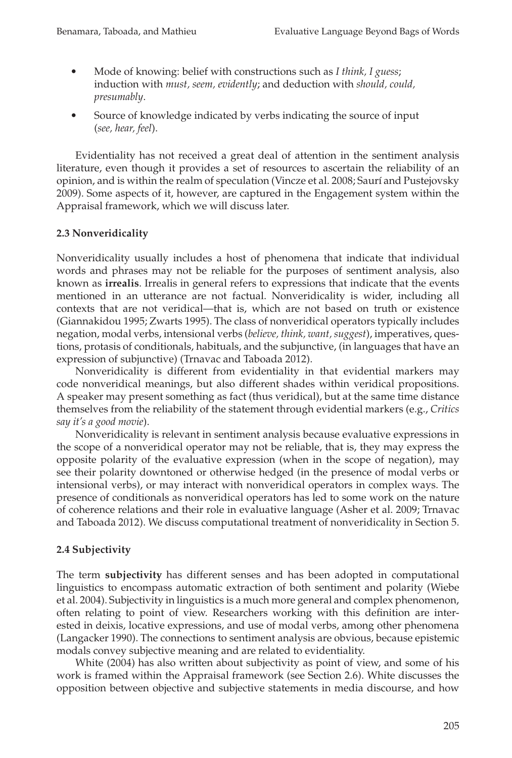- Mode of knowing: belief with constructions such as *I think*, *I guess*; induction with *must, seem, evidently*; and deduction with *should, could, presumably*.
- Source of knowledge indicated by verbs indicating the source of input (*see, hear, feel*).

Evidentiality has not received a great deal of attention in the sentiment analysis literature, even though it provides a set of resources to ascertain the reliability of an opinion, and is within the realm of speculation (Vincze et al. 2008; Saurí and Pustejovsky 2009). Some aspects of it, however, are captured in the Engagement system within the Appraisal framework, which we will discuss later.

#### **2.3 Nonveridicality**

Nonveridicality usually includes a host of phenomena that indicate that individual words and phrases may not be reliable for the purposes of sentiment analysis, also known as **irrealis**. Irrealis in general refers to expressions that indicate that the events mentioned in an utterance are not factual. Nonveridicality is wider, including all contexts that are not veridical—that is, which are not based on truth or existence (Giannakidou 1995; Zwarts 1995). The class of nonveridical operators typically includes negation, modal verbs, intensional verbs (*believe, think, want, suggest*), imperatives, questions, protasis of conditionals, habituals, and the subjunctive, (in languages that have an expression of subjunctive) (Trnavac and Taboada 2012).

Nonveridicality is different from evidentiality in that evidential markers may code nonveridical meanings, but also different shades within veridical propositions. A speaker may present something as fact (thus veridical), but at the same time distance themselves from the reliability of the statement through evidential markers (e.g., *Critics say it's a good movie*).

Nonveridicality is relevant in sentiment analysis because evaluative expressions in the scope of a nonveridical operator may not be reliable, that is, they may express the opposite polarity of the evaluative expression (when in the scope of negation), may see their polarity downtoned or otherwise hedged (in the presence of modal verbs or intensional verbs), or may interact with nonveridical operators in complex ways. The presence of conditionals as nonveridical operators has led to some work on the nature of coherence relations and their role in evaluative language (Asher et al. 2009; Trnavac and Taboada 2012). We discuss computational treatment of nonveridicality in Section 5.

## **2.4 Subjectivity**

The term **subjectivity** has different senses and has been adopted in computational linguistics to encompass automatic extraction of both sentiment and polarity (Wiebe et al. 2004). Subjectivity in linguistics is a much more general and complex phenomenon, often relating to point of view. Researchers working with this definition are interested in deixis, locative expressions, and use of modal verbs, among other phenomena (Langacker 1990). The connections to sentiment analysis are obvious, because epistemic modals convey subjective meaning and are related to evidentiality.

White (2004) has also written about subjectivity as point of view, and some of his work is framed within the Appraisal framework (see Section 2.6). White discusses the opposition between objective and subjective statements in media discourse, and how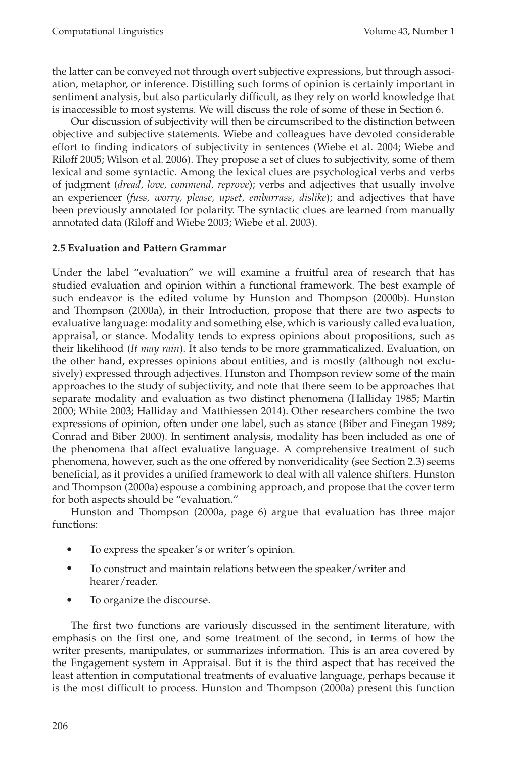the latter can be conveyed not through overt subjective expressions, but through association, metaphor, or inference. Distilling such forms of opinion is certainly important in sentiment analysis, but also particularly difficult, as they rely on world knowledge that is inaccessible to most systems. We will discuss the role of some of these in Section 6.

Our discussion of subjectivity will then be circumscribed to the distinction between objective and subjective statements. Wiebe and colleagues have devoted considerable effort to finding indicators of subjectivity in sentences (Wiebe et al. 2004; Wiebe and Riloff 2005; Wilson et al. 2006). They propose a set of clues to subjectivity, some of them lexical and some syntactic. Among the lexical clues are psychological verbs and verbs of judgment (*dread, love, commend, reprove*); verbs and adjectives that usually involve an experiencer (*fuss, worry, please, upset, embarrass, dislike*); and adjectives that have been previously annotated for polarity. The syntactic clues are learned from manually annotated data (Riloff and Wiebe 2003; Wiebe et al. 2003).

## **2.5 Evaluation and Pattern Grammar**

Under the label "evaluation" we will examine a fruitful area of research that has studied evaluation and opinion within a functional framework. The best example of such endeavor is the edited volume by Hunston and Thompson (2000b). Hunston and Thompson (2000a), in their Introduction, propose that there are two aspects to evaluative language: modality and something else, which is variously called evaluation, appraisal, or stance. Modality tends to express opinions about propositions, such as their likelihood (*It may rain*). It also tends to be more grammaticalized. Evaluation, on the other hand, expresses opinions about entities, and is mostly (although not exclusively) expressed through adjectives. Hunston and Thompson review some of the main approaches to the study of subjectivity, and note that there seem to be approaches that separate modality and evaluation as two distinct phenomena (Halliday 1985; Martin 2000; White 2003; Halliday and Matthiessen 2014). Other researchers combine the two expressions of opinion, often under one label, such as stance (Biber and Finegan 1989; Conrad and Biber 2000). In sentiment analysis, modality has been included as one of the phenomena that affect evaluative language. A comprehensive treatment of such phenomena, however, such as the one offered by nonveridicality (see Section 2.3) seems beneficial, as it provides a unified framework to deal with all valence shifters. Hunston and Thompson (2000a) espouse a combining approach, and propose that the cover term for both aspects should be "evaluation."

Hunston and Thompson (2000a, page 6) argue that evaluation has three major functions:

- To express the speaker's or writer's opinion.
- To construct and maintain relations between the speaker/writer and hearer/reader.
- To organize the discourse.

The first two functions are variously discussed in the sentiment literature, with emphasis on the first one, and some treatment of the second, in terms of how the writer presents, manipulates, or summarizes information. This is an area covered by the Engagement system in Appraisal. But it is the third aspect that has received the least attention in computational treatments of evaluative language, perhaps because it is the most difficult to process. Hunston and Thompson (2000a) present this function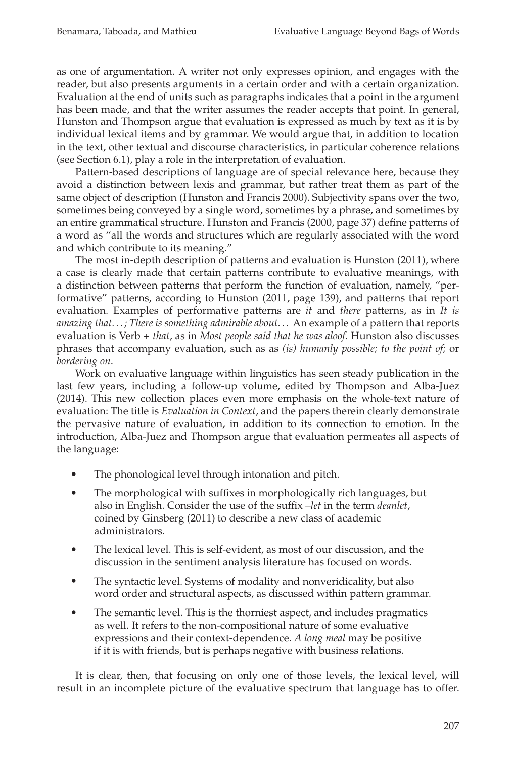as one of argumentation. A writer not only expresses opinion, and engages with the reader, but also presents arguments in a certain order and with a certain organization. Evaluation at the end of units such as paragraphs indicates that a point in the argument has been made, and that the writer assumes the reader accepts that point. In general, Hunston and Thompson argue that evaluation is expressed as much by text as it is by individual lexical items and by grammar. We would argue that, in addition to location in the text, other textual and discourse characteristics, in particular coherence relations (see Section 6.1), play a role in the interpretation of evaluation.

Pattern-based descriptions of language are of special relevance here, because they avoid a distinction between lexis and grammar, but rather treat them as part of the same object of description (Hunston and Francis 2000). Subjectivity spans over the two, sometimes being conveyed by a single word, sometimes by a phrase, and sometimes by an entire grammatical structure. Hunston and Francis (2000, page 37) define patterns of a word as "all the words and structures which are regularly associated with the word and which contribute to its meaning."

The most in-depth description of patterns and evaluation is Hunston (2011), where a case is clearly made that certain patterns contribute to evaluative meanings, with a distinction between patterns that perform the function of evaluation, namely, "performative" patterns, according to Hunston (2011, page 139), and patterns that report evaluation. Examples of performative patterns are *it* and *there* patterns, as in *It is amazing that. . . ; There is something admirable about. . .* An example of a pattern that reports evaluation is Verb + *that*, as in *Most people said that he was aloof*. Hunston also discusses phrases that accompany evaluation, such as as *(is) humanly possible; to the point of;* or *bordering on*.

Work on evaluative language within linguistics has seen steady publication in the last few years, including a follow-up volume, edited by Thompson and Alba-Juez (2014). This new collection places even more emphasis on the whole-text nature of evaluation: The title is *Evaluation in Context*, and the papers therein clearly demonstrate the pervasive nature of evaluation, in addition to its connection to emotion. In the introduction, Alba-Juez and Thompson argue that evaluation permeates all aspects of the language:

- The phonological level through intonation and pitch.
- The morphological with suffixes in morphologically rich languages, but also in English. Consider the use of the suffix *–let* in the term *deanlet*, coined by Ginsberg (2011) to describe a new class of academic administrators.
- The lexical level. This is self-evident, as most of our discussion, and the discussion in the sentiment analysis literature has focused on words.
- The syntactic level. Systems of modality and nonveridicality, but also word order and structural aspects, as discussed within pattern grammar.
- The semantic level. This is the thorniest aspect, and includes pragmatics as well. It refers to the non-compositional nature of some evaluative expressions and their context-dependence. *A long meal* may be positive if it is with friends, but is perhaps negative with business relations.

It is clear, then, that focusing on only one of those levels, the lexical level, will result in an incomplete picture of the evaluative spectrum that language has to offer.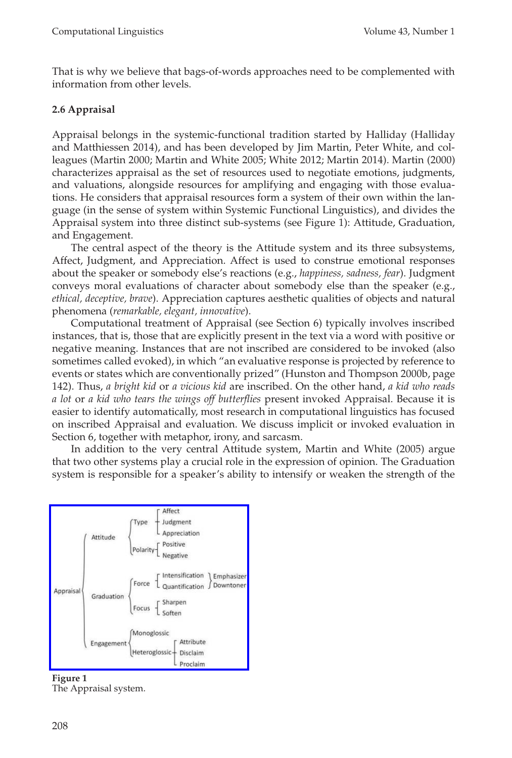That is why we believe that bags-of-words approaches need to be complemented with information from other levels.

# **2.6 Appraisal**

Appraisal belongs in the systemic-functional tradition started by Halliday (Halliday and Matthiessen 2014), and has been developed by Jim Martin, Peter White, and colleagues (Martin 2000; Martin and White 2005; White 2012; Martin 2014). Martin (2000) characterizes appraisal as the set of resources used to negotiate emotions, judgments, and valuations, alongside resources for amplifying and engaging with those evaluations. He considers that appraisal resources form a system of their own within the language (in the sense of system within Systemic Functional Linguistics), and divides the Appraisal system into three distinct sub-systems (see Figure 1): Attitude, Graduation, and Engagement.

The central aspect of the theory is the Attitude system and its three subsystems, Affect, Judgment, and Appreciation. Affect is used to construe emotional responses about the speaker or somebody else's reactions (e.g., *happiness, sadness, fear*). Judgment conveys moral evaluations of character about somebody else than the speaker (e.g., *ethical, deceptive, brave*). Appreciation captures aesthetic qualities of objects and natural phenomena (*remarkable, elegant, innovative*).

Computational treatment of Appraisal (see Section 6) typically involves inscribed instances, that is, those that are explicitly present in the text via a word with positive or negative meaning. Instances that are not inscribed are considered to be invoked (also sometimes called evoked), in which "an evaluative response is projected by reference to events or states which are conventionally prized" (Hunston and Thompson 2000b, page 142). Thus, *a bright kid* or *a vicious kid* are inscribed. On the other hand, *a kid who reads a lot* or *a kid who tears the wings off butterflies* present invoked Appraisal. Because it is easier to identify automatically, most research in computational linguistics has focused on inscribed Appraisal and evaluation. We discuss implicit or invoked evaluation in Section 6, together with metaphor, irony, and sarcasm.

In addition to the very central Attitude system, Martin and White (2005) argue that two other systems play a crucial role in the expression of opinion. The Graduation system is responsible for a speaker's ability to intensify or weaken the strength of the



**Figure 1** The Appraisal system.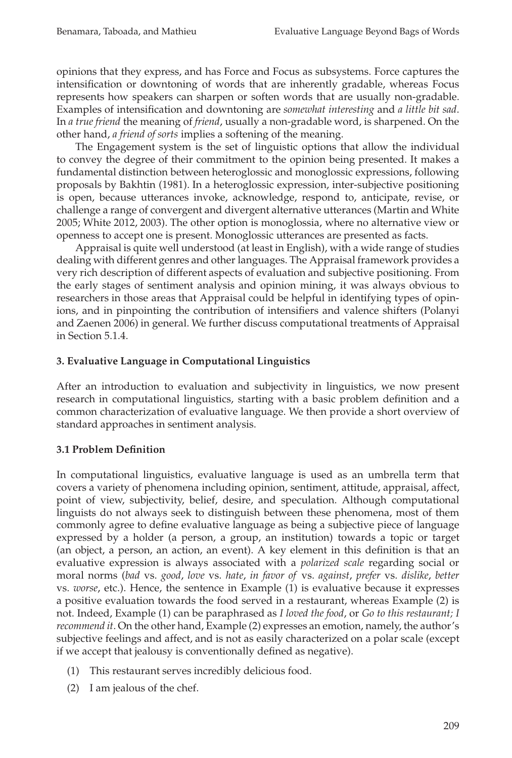opinions that they express, and has Force and Focus as subsystems. Force captures the intensification or downtoning of words that are inherently gradable, whereas Focus represents how speakers can sharpen or soften words that are usually non-gradable. Examples of intensification and downtoning are *somewhat interesting* and *a little bit sad*. In *a true friend* the meaning of *friend*, usually a non-gradable word, is sharpened. On the other hand, *a friend of sorts* implies a softening of the meaning.

The Engagement system is the set of linguistic options that allow the individual to convey the degree of their commitment to the opinion being presented. It makes a fundamental distinction between heteroglossic and monoglossic expressions, following proposals by Bakhtin (1981). In a heteroglossic expression, inter-subjective positioning is open, because utterances invoke, acknowledge, respond to, anticipate, revise, or challenge a range of convergent and divergent alternative utterances (Martin and White 2005; White 2012, 2003). The other option is monoglossia, where no alternative view or openness to accept one is present. Monoglossic utterances are presented as facts.

Appraisal is quite well understood (at least in English), with a wide range of studies dealing with different genres and other languages. The Appraisal framework provides a very rich description of different aspects of evaluation and subjective positioning. From the early stages of sentiment analysis and opinion mining, it was always obvious to researchers in those areas that Appraisal could be helpful in identifying types of opinions, and in pinpointing the contribution of intensifiers and valence shifters (Polanyi and Zaenen 2006) in general. We further discuss computational treatments of Appraisal in Section 5.1.4.

## **3. Evaluative Language in Computational Linguistics**

After an introduction to evaluation and subjectivity in linguistics, we now present research in computational linguistics, starting with a basic problem definition and a common characterization of evaluative language. We then provide a short overview of standard approaches in sentiment analysis.

## **3.1 Problem Definition**

In computational linguistics, evaluative language is used as an umbrella term that covers a variety of phenomena including opinion, sentiment, attitude, appraisal, affect, point of view, subjectivity, belief, desire, and speculation. Although computational linguists do not always seek to distinguish between these phenomena, most of them commonly agree to define evaluative language as being a subjective piece of language expressed by a holder (a person, a group, an institution) towards a topic or target (an object, a person, an action, an event). A key element in this definition is that an evaluative expression is always associated with a *polarized scale* regarding social or moral norms (*bad* vs. *good*, *love* vs. *hate*, *in favor of* vs. *against*, *prefer* vs. *dislike*, *better* vs. *worse*, etc.). Hence, the sentence in Example (1) is evaluative because it expresses a positive evaluation towards the food served in a restaurant, whereas Example (2) is not. Indeed, Example (1) can be paraphrased as *I loved the food*, or *Go to this restaurant; I recommend it*. On the other hand, Example (2) expresses an emotion, namely, the author's subjective feelings and affect, and is not as easily characterized on a polar scale (except if we accept that jealousy is conventionally defined as negative).

- (1) This restaurant serves incredibly delicious food.
- (2) I am jealous of the chef.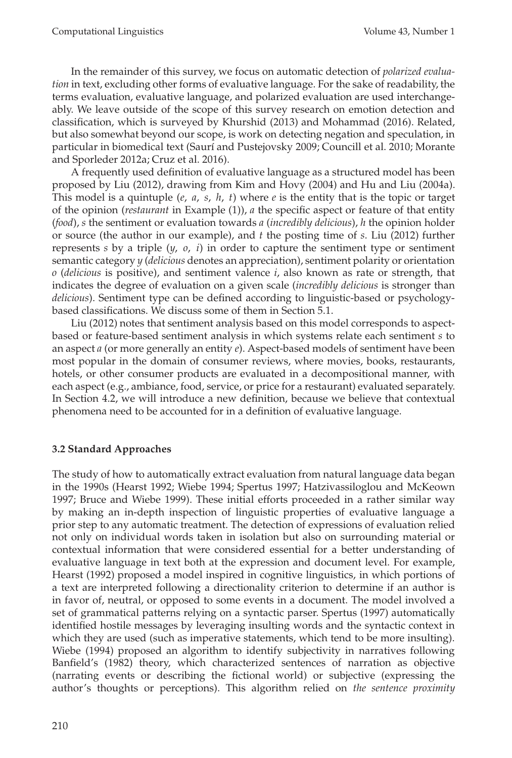In the remainder of this survey, we focus on automatic detection of *polarized evaluation* in text, excluding other forms of evaluative language. For the sake of readability, the terms evaluation, evaluative language, and polarized evaluation are used interchangeably. We leave outside of the scope of this survey research on emotion detection and classification, which is surveyed by Khurshid (2013) and Mohammad (2016). Related, but also somewhat beyond our scope, is work on detecting negation and speculation, in particular in biomedical text (Saurí and Pustejovsky 2009; Councill et al. 2010; Morante and Sporleder 2012a; Cruz et al. 2016).

A frequently used definition of evaluative language as a structured model has been proposed by Liu (2012), drawing from Kim and Hovy (2004) and Hu and Liu (2004a). This model is a quintuple (*e*, *a*, *s*, *h*, *t*) where *e* is the entity that is the topic or target of the opinion (*restaurant* in Example (1)), *a* the specific aspect or feature of that entity (*food*), *s* the sentiment or evaluation towards *a* (*incredibly delicious*), *h* the opinion holder or source (the author in our example), and *t* the posting time of *s*. Liu (2012) further represents *s* by a triple  $(y, o, i)$  in order to capture the sentiment type or sentiment semantic category *y* (*delicious* denotes an appreciation), sentiment polarity or orientation *o* (*delicious* is positive), and sentiment valence *i*, also known as rate or strength, that indicates the degree of evaluation on a given scale (*incredibly delicious* is stronger than *delicious*). Sentiment type can be defined according to linguistic-based or psychologybased classifications. We discuss some of them in Section 5.1.

Liu (2012) notes that sentiment analysis based on this model corresponds to aspectbased or feature-based sentiment analysis in which systems relate each sentiment *s* to an aspect *a* (or more generally an entity *e*). Aspect-based models of sentiment have been most popular in the domain of consumer reviews, where movies, books, restaurants, hotels, or other consumer products are evaluated in a decompositional manner, with each aspect (e.g., ambiance, food, service, or price for a restaurant) evaluated separately. In Section 4.2, we will introduce a new definition, because we believe that contextual phenomena need to be accounted for in a definition of evaluative language.

## **3.2 Standard Approaches**

The study of how to automatically extract evaluation from natural language data began in the 1990s (Hearst 1992; Wiebe 1994; Spertus 1997; Hatzivassiloglou and McKeown 1997; Bruce and Wiebe 1999). These initial efforts proceeded in a rather similar way by making an in-depth inspection of linguistic properties of evaluative language a prior step to any automatic treatment. The detection of expressions of evaluation relied not only on individual words taken in isolation but also on surrounding material or contextual information that were considered essential for a better understanding of evaluative language in text both at the expression and document level. For example, Hearst (1992) proposed a model inspired in cognitive linguistics, in which portions of a text are interpreted following a directionality criterion to determine if an author is in favor of, neutral, or opposed to some events in a document. The model involved a set of grammatical patterns relying on a syntactic parser. Spertus (1997) automatically identified hostile messages by leveraging insulting words and the syntactic context in which they are used (such as imperative statements, which tend to be more insulting). Wiebe (1994) proposed an algorithm to identify subjectivity in narratives following Banfield's (1982) theory, which characterized sentences of narration as objective (narrating events or describing the fictional world) or subjective (expressing the author's thoughts or perceptions). This algorithm relied on *the sentence proximity*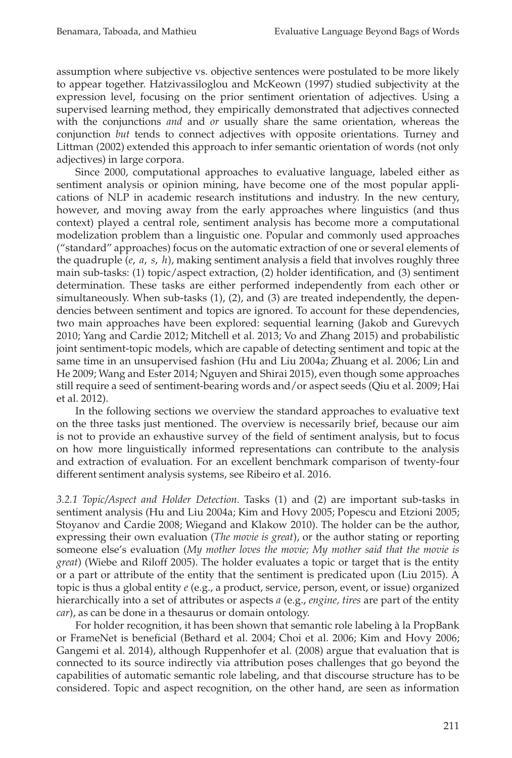assumption where subjective vs. objective sentences were postulated to be more likely to appear together. Hatzivassiloglou and McKeown (1997) studied subjectivity at the expression level, focusing on the prior sentiment orientation of adjectives. Using a supervised learning method, they empirically demonstrated that adjectives connected with the conjunctions *and* and *or* usually share the same orientation, whereas the conjunction *but* tends to connect adjectives with opposite orientations. Turney and Littman (2002) extended this approach to infer semantic orientation of words (not only adjectives) in large corpora.

Since 2000, computational approaches to evaluative language, labeled either as sentiment analysis or opinion mining, have become one of the most popular applications of NLP in academic research institutions and industry. In the new century, however, and moving away from the early approaches where linguistics (and thus context) played a central role, sentiment analysis has become more a computational modelization problem than a linguistic one. Popular and commonly used approaches ("standard" approaches) focus on the automatic extraction of one or several elements of the quadruple (*e*, *a*, *s*, *h*), making sentiment analysis a field that involves roughly three main sub-tasks: (1) topic/aspect extraction, (2) holder identification, and (3) sentiment determination. These tasks are either performed independently from each other or simultaneously. When sub-tasks (1), (2), and (3) are treated independently, the dependencies between sentiment and topics are ignored. To account for these dependencies, two main approaches have been explored: sequential learning (Jakob and Gurevych 2010; Yang and Cardie 2012; Mitchell et al. 2013; Vo and Zhang 2015) and probabilistic joint sentiment-topic models, which are capable of detecting sentiment and topic at the same time in an unsupervised fashion (Hu and Liu 2004a; Zhuang et al. 2006; Lin and He 2009; Wang and Ester 2014; Nguyen and Shirai 2015), even though some approaches still require a seed of sentiment-bearing words and/or aspect seeds (Qiu et al. 2009; Hai et al. 2012).

In the following sections we overview the standard approaches to evaluative text on the three tasks just mentioned. The overview is necessarily brief, because our aim is not to provide an exhaustive survey of the field of sentiment analysis, but to focus on how more linguistically informed representations can contribute to the analysis and extraction of evaluation. For an excellent benchmark comparison of twenty-four different sentiment analysis systems, see Ribeiro et al. 2016.

*3.2.1 Topic/Aspect and Holder Detection.* Tasks (1) and (2) are important sub-tasks in sentiment analysis (Hu and Liu 2004a; Kim and Hovy 2005; Popescu and Etzioni 2005; Stoyanov and Cardie 2008; Wiegand and Klakow 2010). The holder can be the author, expressing their own evaluation (*The movie is great*), or the author stating or reporting someone else's evaluation (*My mother loves the movie; My mother said that the movie is great*) (Wiebe and Riloff 2005). The holder evaluates a topic or target that is the entity or a part or attribute of the entity that the sentiment is predicated upon (Liu 2015). A topic is thus a global entity *e* (e.g., a product, service, person, event, or issue) organized hierarchically into a set of attributes or aspects *a* (e.g., *engine, tires* are part of the entity *car*), as can be done in a thesaurus or domain ontology.

For holder recognition, it has been shown that semantic role labeling à la PropBank or FrameNet is beneficial (Bethard et al. 2004; Choi et al. 2006; Kim and Hovy 2006; Gangemi et al. 2014), although Ruppenhofer et al. (2008) argue that evaluation that is connected to its source indirectly via attribution poses challenges that go beyond the capabilities of automatic semantic role labeling, and that discourse structure has to be considered. Topic and aspect recognition, on the other hand, are seen as information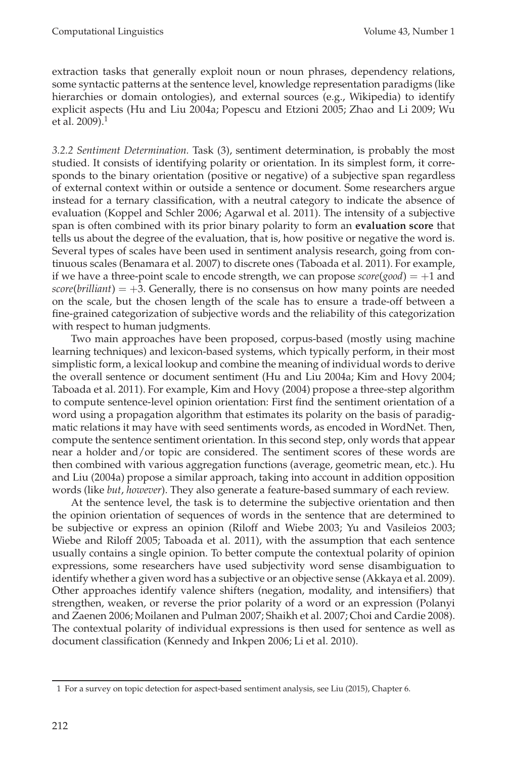extraction tasks that generally exploit noun or noun phrases, dependency relations, some syntactic patterns at the sentence level, knowledge representation paradigms (like hierarchies or domain ontologies), and external sources (e.g., Wikipedia) to identify explicit aspects (Hu and Liu 2004a; Popescu and Etzioni 2005; Zhao and Li 2009; Wu et al. 2009).<sup>1</sup>

*3.2.2 Sentiment Determination.* Task (3), sentiment determination, is probably the most studied. It consists of identifying polarity or orientation. In its simplest form, it corresponds to the binary orientation (positive or negative) of a subjective span regardless of external context within or outside a sentence or document. Some researchers argue instead for a ternary classification, with a neutral category to indicate the absence of evaluation (Koppel and Schler 2006; Agarwal et al. 2011). The intensity of a subjective span is often combined with its prior binary polarity to form an **evaluation score** that tells us about the degree of the evaluation, that is, how positive or negative the word is. Several types of scales have been used in sentiment analysis research, going from continuous scales (Benamara et al. 2007) to discrete ones (Taboada et al. 2011). For example, if we have a three-point scale to encode strength, we can propose  $score(good) = +1$  and  $score(brilliant) = +3$ . Generally, there is no consensus on how many points are needed on the scale, but the chosen length of the scale has to ensure a trade-off between a fine-grained categorization of subjective words and the reliability of this categorization with respect to human judgments.

Two main approaches have been proposed, corpus-based (mostly using machine learning techniques) and lexicon-based systems, which typically perform, in their most simplistic form, a lexical lookup and combine the meaning of individual words to derive the overall sentence or document sentiment (Hu and Liu 2004a; Kim and Hovy 2004; Taboada et al. 2011). For example, Kim and Hovy (2004) propose a three-step algorithm to compute sentence-level opinion orientation: First find the sentiment orientation of a word using a propagation algorithm that estimates its polarity on the basis of paradigmatic relations it may have with seed sentiments words, as encoded in WordNet. Then, compute the sentence sentiment orientation. In this second step, only words that appear near a holder and/or topic are considered. The sentiment scores of these words are then combined with various aggregation functions (average, geometric mean, etc.). Hu and Liu (2004a) propose a similar approach, taking into account in addition opposition words (like *but*, *however*). They also generate a feature-based summary of each review.

At the sentence level, the task is to determine the subjective orientation and then the opinion orientation of sequences of words in the sentence that are determined to be subjective or express an opinion (Riloff and Wiebe 2003; Yu and Vasileios 2003; Wiebe and Riloff 2005; Taboada et al. 2011), with the assumption that each sentence usually contains a single opinion. To better compute the contextual polarity of opinion expressions, some researchers have used subjectivity word sense disambiguation to identify whether a given word has a subjective or an objective sense (Akkaya et al. 2009). Other approaches identify valence shifters (negation, modality, and intensifiers) that strengthen, weaken, or reverse the prior polarity of a word or an expression (Polanyi and Zaenen 2006; Moilanen and Pulman 2007; Shaikh et al. 2007; Choi and Cardie 2008). The contextual polarity of individual expressions is then used for sentence as well as document classification (Kennedy and Inkpen 2006; Li et al. 2010).

<sup>1</sup> For a survey on topic detection for aspect-based sentiment analysis, see Liu (2015), Chapter 6.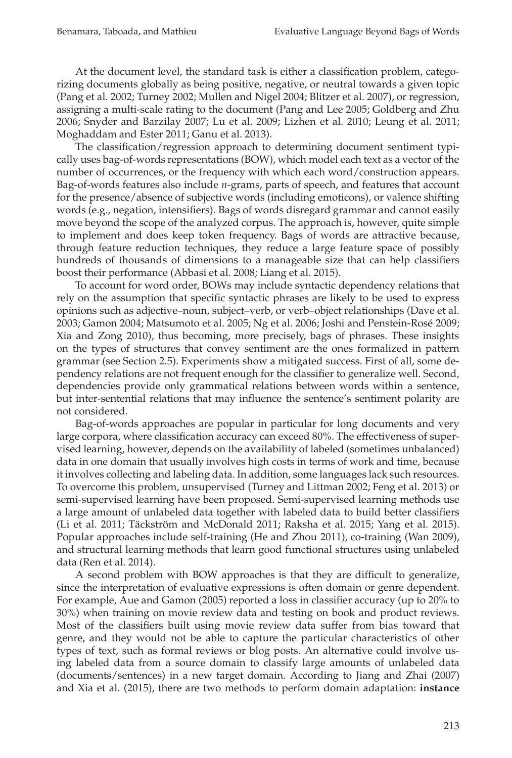At the document level, the standard task is either a classification problem, categorizing documents globally as being positive, negative, or neutral towards a given topic (Pang et al. 2002; Turney 2002; Mullen and Nigel 2004; Blitzer et al. 2007), or regression, assigning a multi-scale rating to the document (Pang and Lee 2005; Goldberg and Zhu 2006; Snyder and Barzilay 2007; Lu et al. 2009; Lizhen et al. 2010; Leung et al. 2011; Moghaddam and Ester 2011; Ganu et al. 2013).

The classification/regression approach to determining document sentiment typically uses bag-of-words representations (BOW), which model each text as a vector of the number of occurrences, or the frequency with which each word/construction appears. Bag-of-words features also include *n*-grams, parts of speech, and features that account for the presence/absence of subjective words (including emoticons), or valence shifting words (e.g., negation, intensifiers). Bags of words disregard grammar and cannot easily move beyond the scope of the analyzed corpus. The approach is, however, quite simple to implement and does keep token frequency. Bags of words are attractive because, through feature reduction techniques, they reduce a large feature space of possibly hundreds of thousands of dimensions to a manageable size that can help classifiers boost their performance (Abbasi et al. 2008; Liang et al. 2015).

To account for word order, BOWs may include syntactic dependency relations that rely on the assumption that specific syntactic phrases are likely to be used to express opinions such as adjective–noun, subject–verb, or verb–object relationships (Dave et al. 2003; Gamon 2004; Matsumoto et al. 2005; Ng et al. 2006; Joshi and Penstein-Rosé 2009; Xia and Zong 2010), thus becoming, more precisely, bags of phrases. These insights on the types of structures that convey sentiment are the ones formalized in pattern grammar (see Section 2.5). Experiments show a mitigated success. First of all, some dependency relations are not frequent enough for the classifier to generalize well. Second, dependencies provide only grammatical relations between words within a sentence, but inter-sentential relations that may influence the sentence's sentiment polarity are not considered.

Bag-of-words approaches are popular in particular for long documents and very large corpora, where classification accuracy can exceed 80%. The effectiveness of supervised learning, however, depends on the availability of labeled (sometimes unbalanced) data in one domain that usually involves high costs in terms of work and time, because it involves collecting and labeling data. In addition, some languages lack such resources. To overcome this problem, unsupervised (Turney and Littman 2002; Feng et al. 2013) or semi-supervised learning have been proposed. Semi-supervised learning methods use a large amount of unlabeled data together with labeled data to build better classifiers (Li et al. 2011; Täckström and McDonald 2011; Raksha et al. 2015; Yang et al. 2015). Popular approaches include self-training (He and Zhou 2011), co-training (Wan 2009), and structural learning methods that learn good functional structures using unlabeled data (Ren et al. 2014).

A second problem with BOW approaches is that they are difficult to generalize, since the interpretation of evaluative expressions is often domain or genre dependent. For example, Aue and Gamon (2005) reported a loss in classifier accuracy (up to 20% to 30%) when training on movie review data and testing on book and product reviews. Most of the classifiers built using movie review data suffer from bias toward that genre, and they would not be able to capture the particular characteristics of other types of text, such as formal reviews or blog posts. An alternative could involve using labeled data from a source domain to classify large amounts of unlabeled data (documents/sentences) in a new target domain. According to Jiang and Zhai (2007) and Xia et al. (2015), there are two methods to perform domain adaptation: **instance**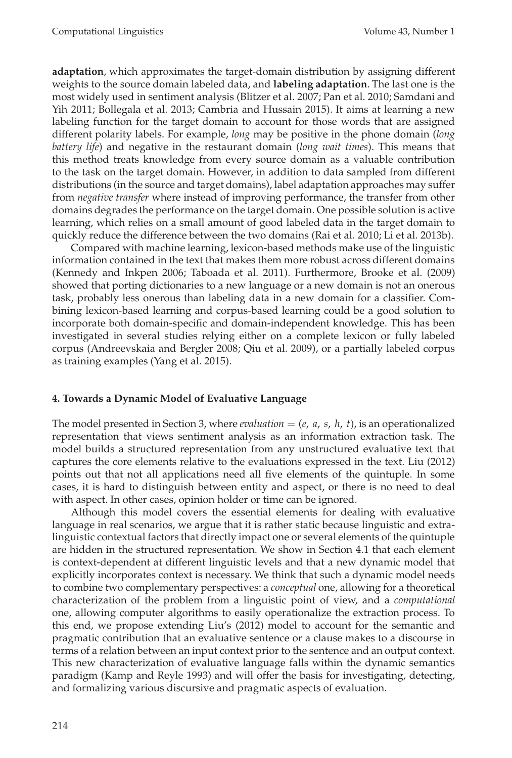**adaptation**, which approximates the target-domain distribution by assigning different weights to the source domain labeled data, and **labeling adaptation**. The last one is the most widely used in sentiment analysis (Blitzer et al. 2007; Pan et al. 2010; Samdani and Yih 2011; Bollegala et al. 2013; Cambria and Hussain 2015). It aims at learning a new labeling function for the target domain to account for those words that are assigned different polarity labels. For example, *long* may be positive in the phone domain (*long battery life*) and negative in the restaurant domain (*long wait times*). This means that this method treats knowledge from every source domain as a valuable contribution to the task on the target domain. However, in addition to data sampled from different distributions (in the source and target domains), label adaptation approaches may suffer from *negative transfer* where instead of improving performance, the transfer from other domains degrades the performance on the target domain. One possible solution is active learning, which relies on a small amount of good labeled data in the target domain to quickly reduce the difference between the two domains (Rai et al. 2010; Li et al. 2013b).

Compared with machine learning, lexicon-based methods make use of the linguistic information contained in the text that makes them more robust across different domains (Kennedy and Inkpen 2006; Taboada et al. 2011). Furthermore, Brooke et al. (2009) showed that porting dictionaries to a new language or a new domain is not an onerous task, probably less onerous than labeling data in a new domain for a classifier. Combining lexicon-based learning and corpus-based learning could be a good solution to incorporate both domain-specific and domain-independent knowledge. This has been investigated in several studies relying either on a complete lexicon or fully labeled corpus (Andreevskaia and Bergler 2008; Qiu et al. 2009), or a partially labeled corpus as training examples (Yang et al. 2015).

## **4. Towards a Dynamic Model of Evaluative Language**

The model presented in Section 3, where *evaluation* = (*e*, *a*, *s*, *h*, *t*), is an operationalized representation that views sentiment analysis as an information extraction task. The model builds a structured representation from any unstructured evaluative text that captures the core elements relative to the evaluations expressed in the text. Liu (2012) points out that not all applications need all five elements of the quintuple. In some cases, it is hard to distinguish between entity and aspect, or there is no need to deal with aspect. In other cases, opinion holder or time can be ignored.

Although this model covers the essential elements for dealing with evaluative language in real scenarios, we argue that it is rather static because linguistic and extralinguistic contextual factors that directly impact one or several elements of the quintuple are hidden in the structured representation. We show in Section 4.1 that each element is context-dependent at different linguistic levels and that a new dynamic model that explicitly incorporates context is necessary. We think that such a dynamic model needs to combine two complementary perspectives: a *conceptual* one, allowing for a theoretical characterization of the problem from a linguistic point of view, and a *computational* one, allowing computer algorithms to easily operationalize the extraction process. To this end, we propose extending Liu's (2012) model to account for the semantic and pragmatic contribution that an evaluative sentence or a clause makes to a discourse in terms of a relation between an input context prior to the sentence and an output context. This new characterization of evaluative language falls within the dynamic semantics paradigm (Kamp and Reyle 1993) and will offer the basis for investigating, detecting, and formalizing various discursive and pragmatic aspects of evaluation.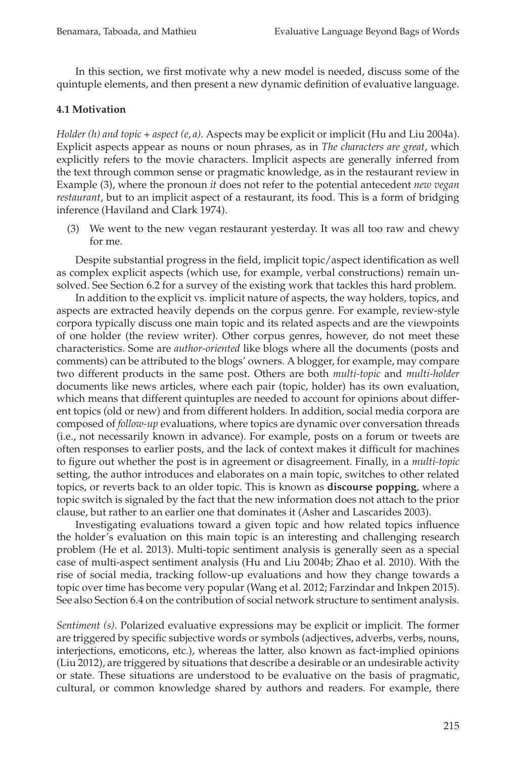In this section, we first motivate why a new model is needed, discuss some of the quintuple elements, and then present a new dynamic definition of evaluative language.

#### **4.1 Motivation**

*Holder (h) and topic + aspect (e*, *a).* Aspects may be explicit or implicit (Hu and Liu 2004a). Explicit aspects appear as nouns or noun phrases, as in *The characters are great*, which explicitly refers to the movie characters. Implicit aspects are generally inferred from the text through common sense or pragmatic knowledge, as in the restaurant review in Example (3), where the pronoun *it* does not refer to the potential antecedent *new vegan restaurant*, but to an implicit aspect of a restaurant, its food. This is a form of bridging inference (Haviland and Clark 1974).

(3) We went to the new vegan restaurant yesterday. It was all too raw and chewy for me.

Despite substantial progress in the field, implicit topic/aspect identification as well as complex explicit aspects (which use, for example, verbal constructions) remain unsolved. See Section 6.2 for a survey of the existing work that tackles this hard problem.

In addition to the explicit vs. implicit nature of aspects, the way holders, topics, and aspects are extracted heavily depends on the corpus genre. For example, review-style corpora typically discuss one main topic and its related aspects and are the viewpoints of one holder (the review writer). Other corpus genres, however, do not meet these characteristics. Some are *author-oriented* like blogs where all the documents (posts and comments) can be attributed to the blogs' owners. A blogger, for example, may compare two different products in the same post. Others are both *multi-topic* and *multi-holder* documents like news articles, where each pair (topic, holder) has its own evaluation, which means that different quintuples are needed to account for opinions about different topics (old or new) and from different holders. In addition, social media corpora are composed of *follow-up* evaluations, where topics are dynamic over conversation threads (i.e., not necessarily known in advance). For example, posts on a forum or tweets are often responses to earlier posts, and the lack of context makes it difficult for machines to figure out whether the post is in agreement or disagreement. Finally, in a *multi-topic* setting, the author introduces and elaborates on a main topic, switches to other related topics, or reverts back to an older topic. This is known as **discourse popping**, where a topic switch is signaled by the fact that the new information does not attach to the prior clause, but rather to an earlier one that dominates it (Asher and Lascarides 2003).

Investigating evaluations toward a given topic and how related topics influence the holder's evaluation on this main topic is an interesting and challenging research problem (He et al. 2013). Multi-topic sentiment analysis is generally seen as a special case of multi-aspect sentiment analysis (Hu and Liu 2004b; Zhao et al. 2010). With the rise of social media, tracking follow-up evaluations and how they change towards a topic over time has become very popular (Wang et al. 2012; Farzindar and Inkpen 2015). See also Section 6.4 on the contribution of social network structure to sentiment analysis.

*Sentiment (s).* Polarized evaluative expressions may be explicit or implicit. The former are triggered by specific subjective words or symbols (adjectives, adverbs, verbs, nouns, interjections, emoticons, etc.), whereas the latter, also known as fact-implied opinions (Liu 2012), are triggered by situations that describe a desirable or an undesirable activity or state. These situations are understood to be evaluative on the basis of pragmatic, cultural, or common knowledge shared by authors and readers. For example, there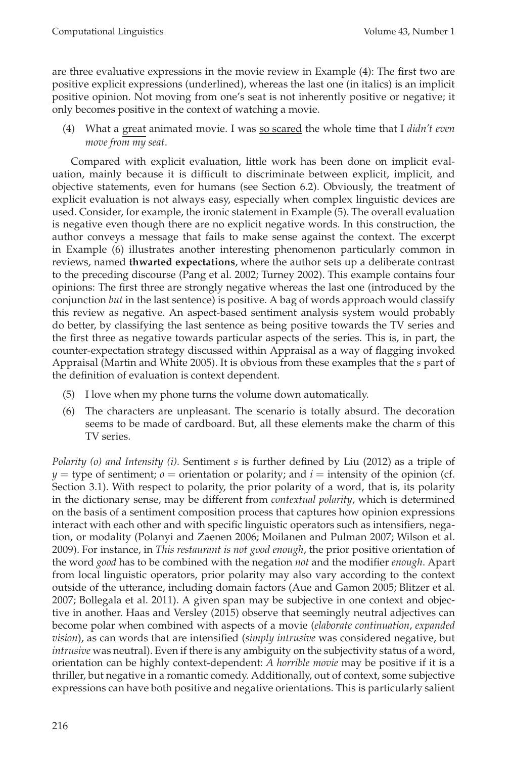are three evaluative expressions in the movie review in Example (4): The first two are positive explicit expressions (underlined), whereas the last one (in italics) is an implicit positive opinion. Not moving from one's seat is not inherently positive or negative; it only becomes positive in the context of watching a movie.

(4) What a great animated movie. I was so scared the whole time that I *didn't even move from my seat*.

Compared with explicit evaluation, little work has been done on implicit evaluation, mainly because it is difficult to discriminate between explicit, implicit, and objective statements, even for humans (see Section 6.2). Obviously, the treatment of explicit evaluation is not always easy, especially when complex linguistic devices are used. Consider, for example, the ironic statement in Example (5). The overall evaluation is negative even though there are no explicit negative words. In this construction, the author conveys a message that fails to make sense against the context. The excerpt in Example (6) illustrates another interesting phenomenon particularly common in reviews, named **thwarted expectations**, where the author sets up a deliberate contrast to the preceding discourse (Pang et al. 2002; Turney 2002). This example contains four opinions: The first three are strongly negative whereas the last one (introduced by the conjunction *but* in the last sentence) is positive. A bag of words approach would classify this review as negative. An aspect-based sentiment analysis system would probably do better, by classifying the last sentence as being positive towards the TV series and the first three as negative towards particular aspects of the series. This is, in part, the counter-expectation strategy discussed within Appraisal as a way of flagging invoked Appraisal (Martin and White 2005). It is obvious from these examples that the *s* part of the definition of evaluation is context dependent.

- (5) I love when my phone turns the volume down automatically.
- (6) The characters are unpleasant. The scenario is totally absurd. The decoration seems to be made of cardboard. But, all these elements make the charm of this TV series.

*Polarity (o) and Intensity (i).* Sentiment *s* is further defined by Liu (2012) as a triple of  $y =$  type of sentiment;  $o =$  orientation or polarity; and  $i =$  intensity of the opinion (cf. Section 3.1). With respect to polarity, the prior polarity of a word, that is, its polarity in the dictionary sense, may be different from *contextual polarity*, which is determined on the basis of a sentiment composition process that captures how opinion expressions interact with each other and with specific linguistic operators such as intensifiers, negation, or modality (Polanyi and Zaenen 2006; Moilanen and Pulman 2007; Wilson et al. 2009). For instance, in *This restaurant is not good enough*, the prior positive orientation of the word *good* has to be combined with the negation *not* and the modifier *enough*. Apart from local linguistic operators, prior polarity may also vary according to the context outside of the utterance, including domain factors (Aue and Gamon 2005; Blitzer et al. 2007; Bollegala et al. 2011). A given span may be subjective in one context and objective in another. Haas and Versley (2015) observe that seemingly neutral adjectives can become polar when combined with aspects of a movie (*elaborate continuation*, *expanded vision*), as can words that are intensified (*simply intrusive* was considered negative, but *intrusive* was neutral). Even if there is any ambiguity on the subjectivity status of a word, orientation can be highly context-dependent: *A horrible movie* may be positive if it is a thriller, but negative in a romantic comedy. Additionally, out of context, some subjective expressions can have both positive and negative orientations. This is particularly salient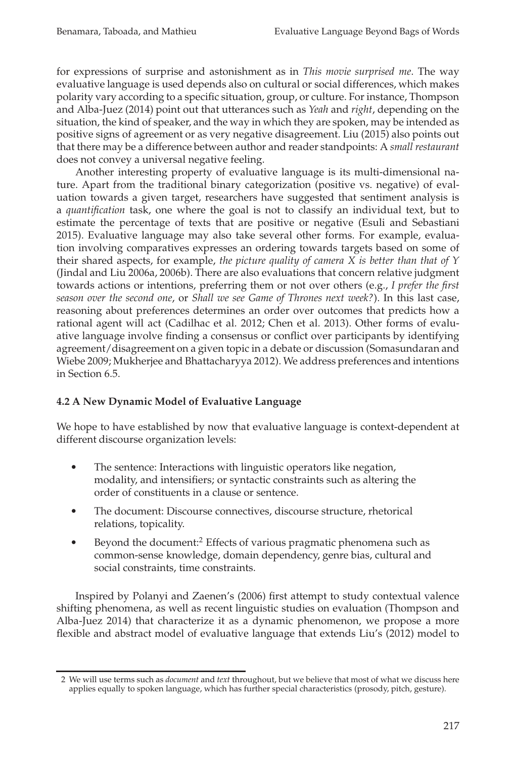for expressions of surprise and astonishment as in *This movie surprised me*. The way evaluative language is used depends also on cultural or social differences, which makes polarity vary according to a specific situation, group, or culture. For instance, Thompson and Alba-Juez (2014) point out that utterances such as *Yeah* and *right*, depending on the situation, the kind of speaker, and the way in which they are spoken, may be intended as positive signs of agreement or as very negative disagreement. Liu (2015) also points out that there may be a difference between author and reader standpoints: A *small restaurant* does not convey a universal negative feeling.

Another interesting property of evaluative language is its multi-dimensional nature. Apart from the traditional binary categorization (positive vs. negative) of evaluation towards a given target, researchers have suggested that sentiment analysis is a *quantification* task, one where the goal is not to classify an individual text, but to estimate the percentage of texts that are positive or negative (Esuli and Sebastiani 2015). Evaluative language may also take several other forms. For example, evaluation involving comparatives expresses an ordering towards targets based on some of their shared aspects, for example, *the picture quality of camera X is better than that of Y* (Jindal and Liu 2006a, 2006b). There are also evaluations that concern relative judgment towards actions or intentions, preferring them or not over others (e.g., *I prefer the first season over the second one*, or *Shall we see Game of Thrones next week?*). In this last case, reasoning about preferences determines an order over outcomes that predicts how a rational agent will act (Cadilhac et al. 2012; Chen et al. 2013). Other forms of evaluative language involve finding a consensus or conflict over participants by identifying agreement/disagreement on a given topic in a debate or discussion (Somasundaran and Wiebe 2009; Mukherjee and Bhattacharyya 2012). We address preferences and intentions in Section 6.5.

## **4.2 A New Dynamic Model of Evaluative Language**

We hope to have established by now that evaluative language is context-dependent at different discourse organization levels:

- The sentence: Interactions with linguistic operators like negation, modality, and intensifiers; or syntactic constraints such as altering the order of constituents in a clause or sentence.
- The document: Discourse connectives, discourse structure, rhetorical relations, topicality.
- **•** Beyond the document:<sup>2</sup> Effects of various pragmatic phenomena such as common-sense knowledge, domain dependency, genre bias, cultural and social constraints, time constraints.

Inspired by Polanyi and Zaenen's (2006) first attempt to study contextual valence shifting phenomena, as well as recent linguistic studies on evaluation (Thompson and Alba-Juez 2014) that characterize it as a dynamic phenomenon, we propose a more flexible and abstract model of evaluative language that extends Liu's (2012) model to

<sup>2</sup> We will use terms such as *document* and *text* throughout, but we believe that most of what we discuss here applies equally to spoken language, which has further special characteristics (prosody, pitch, gesture).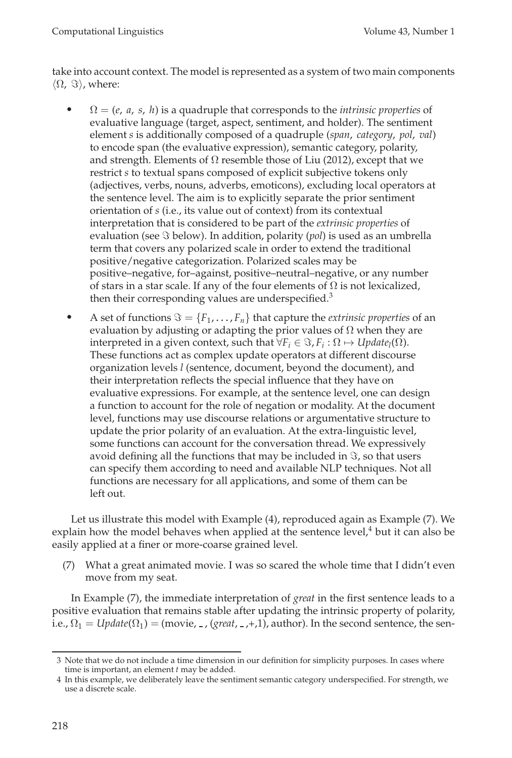take into account context. The model is represented as a system of two main components  $\langle \Omega, \Im \rangle$ , where:

- $\Omega = (e, a, s, h)$  is a quadruple that corresponds to the *intrinsic properties* of evaluative language (target, aspect, sentiment, and holder). The sentiment element *s* is additionally composed of a quadruple (*span*, *category*, *pol*, *val*) to encode span (the evaluative expression), semantic category, polarity, and strength. Elements of  $\Omega$  resemble those of Liu (2012), except that we restrict *s* to textual spans composed of explicit subjective tokens only (adjectives, verbs, nouns, adverbs, emoticons), excluding local operators at the sentence level. The aim is to explicitly separate the prior sentiment orientation of *s* (i.e., its value out of context) from its contextual interpretation that is considered to be part of the *extrinsic properties* of evaluation (see ℑ below). In addition, polarity (*pol*) is used as an umbrella term that covers any polarized scale in order to extend the traditional positive/negative categorization. Polarized scales may be positive–negative, for–against, positive–neutral–negative, or any number of stars in a star scale. If any of the four elements of  $\Omega$  is not lexicalized, then their corresponding values are underspecified.<sup>3</sup>
- A set of functions  $\Im = \{F_1, \ldots, F_n\}$  that capture the *extrinsic properties* of an evaluation by adjusting or adapting the prior values of  $\Omega$  when they are interpreted in a given context, such that  $\forall F_i \in \Im$ ,  $F_i : \Omega \mapsto \text{Update}_l(\Omega)$ . These functions act as complex update operators at different discourse organization levels *l* (sentence, document, beyond the document), and their interpretation reflects the special influence that they have on evaluative expressions. For example, at the sentence level, one can design a function to account for the role of negation or modality. At the document level, functions may use discourse relations or argumentative structure to update the prior polarity of an evaluation. At the extra-linguistic level, some functions can account for the conversation thread. We expressively avoid defining all the functions that may be included in  $\Im$ , so that users can specify them according to need and available NLP techniques. Not all functions are necessary for all applications, and some of them can be left out.

Let us illustrate this model with Example (4), reproduced again as Example (7). We explain how the model behaves when applied at the sentence level, $4$  but it can also be easily applied at a finer or more-coarse grained level.

(7) What a great animated movie. I was so scared the whole time that I didn't even move from my seat.

In Example (7), the immediate interpretation of *great* in the first sentence leads to a positive evaluation that remains stable after updating the intrinsic property of polarity, i.e.,  $\Omega_1 = Update(\Omega_1) = (movie, -, (great, -, +, 1), author)$ . In the second sentence, the sen-

<sup>3</sup> Note that we do not include a time dimension in our definition for simplicity purposes. In cases where time is important, an element *t* may be added.

<sup>4</sup> In this example, we deliberately leave the sentiment semantic category underspecified. For strength, we use a discrete scale.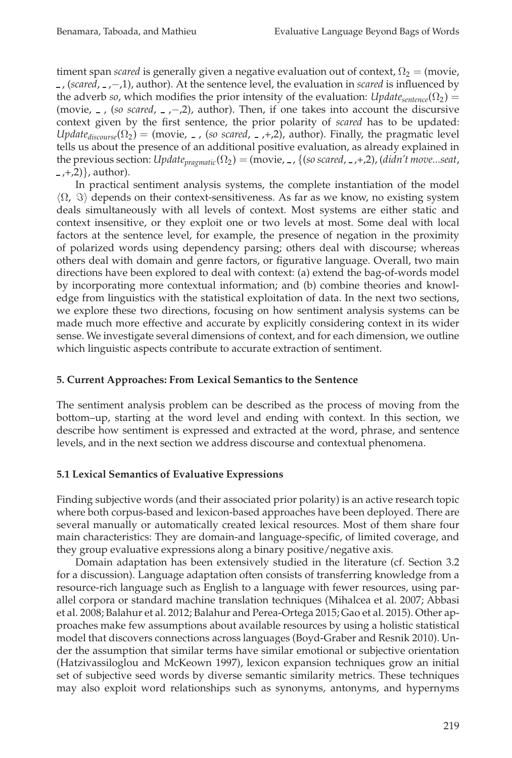timent span *scared* is generally given a negative evaluation out of context,  $\Omega_2$  = (movie, , (*scared*, ,−,1), author). At the sentence level, the evaluation in *scared* is influenced by the adverb *so*, which modifies the prior intensity of the evaluation:  $\text{Update}_{\text{sentence}}(\Omega_2)$  = (movie, , (*so scared*, ,−,2), author). Then, if one takes into account the discursive context given by the first sentence, the prior polarity of *scared* has to be updated: *Update*<sub>discourse</sub>( $\Omega_2$ ) = (movie,  $\Box$ , (*so scared*,  $\Box$ ,+,2), author). Finally, the pragmatic level tells us about the presence of an additional positive evaluation, as already explained in the previous section: *Update*<sub>pragmatic</sub>( $\Omega_2$ ) = (movie,  $\Omega$ , {(so scared,  $\Omega$ , +,2), (*didn't move...seat*,  $(-,+,2)$ , author).

In practical sentiment analysis systems, the complete instantiation of the model  $\langle \Omega, \Im \rangle$  depends on their context-sensitiveness. As far as we know, no existing system deals simultaneously with all levels of context. Most systems are either static and context insensitive, or they exploit one or two levels at most. Some deal with local factors at the sentence level, for example, the presence of negation in the proximity of polarized words using dependency parsing; others deal with discourse; whereas others deal with domain and genre factors, or figurative language. Overall, two main directions have been explored to deal with context: (a) extend the bag-of-words model by incorporating more contextual information; and (b) combine theories and knowledge from linguistics with the statistical exploitation of data. In the next two sections, we explore these two directions, focusing on how sentiment analysis systems can be made much more effective and accurate by explicitly considering context in its wider sense. We investigate several dimensions of context, and for each dimension, we outline which linguistic aspects contribute to accurate extraction of sentiment.

## **5. Current Approaches: From Lexical Semantics to the Sentence**

The sentiment analysis problem can be described as the process of moving from the bottom–up, starting at the word level and ending with context. In this section, we describe how sentiment is expressed and extracted at the word, phrase, and sentence levels, and in the next section we address discourse and contextual phenomena.

## **5.1 Lexical Semantics of Evaluative Expressions**

Finding subjective words (and their associated prior polarity) is an active research topic where both corpus-based and lexicon-based approaches have been deployed. There are several manually or automatically created lexical resources. Most of them share four main characteristics: They are domain-and language-specific, of limited coverage, and they group evaluative expressions along a binary positive/negative axis.

Domain adaptation has been extensively studied in the literature (cf. Section 3.2 for a discussion). Language adaptation often consists of transferring knowledge from a resource-rich language such as English to a language with fewer resources, using parallel corpora or standard machine translation techniques (Mihalcea et al. 2007; Abbasi et al. 2008; Balahur et al. 2012; Balahur and Perea-Ortega 2015; Gao et al. 2015). Other approaches make few assumptions about available resources by using a holistic statistical model that discovers connections across languages (Boyd-Graber and Resnik 2010). Under the assumption that similar terms have similar emotional or subjective orientation (Hatzivassiloglou and McKeown 1997), lexicon expansion techniques grow an initial set of subjective seed words by diverse semantic similarity metrics. These techniques may also exploit word relationships such as synonyms, antonyms, and hypernyms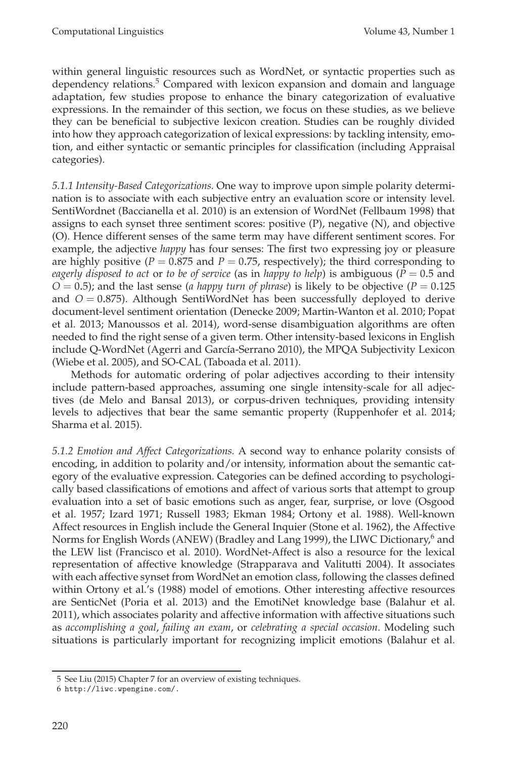within general linguistic resources such as WordNet, or syntactic properties such as dependency relations.<sup>5</sup> Compared with lexicon expansion and domain and language adaptation, few studies propose to enhance the binary categorization of evaluative expressions. In the remainder of this section, we focus on these studies, as we believe they can be beneficial to subjective lexicon creation. Studies can be roughly divided into how they approach categorization of lexical expressions: by tackling intensity, emotion, and either syntactic or semantic principles for classification (including Appraisal categories).

*5.1.1 Intensity-Based Categorizations.* One way to improve upon simple polarity determination is to associate with each subjective entry an evaluation score or intensity level. SentiWordnet (Baccianella et al. 2010) is an extension of WordNet (Fellbaum 1998) that assigns to each synset three sentiment scores: positive (P), negative (N), and objective (O). Hence different senses of the same term may have different sentiment scores. For example, the adjective *happy* has four senses: The first two expressing joy or pleasure are highly positive ( $P = 0.875$  and  $P = 0.75$ , respectively); the third corresponding to *eagerly disposed to act* or *to be of service* (as in *happy to help*) is ambiguous ( $P = 0.5$  and  $O = 0.5$ ); and the last sense (*a happy turn of phrase*) is likely to be objective ( $P = 0.125$ ) and  $O = 0.875$ ). Although SentiWordNet has been successfully deployed to derive document-level sentiment orientation (Denecke 2009; Martin-Wanton et al. 2010; Popat et al. 2013; Manoussos et al. 2014), word-sense disambiguation algorithms are often needed to find the right sense of a given term. Other intensity-based lexicons in English include Q-WordNet (Agerri and García-Serrano 2010), the MPQA Subjectivity Lexicon (Wiebe et al. 2005), and SO-CAL (Taboada et al. 2011).

Methods for automatic ordering of polar adjectives according to their intensity include pattern-based approaches, assuming one single intensity-scale for all adjectives (de Melo and Bansal 2013), or corpus-driven techniques, providing intensity levels to adjectives that bear the same semantic property (Ruppenhofer et al. 2014; Sharma et al. 2015).

*5.1.2 Emotion and Affect Categorizations.* A second way to enhance polarity consists of encoding, in addition to polarity and/or intensity, information about the semantic category of the evaluative expression. Categories can be defined according to psychologically based classifications of emotions and affect of various sorts that attempt to group evaluation into a set of basic emotions such as anger, fear, surprise, or love (Osgood et al. 1957; Izard 1971; Russell 1983; Ekman 1984; Ortony et al. 1988). Well-known Affect resources in English include the General Inquier (Stone et al. 1962), the Affective Norms for English Words (ANEW) (Bradley and Lang 1999), the LIWC Dictionary,<sup>6</sup> and the LEW list (Francisco et al. 2010). WordNet-Affect is also a resource for the lexical representation of affective knowledge (Strapparava and Valitutti 2004). It associates with each affective synset from WordNet an emotion class, following the classes defined within Ortony et al.'s (1988) model of emotions. Other interesting affective resources are SenticNet (Poria et al. 2013) and the EmotiNet knowledge base (Balahur et al. 2011), which associates polarity and affective information with affective situations such as *accomplishing a goal*, *failing an exam*, or *celebrating a special occasion*. Modeling such situations is particularly important for recognizing implicit emotions (Balahur et al.

<sup>5</sup> See Liu (2015) Chapter 7 for an overview of existing techniques.

<sup>6</sup> http://liwc.wpengine.com/.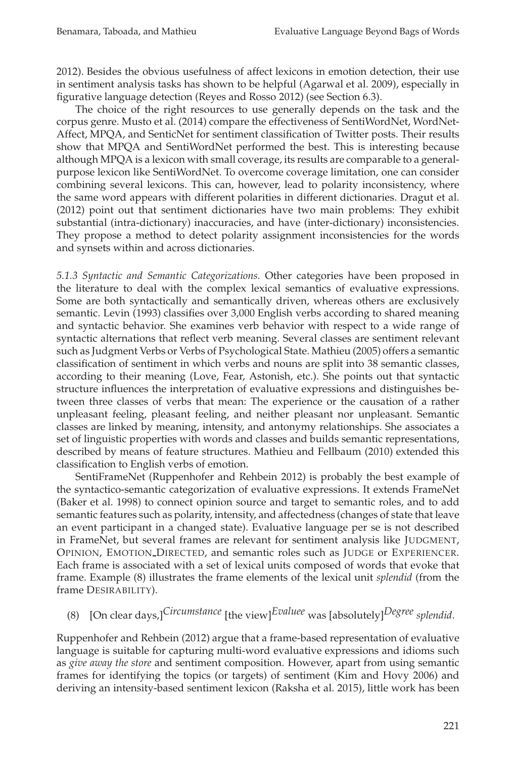2012). Besides the obvious usefulness of affect lexicons in emotion detection, their use in sentiment analysis tasks has shown to be helpful (Agarwal et al. 2009), especially in figurative language detection (Reyes and Rosso 2012) (see Section 6.3).

The choice of the right resources to use generally depends on the task and the corpus genre. Musto et al. (2014) compare the effectiveness of SentiWordNet, WordNet-Affect, MPQA, and SenticNet for sentiment classification of Twitter posts. Their results show that MPQA and SentiWordNet performed the best. This is interesting because although MPQA is a lexicon with small coverage, its results are comparable to a generalpurpose lexicon like SentiWordNet. To overcome coverage limitation, one can consider combining several lexicons. This can, however, lead to polarity inconsistency, where the same word appears with different polarities in different dictionaries. Dragut et al. (2012) point out that sentiment dictionaries have two main problems: They exhibit substantial (intra-dictionary) inaccuracies, and have (inter-dictionary) inconsistencies. They propose a method to detect polarity assignment inconsistencies for the words and synsets within and across dictionaries.

*5.1.3 Syntactic and Semantic Categorizations.* Other categories have been proposed in the literature to deal with the complex lexical semantics of evaluative expressions. Some are both syntactically and semantically driven, whereas others are exclusively semantic. Levin (1993) classifies over 3,000 English verbs according to shared meaning and syntactic behavior. She examines verb behavior with respect to a wide range of syntactic alternations that reflect verb meaning. Several classes are sentiment relevant such as Judgment Verbs or Verbs of Psychological State. Mathieu (2005) offers a semantic classification of sentiment in which verbs and nouns are split into 38 semantic classes, according to their meaning (Love, Fear, Astonish, etc.). She points out that syntactic structure influences the interpretation of evaluative expressions and distinguishes between three classes of verbs that mean: The experience or the causation of a rather unpleasant feeling, pleasant feeling, and neither pleasant nor unpleasant. Semantic classes are linked by meaning, intensity, and antonymy relationships. She associates a set of linguistic properties with words and classes and builds semantic representations, described by means of feature structures. Mathieu and Fellbaum (2010) extended this classification to English verbs of emotion.

SentiFrameNet (Ruppenhofer and Rehbein 2012) is probably the best example of the syntactico-semantic categorization of evaluative expressions. It extends FrameNet (Baker et al. 1998) to connect opinion source and target to semantic roles, and to add semantic features such as polarity, intensity, and affectedness (changes of state that leave an event participant in a changed state). Evaluative language per se is not described in FrameNet, but several frames are relevant for sentiment analysis like JUDGMENT, OPINION, EMOTION DIRECTED, and semantic roles such as JUDGE or EXPERIENCER. Each frame is associated with a set of lexical units composed of words that evoke that frame. Example (8) illustrates the frame elements of the lexical unit *splendid* (from the frame DESIRABILITY).

(8) [On clear days,]*Circumstance* [the view]*Evaluee* was [absolutely]*Degree splendid*.

Ruppenhofer and Rehbein (2012) argue that a frame-based representation of evaluative language is suitable for capturing multi-word evaluative expressions and idioms such as *give away the store* and sentiment composition. However, apart from using semantic frames for identifying the topics (or targets) of sentiment (Kim and Hovy 2006) and deriving an intensity-based sentiment lexicon (Raksha et al. 2015), little work has been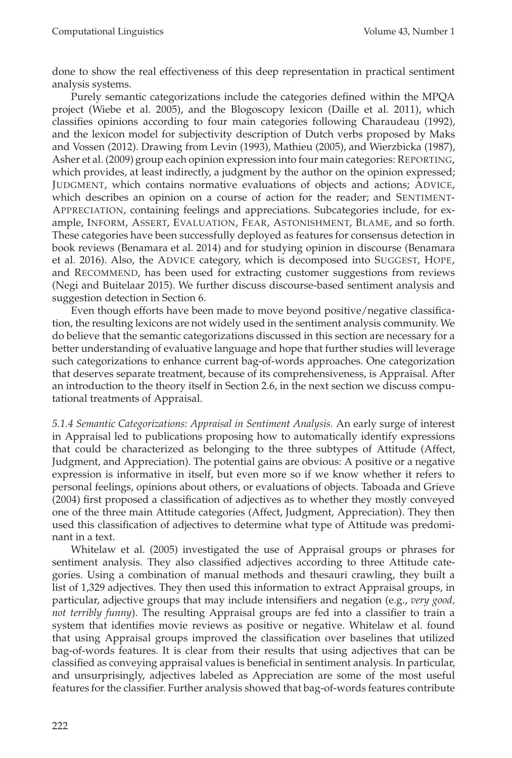done to show the real effectiveness of this deep representation in practical sentiment analysis systems.

Purely semantic categorizations include the categories defined within the MPQA project (Wiebe et al. 2005), and the Blogoscopy lexicon (Daille et al. 2011), which classifies opinions according to four main categories following Charaudeau (1992), and the lexicon model for subjectivity description of Dutch verbs proposed by Maks and Vossen (2012). Drawing from Levin (1993), Mathieu (2005), and Wierzbicka (1987), Asher et al. (2009) group each opinion expression into four main categories: REPORTING, which provides, at least indirectly, a judgment by the author on the opinion expressed; JUDGMENT, which contains normative evaluations of objects and actions; ADVICE, which describes an opinion on a course of action for the reader; and SENTIMENT-APPRECIATION, containing feelings and appreciations. Subcategories include, for example, INFORM, ASSERT, EVALUATION, FEAR, ASTONISHMENT, BLAME, and so forth. These categories have been successfully deployed as features for consensus detection in book reviews (Benamara et al. 2014) and for studying opinion in discourse (Benamara et al. 2016). Also, the ADVICE category, which is decomposed into SUGGEST, HOPE, and RECOMMEND, has been used for extracting customer suggestions from reviews (Negi and Buitelaar 2015). We further discuss discourse-based sentiment analysis and suggestion detection in Section 6.

Even though efforts have been made to move beyond positive/negative classification, the resulting lexicons are not widely used in the sentiment analysis community. We do believe that the semantic categorizations discussed in this section are necessary for a better understanding of evaluative language and hope that further studies will leverage such categorizations to enhance current bag-of-words approaches. One categorization that deserves separate treatment, because of its comprehensiveness, is Appraisal. After an introduction to the theory itself in Section 2.6, in the next section we discuss computational treatments of Appraisal.

*5.1.4 Semantic Categorizations: Appraisal in Sentiment Analysis.* An early surge of interest in Appraisal led to publications proposing how to automatically identify expressions that could be characterized as belonging to the three subtypes of Attitude (Affect, Judgment, and Appreciation). The potential gains are obvious: A positive or a negative expression is informative in itself, but even more so if we know whether it refers to personal feelings, opinions about others, or evaluations of objects. Taboada and Grieve (2004) first proposed a classification of adjectives as to whether they mostly conveyed one of the three main Attitude categories (Affect, Judgment, Appreciation). They then used this classification of adjectives to determine what type of Attitude was predominant in a text.

Whitelaw et al. (2005) investigated the use of Appraisal groups or phrases for sentiment analysis. They also classified adjectives according to three Attitude categories. Using a combination of manual methods and thesauri crawling, they built a list of 1,329 adjectives. They then used this information to extract Appraisal groups, in particular, adjective groups that may include intensifiers and negation (e.g., *very good, not terribly funny*). The resulting Appraisal groups are fed into a classifier to train a system that identifies movie reviews as positive or negative. Whitelaw et al. found that using Appraisal groups improved the classification over baselines that utilized bag-of-words features. It is clear from their results that using adjectives that can be classified as conveying appraisal values is beneficial in sentiment analysis. In particular, and unsurprisingly, adjectives labeled as Appreciation are some of the most useful features for the classifier. Further analysis showed that bag-of-words features contribute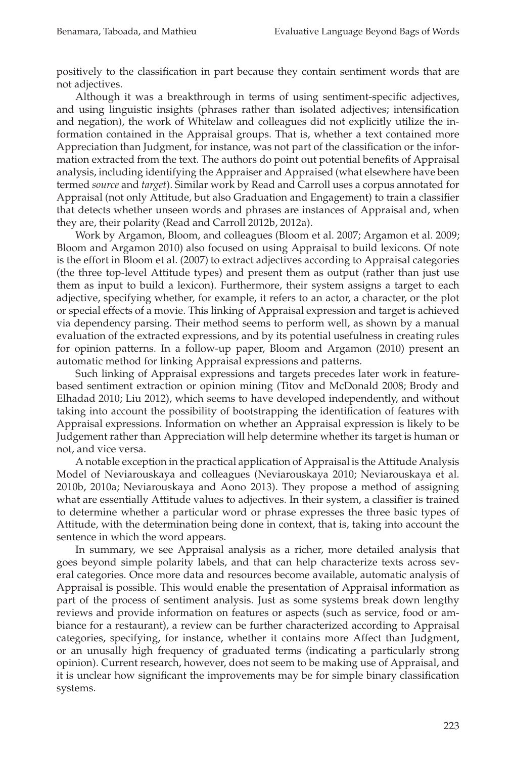positively to the classification in part because they contain sentiment words that are not adjectives.

Although it was a breakthrough in terms of using sentiment-specific adjectives, and using linguistic insights (phrases rather than isolated adjectives; intensification and negation), the work of Whitelaw and colleagues did not explicitly utilize the information contained in the Appraisal groups. That is, whether a text contained more Appreciation than Judgment, for instance, was not part of the classification or the information extracted from the text. The authors do point out potential benefits of Appraisal analysis, including identifying the Appraiser and Appraised (what elsewhere have been termed *source* and *target*). Similar work by Read and Carroll uses a corpus annotated for Appraisal (not only Attitude, but also Graduation and Engagement) to train a classifier that detects whether unseen words and phrases are instances of Appraisal and, when they are, their polarity (Read and Carroll 2012b, 2012a).

Work by Argamon, Bloom, and colleagues (Bloom et al. 2007; Argamon et al. 2009; Bloom and Argamon 2010) also focused on using Appraisal to build lexicons. Of note is the effort in Bloom et al. (2007) to extract adjectives according to Appraisal categories (the three top-level Attitude types) and present them as output (rather than just use them as input to build a lexicon). Furthermore, their system assigns a target to each adjective, specifying whether, for example, it refers to an actor, a character, or the plot or special effects of a movie. This linking of Appraisal expression and target is achieved via dependency parsing. Their method seems to perform well, as shown by a manual evaluation of the extracted expressions, and by its potential usefulness in creating rules for opinion patterns. In a follow-up paper, Bloom and Argamon (2010) present an automatic method for linking Appraisal expressions and patterns.

Such linking of Appraisal expressions and targets precedes later work in featurebased sentiment extraction or opinion mining (Titov and McDonald 2008; Brody and Elhadad 2010; Liu 2012), which seems to have developed independently, and without taking into account the possibility of bootstrapping the identification of features with Appraisal expressions. Information on whether an Appraisal expression is likely to be Judgement rather than Appreciation will help determine whether its target is human or not, and vice versa.

A notable exception in the practical application of Appraisal is the Attitude Analysis Model of Neviarouskaya and colleagues (Neviarouskaya 2010; Neviarouskaya et al. 2010b, 2010a; Neviarouskaya and Aono 2013). They propose a method of assigning what are essentially Attitude values to adjectives. In their system, a classifier is trained to determine whether a particular word or phrase expresses the three basic types of Attitude, with the determination being done in context, that is, taking into account the sentence in which the word appears.

In summary, we see Appraisal analysis as a richer, more detailed analysis that goes beyond simple polarity labels, and that can help characterize texts across several categories. Once more data and resources become available, automatic analysis of Appraisal is possible. This would enable the presentation of Appraisal information as part of the process of sentiment analysis. Just as some systems break down lengthy reviews and provide information on features or aspects (such as service, food or ambiance for a restaurant), a review can be further characterized according to Appraisal categories, specifying, for instance, whether it contains more Affect than Judgment, or an unusally high frequency of graduated terms (indicating a particularly strong opinion). Current research, however, does not seem to be making use of Appraisal, and it is unclear how significant the improvements may be for simple binary classification systems.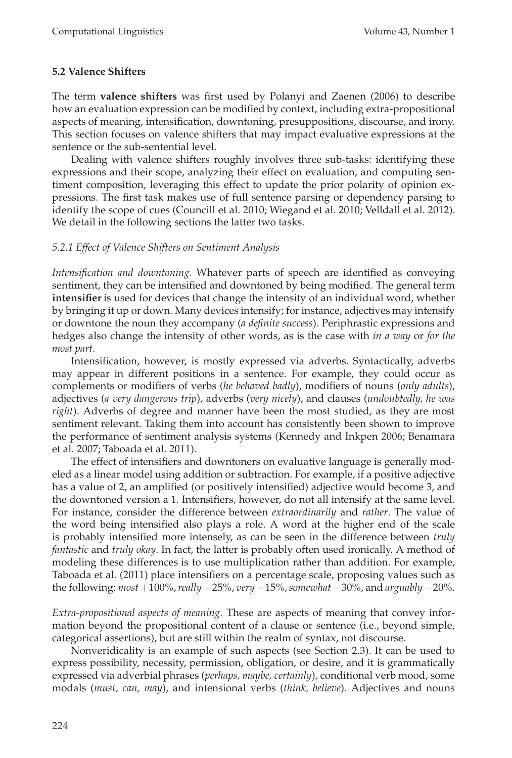#### **5.2 Valence Shifters**

The term **valence shifters** was first used by Polanyi and Zaenen (2006) to describe how an evaluation expression can be modified by context, including extra-propositional aspects of meaning, intensification, downtoning, presuppositions, discourse, and irony. This section focuses on valence shifters that may impact evaluative expressions at the sentence or the sub-sentential level.

Dealing with valence shifters roughly involves three sub-tasks: identifying these expressions and their scope, analyzing their effect on evaluation, and computing sentiment composition, leveraging this effect to update the prior polarity of opinion expressions. The first task makes use of full sentence parsing or dependency parsing to identify the scope of cues (Councill et al. 2010; Wiegand et al. 2010; Velldall et al. 2012). We detail in the following sections the latter two tasks.

#### *5.2.1 Effect of Valence Shifters on Sentiment Analysis*

*Intensification and downtoning.* Whatever parts of speech are identified as conveying sentiment, they can be intensified and downtoned by being modified. The general term **intensifier** is used for devices that change the intensity of an individual word, whether by bringing it up or down. Many devices intensify; for instance, adjectives may intensify or downtone the noun they accompany (*a definite success*). Periphrastic expressions and hedges also change the intensity of other words, as is the case with *in a way* or *for the most part*.

Intensification, however, is mostly expressed via adverbs. Syntactically, adverbs may appear in different positions in a sentence. For example, they could occur as complements or modifiers of verbs (*he behaved badly*), modifiers of nouns (*only adults*), adjectives (*a very dangerous trip*), adverbs (*very nicely*), and clauses (*undoubtedly, he was right*). Adverbs of degree and manner have been the most studied, as they are most sentiment relevant. Taking them into account has consistently been shown to improve the performance of sentiment analysis systems (Kennedy and Inkpen 2006; Benamara et al. 2007; Taboada et al. 2011).

The effect of intensifiers and downtoners on evaluative language is generally modeled as a linear model using addition or subtraction. For example, if a positive adjective has a value of 2, an amplified (or positively intensified) adjective would become 3, and the downtoned version a 1. Intensifiers, however, do not all intensify at the same level. For instance, consider the difference between *extraordinarily* and *rather*. The value of the word being intensified also plays a role. A word at the higher end of the scale is probably intensified more intensely, as can be seen in the difference between *truly fantastic* and *truly okay*. In fact, the latter is probably often used ironically. A method of modeling these differences is to use multiplication rather than addition. For example, Taboada et al. (2011) place intensifiers on a percentage scale, proposing values such as the following: *most* +100%,*really* +25%, *very* +15%,*somewhat* −30%, and *arguably* −20%.

*Extra-propositional aspects of meaning.* These are aspects of meaning that convey information beyond the propositional content of a clause or sentence (i.e., beyond simple, categorical assertions), but are still within the realm of syntax, not discourse.

Nonveridicality is an example of such aspects (see Section 2.3). It can be used to express possibility, necessity, permission, obligation, or desire, and it is grammatically expressed via adverbial phrases (*perhaps, maybe, certainly*), conditional verb mood, some modals (*must, can, may*), and intensional verbs (*think, believe*). Adjectives and nouns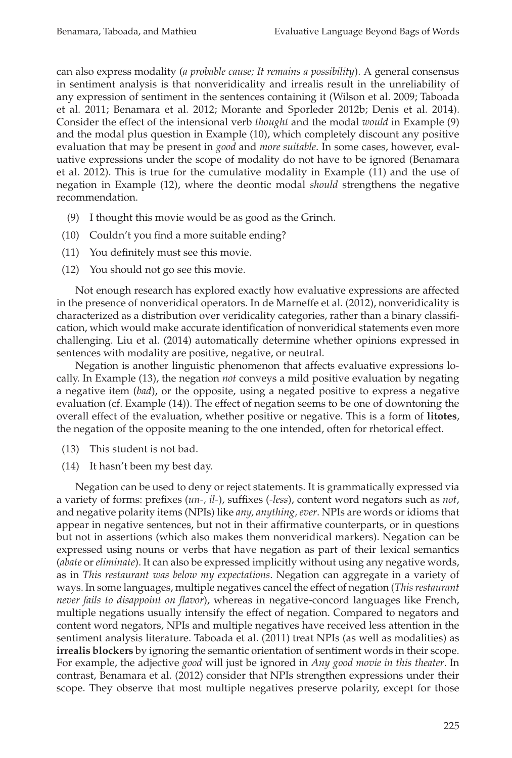can also express modality (*a probable cause; It remains a possibility*). A general consensus in sentiment analysis is that nonveridicality and irrealis result in the unreliability of any expression of sentiment in the sentences containing it (Wilson et al. 2009; Taboada et al. 2011; Benamara et al. 2012; Morante and Sporleder 2012b; Denis et al. 2014). Consider the effect of the intensional verb *thought* and the modal *would* in Example (9) and the modal plus question in Example (10), which completely discount any positive evaluation that may be present in *good* and *more suitable*. In some cases, however, evaluative expressions under the scope of modality do not have to be ignored (Benamara et al. 2012). This is true for the cumulative modality in Example (11) and the use of negation in Example (12), where the deontic modal *should* strengthens the negative recommendation.

- (9) I thought this movie would be as good as the Grinch.
- (10) Couldn't you find a more suitable ending?
- (11) You definitely must see this movie.
- (12) You should not go see this movie.

Not enough research has explored exactly how evaluative expressions are affected in the presence of nonveridical operators. In de Marneffe et al. (2012), nonveridicality is characterized as a distribution over veridicality categories, rather than a binary classification, which would make accurate identification of nonveridical statements even more challenging. Liu et al. (2014) automatically determine whether opinions expressed in sentences with modality are positive, negative, or neutral.

Negation is another linguistic phenomenon that affects evaluative expressions locally. In Example (13), the negation *not* conveys a mild positive evaluation by negating a negative item (*bad*), or the opposite, using a negated positive to express a negative evaluation (cf. Example (14)). The effect of negation seems to be one of downtoning the overall effect of the evaluation, whether positive or negative. This is a form of **litotes**, the negation of the opposite meaning to the one intended, often for rhetorical effect.

- (13) This student is not bad.
- (14) It hasn't been my best day.

Negation can be used to deny or reject statements. It is grammatically expressed via a variety of forms: prefixes (*un-, il-*), suffixes (*-less*), content word negators such as *not*, and negative polarity items (NPIs) like *any, anything, ever*. NPIs are words or idioms that appear in negative sentences, but not in their affirmative counterparts, or in questions but not in assertions (which also makes them nonveridical markers). Negation can be expressed using nouns or verbs that have negation as part of their lexical semantics (*abate* or *eliminate*). It can also be expressed implicitly without using any negative words, as in *This restaurant was below my expectations*. Negation can aggregate in a variety of ways. In some languages, multiple negatives cancel the effect of negation (*This restaurant never fails to disappoint on flavor*), whereas in negative-concord languages like French, multiple negations usually intensify the effect of negation. Compared to negators and content word negators, NPIs and multiple negatives have received less attention in the sentiment analysis literature. Taboada et al. (2011) treat NPIs (as well as modalities) as **irrealis blockers** by ignoring the semantic orientation of sentiment words in their scope. For example, the adjective *good* will just be ignored in *Any good movie in this theater*. In contrast, Benamara et al. (2012) consider that NPIs strengthen expressions under their scope. They observe that most multiple negatives preserve polarity, except for those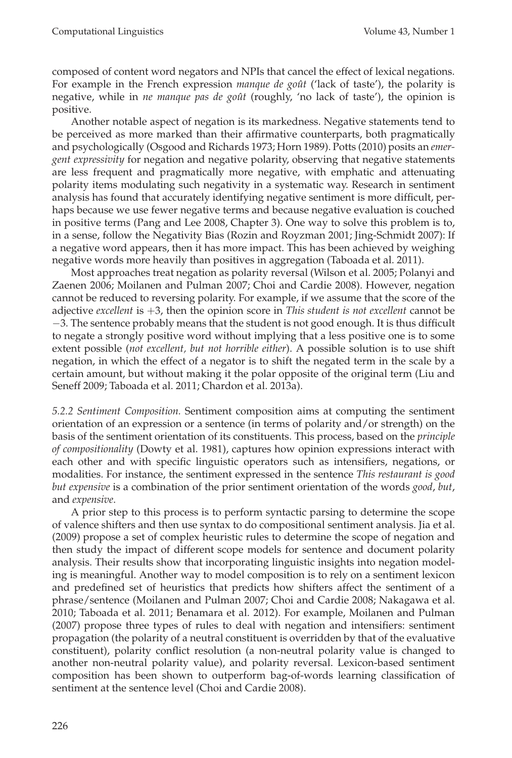composed of content word negators and NPIs that cancel the effect of lexical negations. For example in the French expression *manque de goût* ('lack of taste'), the polarity is negative, while in *ne manque pas de goût* (roughly, 'no lack of taste'), the opinion is positive.

Another notable aspect of negation is its markedness. Negative statements tend to be perceived as more marked than their affirmative counterparts, both pragmatically and psychologically (Osgood and Richards 1973; Horn 1989). Potts (2010) posits an *emergent expressivity* for negation and negative polarity, observing that negative statements are less frequent and pragmatically more negative, with emphatic and attenuating polarity items modulating such negativity in a systematic way. Research in sentiment analysis has found that accurately identifying negative sentiment is more difficult, perhaps because we use fewer negative terms and because negative evaluation is couched in positive terms (Pang and Lee 2008, Chapter 3). One way to solve this problem is to, in a sense, follow the Negativity Bias (Rozin and Royzman 2001; Jing-Schmidt 2007): If a negative word appears, then it has more impact. This has been achieved by weighing negative words more heavily than positives in aggregation (Taboada et al. 2011).

Most approaches treat negation as polarity reversal (Wilson et al. 2005; Polanyi and Zaenen 2006; Moilanen and Pulman 2007; Choi and Cardie 2008). However, negation cannot be reduced to reversing polarity. For example, if we assume that the score of the adjective *excellent* is +3, then the opinion score in *This student is not excellent* cannot be −3. The sentence probably means that the student is not good enough. It is thus difficult to negate a strongly positive word without implying that a less positive one is to some extent possible (*not excellent, but not horrible either*). A possible solution is to use shift negation, in which the effect of a negator is to shift the negated term in the scale by a certain amount, but without making it the polar opposite of the original term (Liu and Seneff 2009; Taboada et al. 2011; Chardon et al. 2013a).

*5.2.2 Sentiment Composition.* Sentiment composition aims at computing the sentiment orientation of an expression or a sentence (in terms of polarity and/or strength) on the basis of the sentiment orientation of its constituents. This process, based on the *principle of compositionality* (Dowty et al. 1981), captures how opinion expressions interact with each other and with specific linguistic operators such as intensifiers, negations, or modalities. For instance, the sentiment expressed in the sentence *This restaurant is good but expensive* is a combination of the prior sentiment orientation of the words *good*, *but*, and *expensive*.

A prior step to this process is to perform syntactic parsing to determine the scope of valence shifters and then use syntax to do compositional sentiment analysis. Jia et al. (2009) propose a set of complex heuristic rules to determine the scope of negation and then study the impact of different scope models for sentence and document polarity analysis. Their results show that incorporating linguistic insights into negation modeling is meaningful. Another way to model composition is to rely on a sentiment lexicon and predefined set of heuristics that predicts how shifters affect the sentiment of a phrase/sentence (Moilanen and Pulman 2007; Choi and Cardie 2008; Nakagawa et al. 2010; Taboada et al. 2011; Benamara et al. 2012). For example, Moilanen and Pulman (2007) propose three types of rules to deal with negation and intensifiers: sentiment propagation (the polarity of a neutral constituent is overridden by that of the evaluative constituent), polarity conflict resolution (a non-neutral polarity value is changed to another non-neutral polarity value), and polarity reversal. Lexicon-based sentiment composition has been shown to outperform bag-of-words learning classification of sentiment at the sentence level (Choi and Cardie 2008).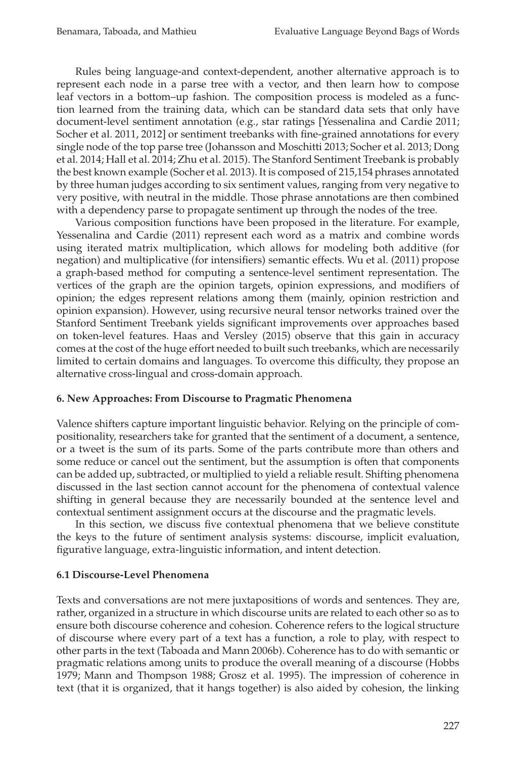Rules being language-and context-dependent, another alternative approach is to represent each node in a parse tree with a vector, and then learn how to compose leaf vectors in a bottom–up fashion. The composition process is modeled as a function learned from the training data, which can be standard data sets that only have document-level sentiment annotation (e.g., star ratings [Yessenalina and Cardie 2011; Socher et al. 2011, 2012] or sentiment treebanks with fine-grained annotations for every single node of the top parse tree (Johansson and Moschitti 2013; Socher et al. 2013; Dong et al. 2014; Hall et al. 2014; Zhu et al. 2015). The Stanford Sentiment Treebank is probably the best known example (Socher et al. 2013). It is composed of 215,154 phrases annotated by three human judges according to six sentiment values, ranging from very negative to very positive, with neutral in the middle. Those phrase annotations are then combined with a dependency parse to propagate sentiment up through the nodes of the tree.

Various composition functions have been proposed in the literature. For example, Yessenalina and Cardie (2011) represent each word as a matrix and combine words using iterated matrix multiplication, which allows for modeling both additive (for negation) and multiplicative (for intensifiers) semantic effects. Wu et al. (2011) propose a graph-based method for computing a sentence-level sentiment representation. The vertices of the graph are the opinion targets, opinion expressions, and modifiers of opinion; the edges represent relations among them (mainly, opinion restriction and opinion expansion). However, using recursive neural tensor networks trained over the Stanford Sentiment Treebank yields significant improvements over approaches based on token-level features. Haas and Versley (2015) observe that this gain in accuracy comes at the cost of the huge effort needed to built such treebanks, which are necessarily limited to certain domains and languages. To overcome this difficulty, they propose an alternative cross-lingual and cross-domain approach.

#### **6. New Approaches: From Discourse to Pragmatic Phenomena**

Valence shifters capture important linguistic behavior. Relying on the principle of compositionality, researchers take for granted that the sentiment of a document, a sentence, or a tweet is the sum of its parts. Some of the parts contribute more than others and some reduce or cancel out the sentiment, but the assumption is often that components can be added up, subtracted, or multiplied to yield a reliable result. Shifting phenomena discussed in the last section cannot account for the phenomena of contextual valence shifting in general because they are necessarily bounded at the sentence level and contextual sentiment assignment occurs at the discourse and the pragmatic levels.

In this section, we discuss five contextual phenomena that we believe constitute the keys to the future of sentiment analysis systems: discourse, implicit evaluation, figurative language, extra-linguistic information, and intent detection.

#### **6.1 Discourse-Level Phenomena**

Texts and conversations are not mere juxtapositions of words and sentences. They are, rather, organized in a structure in which discourse units are related to each other so as to ensure both discourse coherence and cohesion. Coherence refers to the logical structure of discourse where every part of a text has a function, a role to play, with respect to other parts in the text (Taboada and Mann 2006b). Coherence has to do with semantic or pragmatic relations among units to produce the overall meaning of a discourse (Hobbs 1979; Mann and Thompson 1988; Grosz et al. 1995). The impression of coherence in text (that it is organized, that it hangs together) is also aided by cohesion, the linking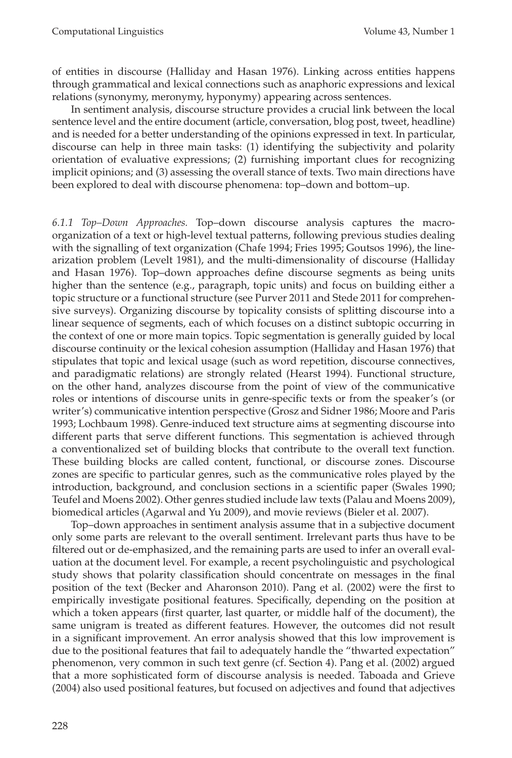of entities in discourse (Halliday and Hasan 1976). Linking across entities happens through grammatical and lexical connections such as anaphoric expressions and lexical relations (synonymy, meronymy, hyponymy) appearing across sentences.

In sentiment analysis, discourse structure provides a crucial link between the local sentence level and the entire document (article, conversation, blog post, tweet, headline) and is needed for a better understanding of the opinions expressed in text. In particular, discourse can help in three main tasks: (1) identifying the subjectivity and polarity orientation of evaluative expressions; (2) furnishing important clues for recognizing implicit opinions; and (3) assessing the overall stance of texts. Two main directions have been explored to deal with discourse phenomena: top–down and bottom–up.

*6.1.1 Top–Down Approaches.* Top–down discourse analysis captures the macroorganization of a text or high-level textual patterns, following previous studies dealing with the signalling of text organization (Chafe 1994; Fries 1995; Goutsos 1996), the linearization problem (Levelt 1981), and the multi-dimensionality of discourse (Halliday and Hasan 1976). Top–down approaches define discourse segments as being units higher than the sentence (e.g., paragraph, topic units) and focus on building either a topic structure or a functional structure (see Purver 2011 and Stede 2011 for comprehensive surveys). Organizing discourse by topicality consists of splitting discourse into a linear sequence of segments, each of which focuses on a distinct subtopic occurring in the context of one or more main topics. Topic segmentation is generally guided by local discourse continuity or the lexical cohesion assumption (Halliday and Hasan 1976) that stipulates that topic and lexical usage (such as word repetition, discourse connectives, and paradigmatic relations) are strongly related (Hearst 1994). Functional structure, on the other hand, analyzes discourse from the point of view of the communicative roles or intentions of discourse units in genre-specific texts or from the speaker's (or writer's) communicative intention perspective (Grosz and Sidner 1986; Moore and Paris 1993; Lochbaum 1998). Genre-induced text structure aims at segmenting discourse into different parts that serve different functions. This segmentation is achieved through a conventionalized set of building blocks that contribute to the overall text function. These building blocks are called content, functional, or discourse zones. Discourse zones are specific to particular genres, such as the communicative roles played by the introduction, background, and conclusion sections in a scientific paper (Swales 1990; Teufel and Moens 2002). Other genres studied include law texts (Palau and Moens 2009), biomedical articles (Agarwal and Yu 2009), and movie reviews (Bieler et al. 2007).

Top–down approaches in sentiment analysis assume that in a subjective document only some parts are relevant to the overall sentiment. Irrelevant parts thus have to be filtered out or de-emphasized, and the remaining parts are used to infer an overall evaluation at the document level. For example, a recent psycholinguistic and psychological study shows that polarity classification should concentrate on messages in the final position of the text (Becker and Aharonson 2010). Pang et al. (2002) were the first to empirically investigate positional features. Specifically, depending on the position at which a token appears (first quarter, last quarter, or middle half of the document), the same unigram is treated as different features. However, the outcomes did not result in a significant improvement. An error analysis showed that this low improvement is due to the positional features that fail to adequately handle the "thwarted expectation" phenomenon, very common in such text genre (cf. Section 4). Pang et al. (2002) argued that a more sophisticated form of discourse analysis is needed. Taboada and Grieve (2004) also used positional features, but focused on adjectives and found that adjectives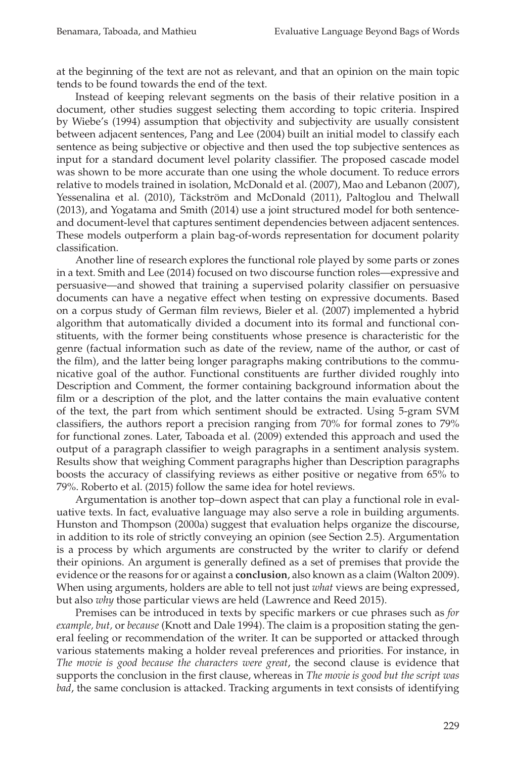at the beginning of the text are not as relevant, and that an opinion on the main topic tends to be found towards the end of the text.

Instead of keeping relevant segments on the basis of their relative position in a document, other studies suggest selecting them according to topic criteria. Inspired by Wiebe's (1994) assumption that objectivity and subjectivity are usually consistent between adjacent sentences, Pang and Lee (2004) built an initial model to classify each sentence as being subjective or objective and then used the top subjective sentences as input for a standard document level polarity classifier. The proposed cascade model was shown to be more accurate than one using the whole document. To reduce errors relative to models trained in isolation, McDonald et al. (2007), Mao and Lebanon (2007), Yessenalina et al. (2010), Täckström and McDonald (2011), Paltoglou and Thelwall (2013), and Yogatama and Smith (2014) use a joint structured model for both sentenceand document-level that captures sentiment dependencies between adjacent sentences. These models outperform a plain bag-of-words representation for document polarity classification.

Another line of research explores the functional role played by some parts or zones in a text. Smith and Lee (2014) focused on two discourse function roles—expressive and persuasive—and showed that training a supervised polarity classifier on persuasive documents can have a negative effect when testing on expressive documents. Based on a corpus study of German film reviews, Bieler et al. (2007) implemented a hybrid algorithm that automatically divided a document into its formal and functional constituents, with the former being constituents whose presence is characteristic for the genre (factual information such as date of the review, name of the author, or cast of the film), and the latter being longer paragraphs making contributions to the communicative goal of the author. Functional constituents are further divided roughly into Description and Comment, the former containing background information about the film or a description of the plot, and the latter contains the main evaluative content of the text, the part from which sentiment should be extracted. Using 5-gram SVM classifiers, the authors report a precision ranging from 70% for formal zones to 79% for functional zones. Later, Taboada et al. (2009) extended this approach and used the output of a paragraph classifier to weigh paragraphs in a sentiment analysis system. Results show that weighing Comment paragraphs higher than Description paragraphs boosts the accuracy of classifying reviews as either positive or negative from 65% to 79%. Roberto et al. (2015) follow the same idea for hotel reviews.

Argumentation is another top–down aspect that can play a functional role in evaluative texts. In fact, evaluative language may also serve a role in building arguments. Hunston and Thompson (2000a) suggest that evaluation helps organize the discourse, in addition to its role of strictly conveying an opinion (see Section 2.5). Argumentation is a process by which arguments are constructed by the writer to clarify or defend their opinions. An argument is generally defined as a set of premises that provide the evidence or the reasons for or against a **conclusion**, also known as a claim (Walton 2009). When using arguments, holders are able to tell not just *what* views are being expressed, but also *why* those particular views are held (Lawrence and Reed 2015).

Premises can be introduced in texts by specific markers or cue phrases such as *for example, but,* or *because* (Knott and Dale 1994). The claim is a proposition stating the general feeling or recommendation of the writer. It can be supported or attacked through various statements making a holder reveal preferences and priorities. For instance, in *The movie is good because the characters were great*, the second clause is evidence that supports the conclusion in the first clause, whereas in *The movie is good but the script was bad*, the same conclusion is attacked. Tracking arguments in text consists of identifying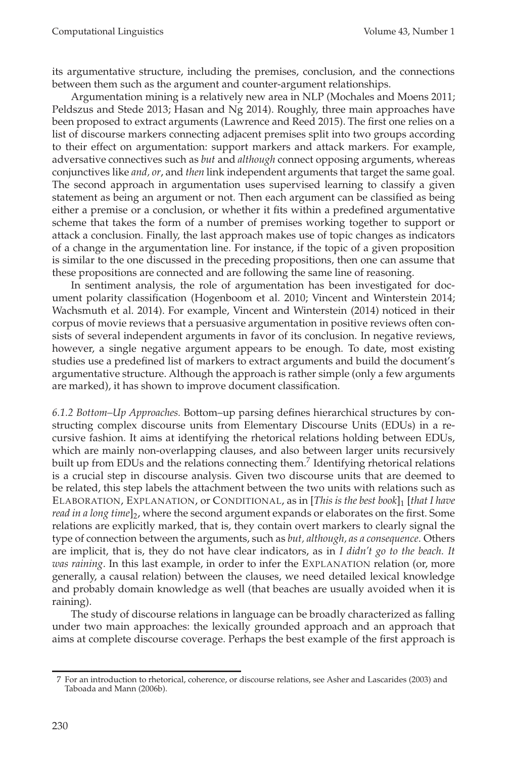its argumentative structure, including the premises, conclusion, and the connections between them such as the argument and counter-argument relationships.

Argumentation mining is a relatively new area in NLP (Mochales and Moens 2011; Peldszus and Stede 2013; Hasan and Ng 2014). Roughly, three main approaches have been proposed to extract arguments (Lawrence and Reed 2015). The first one relies on a list of discourse markers connecting adjacent premises split into two groups according to their effect on argumentation: support markers and attack markers. For example, adversative connectives such as *but* and *although* connect opposing arguments, whereas conjunctives like *and, or*, and *then* link independent arguments that target the same goal. The second approach in argumentation uses supervised learning to classify a given statement as being an argument or not. Then each argument can be classified as being either a premise or a conclusion, or whether it fits within a predefined argumentative scheme that takes the form of a number of premises working together to support or attack a conclusion. Finally, the last approach makes use of topic changes as indicators of a change in the argumentation line. For instance, if the topic of a given proposition is similar to the one discussed in the preceding propositions, then one can assume that these propositions are connected and are following the same line of reasoning.

In sentiment analysis, the role of argumentation has been investigated for document polarity classification (Hogenboom et al. 2010; Vincent and Winterstein 2014; Wachsmuth et al. 2014). For example, Vincent and Winterstein (2014) noticed in their corpus of movie reviews that a persuasive argumentation in positive reviews often consists of several independent arguments in favor of its conclusion. In negative reviews, however, a single negative argument appears to be enough. To date, most existing studies use a predefined list of markers to extract arguments and build the document's argumentative structure. Although the approach is rather simple (only a few arguments are marked), it has shown to improve document classification.

*6.1.2 Bottom–Up Approaches.* Bottom–up parsing defines hierarchical structures by constructing complex discourse units from Elementary Discourse Units (EDUs) in a recursive fashion. It aims at identifying the rhetorical relations holding between EDUs, which are mainly non-overlapping clauses, and also between larger units recursively built up from EDUs and the relations connecting them.<sup>7</sup> Identifying rhetorical relations is a crucial step in discourse analysis. Given two discourse units that are deemed to be related, this step labels the attachment between the two units with relations such as ELABORATION, EXPLANATION, or CONDITIONAL, as in [*This is the best book*]<sup>1</sup> [*that I have read in a long time*]<sub>2</sub>, where the second argument expands or elaborates on the first. Some relations are explicitly marked, that is, they contain overt markers to clearly signal the type of connection between the arguments, such as *but, although, as a consequence*. Others are implicit, that is, they do not have clear indicators, as in *I didn't go to the beach. It was raining*. In this last example, in order to infer the EXPLANATION relation (or, more generally, a causal relation) between the clauses, we need detailed lexical knowledge and probably domain knowledge as well (that beaches are usually avoided when it is raining).

The study of discourse relations in language can be broadly characterized as falling under two main approaches: the lexically grounded approach and an approach that aims at complete discourse coverage. Perhaps the best example of the first approach is

<sup>7</sup> For an introduction to rhetorical, coherence, or discourse relations, see Asher and Lascarides (2003) and Taboada and Mann (2006b).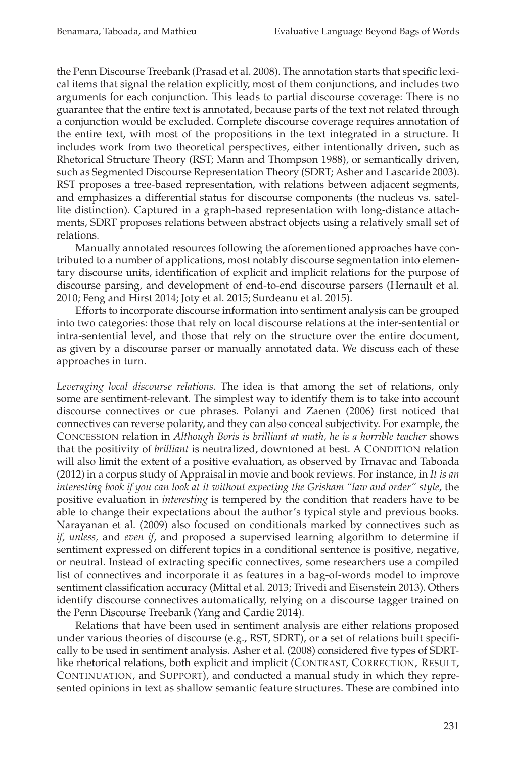the Penn Discourse Treebank (Prasad et al. 2008). The annotation starts that specific lexical items that signal the relation explicitly, most of them conjunctions, and includes two arguments for each conjunction. This leads to partial discourse coverage: There is no guarantee that the entire text is annotated, because parts of the text not related through a conjunction would be excluded. Complete discourse coverage requires annotation of the entire text, with most of the propositions in the text integrated in a structure. It includes work from two theoretical perspectives, either intentionally driven, such as Rhetorical Structure Theory (RST; Mann and Thompson 1988), or semantically driven, such as Segmented Discourse Representation Theory (SDRT; Asher and Lascaride 2003). RST proposes a tree-based representation, with relations between adjacent segments, and emphasizes a differential status for discourse components (the nucleus vs. satellite distinction). Captured in a graph-based representation with long-distance attachments, SDRT proposes relations between abstract objects using a relatively small set of relations.

Manually annotated resources following the aforementioned approaches have contributed to a number of applications, most notably discourse segmentation into elementary discourse units, identification of explicit and implicit relations for the purpose of discourse parsing, and development of end-to-end discourse parsers (Hernault et al. 2010; Feng and Hirst 2014; Joty et al. 2015; Surdeanu et al. 2015).

Efforts to incorporate discourse information into sentiment analysis can be grouped into two categories: those that rely on local discourse relations at the inter-sentential or intra-sentential level, and those that rely on the structure over the entire document, as given by a discourse parser or manually annotated data. We discuss each of these approaches in turn.

*Leveraging local discourse relations.* The idea is that among the set of relations, only some are sentiment-relevant. The simplest way to identify them is to take into account discourse connectives or cue phrases. Polanyi and Zaenen (2006) first noticed that connectives can reverse polarity, and they can also conceal subjectivity. For example, the CONCESSION relation in *Although Boris is brilliant at math, he is a horrible teacher* shows that the positivity of *brilliant* is neutralized, downtoned at best. A CONDITION relation will also limit the extent of a positive evaluation, as observed by Trnavac and Taboada (2012) in a corpus study of Appraisal in movie and book reviews. For instance, in *It is an interesting book if you can look at it without expecting the Grisham "law and order" style*, the positive evaluation in *interesting* is tempered by the condition that readers have to be able to change their expectations about the author's typical style and previous books. Narayanan et al. (2009) also focused on conditionals marked by connectives such as *if, unless,* and *even if*, and proposed a supervised learning algorithm to determine if sentiment expressed on different topics in a conditional sentence is positive, negative, or neutral. Instead of extracting specific connectives, some researchers use a compiled list of connectives and incorporate it as features in a bag-of-words model to improve sentiment classification accuracy (Mittal et al. 2013; Trivedi and Eisenstein 2013). Others identify discourse connectives automatically, relying on a discourse tagger trained on the Penn Discourse Treebank (Yang and Cardie 2014).

Relations that have been used in sentiment analysis are either relations proposed under various theories of discourse (e.g., RST, SDRT), or a set of relations built specifically to be used in sentiment analysis. Asher et al. (2008) considered five types of SDRTlike rhetorical relations, both explicit and implicit (CONTRAST, CORRECTION, RESULT, CONTINUATION, and SUPPORT), and conducted a manual study in which they represented opinions in text as shallow semantic feature structures. These are combined into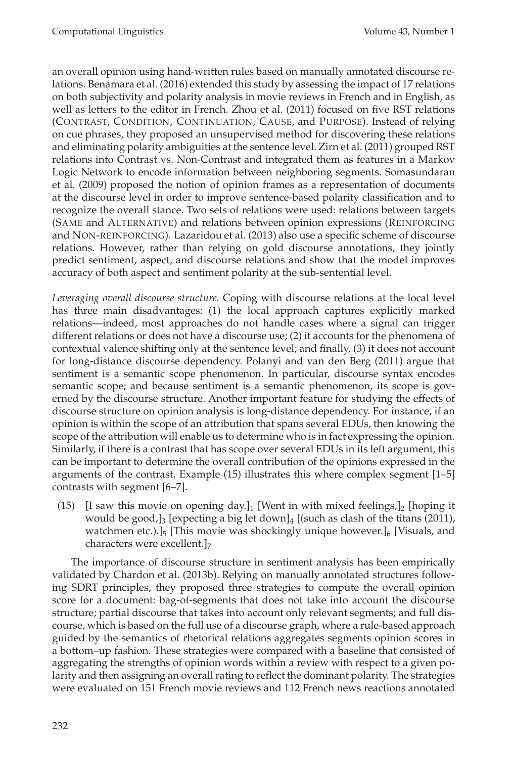an overall opinion using hand-written rules based on manually annotated discourse relations. Benamara et al. (2016) extended this study by assessing the impact of 17 relations on both subjectivity and polarity analysis in movie reviews in French and in English, as well as letters to the editor in French. Zhou et al. (2011) focused on five RST relations (CONTRAST, CONDITION, CONTINUATION, CAUSE, and PURPOSE). Instead of relying on cue phrases, they proposed an unsupervised method for discovering these relations and eliminating polarity ambiguities at the sentence level. Zirn et al. (2011) grouped RST relations into Contrast vs. Non-Contrast and integrated them as features in a Markov Logic Network to encode information between neighboring segments. Somasundaran et al. (2009) proposed the notion of opinion frames as a representation of documents at the discourse level in order to improve sentence-based polarity classification and to recognize the overall stance. Two sets of relations were used: relations between targets (SAME and ALTERNATIVE) and relations between opinion expressions (REINFORCING and NON-REINFORCING). Lazaridou et al. (2013) also use a specific scheme of discourse relations. However, rather than relying on gold discourse annotations, they jointly predict sentiment, aspect, and discourse relations and show that the model improves accuracy of both aspect and sentiment polarity at the sub-sentential level.

*Leveraging overall discourse structure.* Coping with discourse relations at the local level has three main disadvantages: (1) the local approach captures explicitly marked relations—indeed, most approaches do not handle cases where a signal can trigger different relations or does not have a discourse use; (2) it accounts for the phenomena of contextual valence shifting only at the sentence level; and finally, (3) it does not account for long-distance discourse dependency. Polanyi and van den Berg (2011) argue that sentiment is a semantic scope phenomenon. In particular, discourse syntax encodes semantic scope; and because sentiment is a semantic phenomenon, its scope is governed by the discourse structure. Another important feature for studying the effects of discourse structure on opinion analysis is long-distance dependency. For instance, if an opinion is within the scope of an attribution that spans several EDUs, then knowing the scope of the attribution will enable us to determine who is in fact expressing the opinion. Similarly, if there is a contrast that has scope over several EDUs in its left argument, this can be important to determine the overall contribution of the opinions expressed in the arguments of the contrast. Example (15) illustrates this where complex segment [1–5] contrasts with segment [6–7].

(15) II saw this movie on opening day.] $_1$  [Went in with mixed feelings,] $_2$  [hoping it would be good,  $\left[\right]_3$  [expecting a big let down]<sub>4</sub> [(such as clash of the titans (2011), watchmen etc.).] $_5$  [This movie was shockingly unique however.] $_6$  [Visuals, and characters were excellent.]<sub>7</sub>

The importance of discourse structure in sentiment analysis has been empirically validated by Chardon et al. (2013b). Relying on manually annotated structures following SDRT principles, they proposed three strategies to compute the overall opinion score for a document: bag-of-segments that does not take into account the discourse structure; partial discourse that takes into account only relevant segments; and full discourse, which is based on the full use of a discourse graph, where a rule-based approach guided by the semantics of rhetorical relations aggregates segments opinion scores in a bottom–up fashion. These strategies were compared with a baseline that consisted of aggregating the strengths of opinion words within a review with respect to a given polarity and then assigning an overall rating to reflect the dominant polarity. The strategies were evaluated on 151 French movie reviews and 112 French news reactions annotated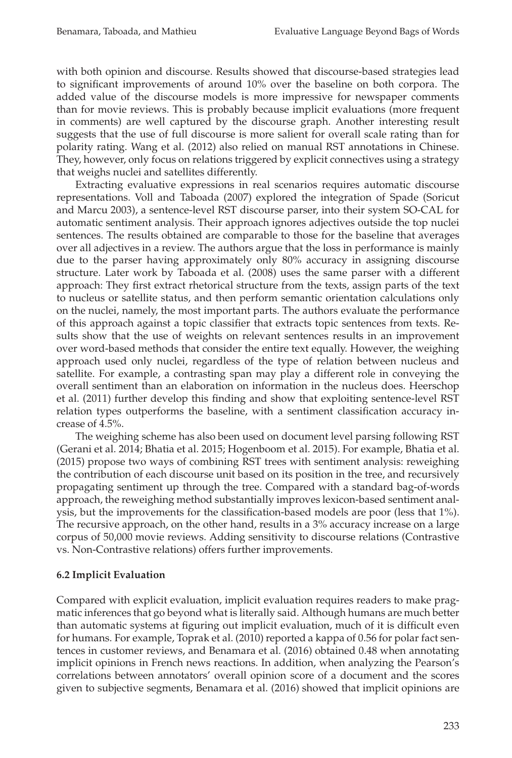with both opinion and discourse. Results showed that discourse-based strategies lead to significant improvements of around 10% over the baseline on both corpora. The added value of the discourse models is more impressive for newspaper comments than for movie reviews. This is probably because implicit evaluations (more frequent in comments) are well captured by the discourse graph. Another interesting result suggests that the use of full discourse is more salient for overall scale rating than for polarity rating. Wang et al. (2012) also relied on manual RST annotations in Chinese. They, however, only focus on relations triggered by explicit connectives using a strategy that weighs nuclei and satellites differently.

Extracting evaluative expressions in real scenarios requires automatic discourse representations. Voll and Taboada (2007) explored the integration of Spade (Soricut and Marcu 2003), a sentence-level RST discourse parser, into their system SO-CAL for automatic sentiment analysis. Their approach ignores adjectives outside the top nuclei sentences. The results obtained are comparable to those for the baseline that averages over all adjectives in a review. The authors argue that the loss in performance is mainly due to the parser having approximately only 80% accuracy in assigning discourse structure. Later work by Taboada et al. (2008) uses the same parser with a different approach: They first extract rhetorical structure from the texts, assign parts of the text to nucleus or satellite status, and then perform semantic orientation calculations only on the nuclei, namely, the most important parts. The authors evaluate the performance of this approach against a topic classifier that extracts topic sentences from texts. Results show that the use of weights on relevant sentences results in an improvement over word-based methods that consider the entire text equally. However, the weighing approach used only nuclei, regardless of the type of relation between nucleus and satellite. For example, a contrasting span may play a different role in conveying the overall sentiment than an elaboration on information in the nucleus does. Heerschop et al. (2011) further develop this finding and show that exploiting sentence-level RST relation types outperforms the baseline, with a sentiment classification accuracy increase of 4.5%.

The weighing scheme has also been used on document level parsing following RST (Gerani et al. 2014; Bhatia et al. 2015; Hogenboom et al. 2015). For example, Bhatia et al. (2015) propose two ways of combining RST trees with sentiment analysis: reweighing the contribution of each discourse unit based on its position in the tree, and recursively propagating sentiment up through the tree. Compared with a standard bag-of-words approach, the reweighing method substantially improves lexicon-based sentiment analysis, but the improvements for the classification-based models are poor (less that 1%). The recursive approach, on the other hand, results in a 3% accuracy increase on a large corpus of 50,000 movie reviews. Adding sensitivity to discourse relations (Contrastive vs. Non-Contrastive relations) offers further improvements.

## **6.2 Implicit Evaluation**

Compared with explicit evaluation, implicit evaluation requires readers to make pragmatic inferences that go beyond what is literally said. Although humans are much better than automatic systems at figuring out implicit evaluation, much of it is difficult even for humans. For example, Toprak et al. (2010) reported a kappa of 0.56 for polar fact sentences in customer reviews, and Benamara et al. (2016) obtained 0.48 when annotating implicit opinions in French news reactions. In addition, when analyzing the Pearson's correlations between annotators' overall opinion score of a document and the scores given to subjective segments, Benamara et al. (2016) showed that implicit opinions are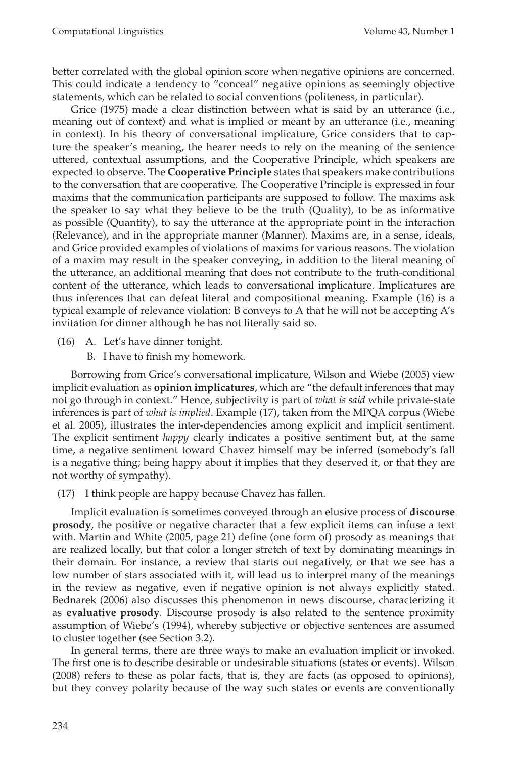better correlated with the global opinion score when negative opinions are concerned. This could indicate a tendency to "conceal" negative opinions as seemingly objective statements, which can be related to social conventions (politeness, in particular).

Grice (1975) made a clear distinction between what is said by an utterance (i.e., meaning out of context) and what is implied or meant by an utterance (i.e., meaning in context). In his theory of conversational implicature, Grice considers that to capture the speaker's meaning, the hearer needs to rely on the meaning of the sentence uttered, contextual assumptions, and the Cooperative Principle, which speakers are expected to observe. The **Cooperative Principle** states that speakers make contributions to the conversation that are cooperative. The Cooperative Principle is expressed in four maxims that the communication participants are supposed to follow. The maxims ask the speaker to say what they believe to be the truth (Quality), to be as informative as possible (Quantity), to say the utterance at the appropriate point in the interaction (Relevance), and in the appropriate manner (Manner). Maxims are, in a sense, ideals, and Grice provided examples of violations of maxims for various reasons. The violation of a maxim may result in the speaker conveying, in addition to the literal meaning of the utterance, an additional meaning that does not contribute to the truth-conditional content of the utterance, which leads to conversational implicature. Implicatures are thus inferences that can defeat literal and compositional meaning. Example (16) is a typical example of relevance violation: B conveys to A that he will not be accepting A's invitation for dinner although he has not literally said so.

- (16) A. Let's have dinner tonight.
	- B. I have to finish my homework.

Borrowing from Grice's conversational implicature, Wilson and Wiebe (2005) view implicit evaluation as **opinion implicatures**, which are "the default inferences that may not go through in context." Hence, subjectivity is part of *what is said* while private-state inferences is part of *what is implied*. Example (17), taken from the MPQA corpus (Wiebe et al. 2005), illustrates the inter-dependencies among explicit and implicit sentiment. The explicit sentiment *happy* clearly indicates a positive sentiment but, at the same time, a negative sentiment toward Chavez himself may be inferred (somebody's fall is a negative thing; being happy about it implies that they deserved it, or that they are not worthy of sympathy).

(17) I think people are happy because Chavez has fallen.

Implicit evaluation is sometimes conveyed through an elusive process of **discourse prosody**, the positive or negative character that a few explicit items can infuse a text with. Martin and White (2005, page 21) define (one form of) prosody as meanings that are realized locally, but that color a longer stretch of text by dominating meanings in their domain. For instance, a review that starts out negatively, or that we see has a low number of stars associated with it, will lead us to interpret many of the meanings in the review as negative, even if negative opinion is not always explicitly stated. Bednarek (2006) also discusses this phenomenon in news discourse, characterizing it as **evaluative prosody**. Discourse prosody is also related to the sentence proximity assumption of Wiebe's (1994), whereby subjective or objective sentences are assumed to cluster together (see Section 3.2).

In general terms, there are three ways to make an evaluation implicit or invoked. The first one is to describe desirable or undesirable situations (states or events). Wilson (2008) refers to these as polar facts, that is, they are facts (as opposed to opinions), but they convey polarity because of the way such states or events are conventionally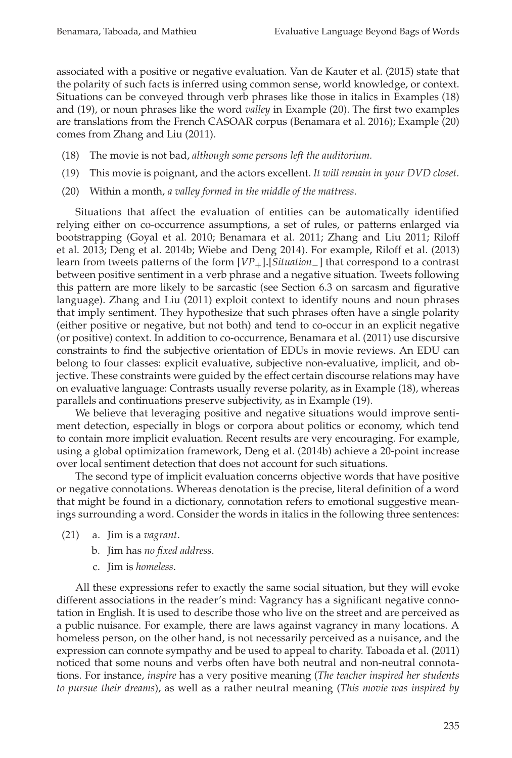associated with a positive or negative evaluation. Van de Kauter et al. (2015) state that the polarity of such facts is inferred using common sense, world knowledge, or context. Situations can be conveyed through verb phrases like those in italics in Examples (18) and (19), or noun phrases like the word *valley* in Example (20). The first two examples are translations from the French CASOAR corpus (Benamara et al. 2016); Example (20) comes from Zhang and Liu (2011).

- (18) The movie is not bad, *although some persons left the auditorium.*
- (19) This movie is poignant, and the actors excellent. *It will remain in your DVD closet.*
- (20) Within a month, *a valley formed in the middle of the mattress*.

Situations that affect the evaluation of entities can be automatically identified relying either on co-occurrence assumptions, a set of rules, or patterns enlarged via bootstrapping (Goyal et al. 2010; Benamara et al. 2011; Zhang and Liu 2011; Riloff et al. 2013; Deng et al. 2014b; Wiebe and Deng 2014). For example, Riloff et al. (2013) learn from tweets patterns of the form [*VP*+].[*Situation*−] that correspond to a contrast between positive sentiment in a verb phrase and a negative situation. Tweets following this pattern are more likely to be sarcastic (see Section 6.3 on sarcasm and figurative language). Zhang and Liu (2011) exploit context to identify nouns and noun phrases that imply sentiment. They hypothesize that such phrases often have a single polarity (either positive or negative, but not both) and tend to co-occur in an explicit negative (or positive) context. In addition to co-occurrence, Benamara et al. (2011) use discursive constraints to find the subjective orientation of EDUs in movie reviews. An EDU can belong to four classes: explicit evaluative, subjective non-evaluative, implicit, and objective. These constraints were guided by the effect certain discourse relations may have on evaluative language: Contrasts usually reverse polarity, as in Example (18), whereas parallels and continuations preserve subjectivity, as in Example (19).

We believe that leveraging positive and negative situations would improve sentiment detection, especially in blogs or corpora about politics or economy, which tend to contain more implicit evaluation. Recent results are very encouraging. For example, using a global optimization framework, Deng et al. (2014b) achieve a 20-point increase over local sentiment detection that does not account for such situations.

The second type of implicit evaluation concerns objective words that have positive or negative connotations. Whereas denotation is the precise, literal definition of a word that might be found in a dictionary, connotation refers to emotional suggestive meanings surrounding a word. Consider the words in italics in the following three sentences:

- (21) a. Jim is a *vagrant*.
	- b. Jim has *no fixed address*.
	- c. Jim is *homeless*.

All these expressions refer to exactly the same social situation, but they will evoke different associations in the reader's mind: Vagrancy has a significant negative connotation in English. It is used to describe those who live on the street and are perceived as a public nuisance. For example, there are laws against vagrancy in many locations. A homeless person, on the other hand, is not necessarily perceived as a nuisance, and the expression can connote sympathy and be used to appeal to charity. Taboada et al. (2011) noticed that some nouns and verbs often have both neutral and non-neutral connotations. For instance, *inspire* has a very positive meaning (*The teacher inspired her students to pursue their dreams*), as well as a rather neutral meaning (*This movie was inspired by*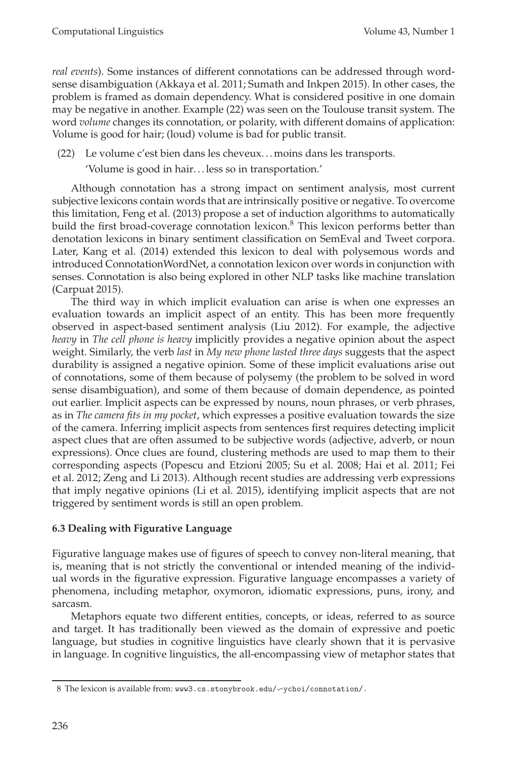*real events*). Some instances of different connotations can be addressed through wordsense disambiguation (Akkaya et al. 2011; Sumath and Inkpen 2015). In other cases, the problem is framed as domain dependency. What is considered positive in one domain may be negative in another. Example (22) was seen on the Toulouse transit system. The word *volume* changes its connotation, or polarity, with different domains of application: Volume is good for hair; (loud) volume is bad for public transit.

(22) Le volume c'est bien dans les cheveux. . . moins dans les transports.

'Volume is good in hair. . . less so in transportation.'

Although connotation has a strong impact on sentiment analysis, most current subjective lexicons contain words that are intrinsically positive or negative. To overcome this limitation, Feng et al. (2013) propose a set of induction algorithms to automatically build the first broad-coverage connotation lexicon.<sup>8</sup> This lexicon performs better than denotation lexicons in binary sentiment classification on SemEval and Tweet corpora. Later, Kang et al. (2014) extended this lexicon to deal with polysemous words and introduced ConnotationWordNet, a connotation lexicon over words in conjunction with senses. Connotation is also being explored in other NLP tasks like machine translation (Carpuat 2015).

The third way in which implicit evaluation can arise is when one expresses an evaluation towards an implicit aspect of an entity. This has been more frequently observed in aspect-based sentiment analysis (Liu 2012). For example, the adjective *heavy* in *The cell phone is heavy* implicitly provides a negative opinion about the aspect weight. Similarly, the verb *last* in *My new phone lasted three days* suggests that the aspect durability is assigned a negative opinion. Some of these implicit evaluations arise out of connotations, some of them because of polysemy (the problem to be solved in word sense disambiguation), and some of them because of domain dependence, as pointed out earlier. Implicit aspects can be expressed by nouns, noun phrases, or verb phrases, as in *The camera fits in my pocket*, which expresses a positive evaluation towards the size of the camera. Inferring implicit aspects from sentences first requires detecting implicit aspect clues that are often assumed to be subjective words (adjective, adverb, or noun expressions). Once clues are found, clustering methods are used to map them to their corresponding aspects (Popescu and Etzioni 2005; Su et al. 2008; Hai et al. 2011; Fei et al. 2012; Zeng and Li 2013). Although recent studies are addressing verb expressions that imply negative opinions (Li et al. 2015), identifying implicit aspects that are not triggered by sentiment words is still an open problem.

# **6.3 Dealing with Figurative Language**

Figurative language makes use of figures of speech to convey non-literal meaning, that is, meaning that is not strictly the conventional or intended meaning of the individual words in the figurative expression. Figurative language encompasses a variety of phenomena, including metaphor, oxymoron, idiomatic expressions, puns, irony, and sarcasm.

Metaphors equate two different entities, concepts, or ideas, referred to as source and target. It has traditionally been viewed as the domain of expressive and poetic language, but studies in cognitive linguistics have clearly shown that it is pervasive in language. In cognitive linguistics, the all-encompassing view of metaphor states that

<sup>8</sup> The lexicon is available from: www3.cs.stonybrook.edu/∽ychoi/connotation/.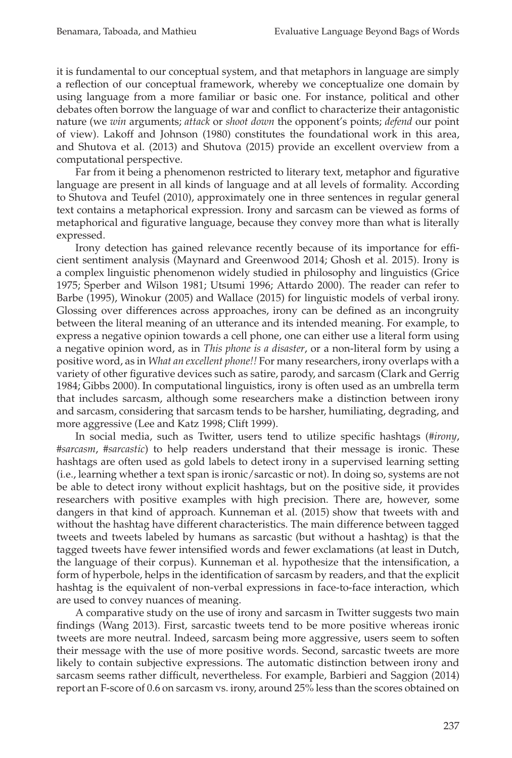it is fundamental to our conceptual system, and that metaphors in language are simply a reflection of our conceptual framework, whereby we conceptualize one domain by using language from a more familiar or basic one. For instance, political and other debates often borrow the language of war and conflict to characterize their antagonistic nature (we *win* arguments; *attack* or *shoot down* the opponent's points; *defend* our point of view). Lakoff and Johnson (1980) constitutes the foundational work in this area, and Shutova et al. (2013) and Shutova (2015) provide an excellent overview from a computational perspective.

Far from it being a phenomenon restricted to literary text, metaphor and figurative language are present in all kinds of language and at all levels of formality. According to Shutova and Teufel (2010), approximately one in three sentences in regular general text contains a metaphorical expression. Irony and sarcasm can be viewed as forms of metaphorical and figurative language, because they convey more than what is literally expressed.

Irony detection has gained relevance recently because of its importance for efficient sentiment analysis (Maynard and Greenwood 2014; Ghosh et al. 2015). Irony is a complex linguistic phenomenon widely studied in philosophy and linguistics (Grice 1975; Sperber and Wilson 1981; Utsumi 1996; Attardo 2000). The reader can refer to Barbe (1995), Winokur (2005) and Wallace (2015) for linguistic models of verbal irony. Glossing over differences across approaches, irony can be defined as an incongruity between the literal meaning of an utterance and its intended meaning. For example, to express a negative opinion towards a cell phone, one can either use a literal form using a negative opinion word, as in *This phone is a disaster*, or a non-literal form by using a positive word, as in *What an excellent phone!!* For many researchers, irony overlaps with a variety of other figurative devices such as satire, parody, and sarcasm (Clark and Gerrig 1984; Gibbs 2000). In computational linguistics, irony is often used as an umbrella term that includes sarcasm, although some researchers make a distinction between irony and sarcasm, considering that sarcasm tends to be harsher, humiliating, degrading, and more aggressive (Lee and Katz 1998; Clift 1999).

In social media, such as Twitter, users tend to utilize specific hashtags (#*irony*, #*sarcasm*, #*sarcastic*) to help readers understand that their message is ironic. These hashtags are often used as gold labels to detect irony in a supervised learning setting (i.e., learning whether a text span is ironic/sarcastic or not). In doing so, systems are not be able to detect irony without explicit hashtags, but on the positive side, it provides researchers with positive examples with high precision. There are, however, some dangers in that kind of approach. Kunneman et al. (2015) show that tweets with and without the hashtag have different characteristics. The main difference between tagged tweets and tweets labeled by humans as sarcastic (but without a hashtag) is that the tagged tweets have fewer intensified words and fewer exclamations (at least in Dutch, the language of their corpus). Kunneman et al. hypothesize that the intensification, a form of hyperbole, helps in the identification of sarcasm by readers, and that the explicit hashtag is the equivalent of non-verbal expressions in face-to-face interaction, which are used to convey nuances of meaning.

A comparative study on the use of irony and sarcasm in Twitter suggests two main findings (Wang 2013). First, sarcastic tweets tend to be more positive whereas ironic tweets are more neutral. Indeed, sarcasm being more aggressive, users seem to soften their message with the use of more positive words. Second, sarcastic tweets are more likely to contain subjective expressions. The automatic distinction between irony and sarcasm seems rather difficult, nevertheless. For example, Barbieri and Saggion (2014) report an F-score of 0.6 on sarcasm vs. irony, around 25% less than the scores obtained on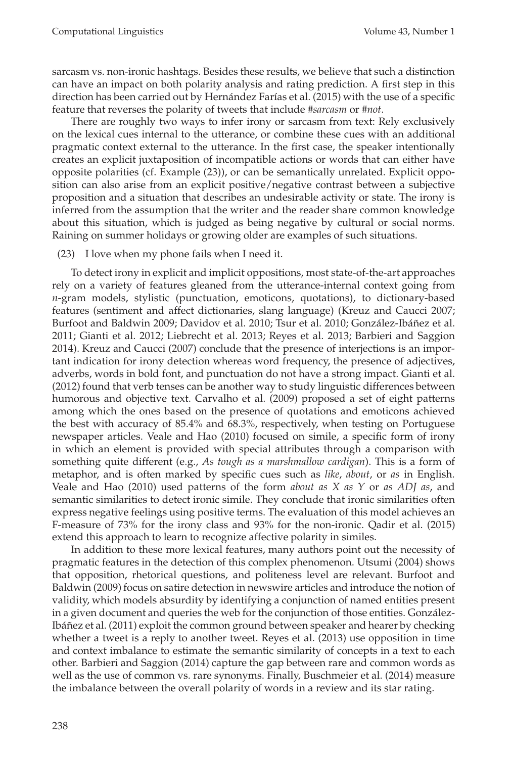sarcasm vs. non-ironic hashtags. Besides these results, we believe that such a distinction can have an impact on both polarity analysis and rating prediction. A first step in this direction has been carried out by Hernández Farías et al. (2015) with the use of a specific feature that reverses the polarity of tweets that include #*sarcasm* or #*not*.

There are roughly two ways to infer irony or sarcasm from text: Rely exclusively on the lexical cues internal to the utterance, or combine these cues with an additional pragmatic context external to the utterance. In the first case, the speaker intentionally creates an explicit juxtaposition of incompatible actions or words that can either have opposite polarities (cf. Example (23)), or can be semantically unrelated. Explicit opposition can also arise from an explicit positive/negative contrast between a subjective proposition and a situation that describes an undesirable activity or state. The irony is inferred from the assumption that the writer and the reader share common knowledge about this situation, which is judged as being negative by cultural or social norms. Raining on summer holidays or growing older are examples of such situations.

#### (23) I love when my phone fails when I need it.

To detect irony in explicit and implicit oppositions, most state-of-the-art approaches rely on a variety of features gleaned from the utterance-internal context going from *n*-gram models, stylistic (punctuation, emoticons, quotations), to dictionary-based features (sentiment and affect dictionaries, slang language) (Kreuz and Caucci 2007; Burfoot and Baldwin 2009; Davidov et al. 2010; Tsur et al. 2010; González-Ibáñez et al. 2011; Gianti et al. 2012; Liebrecht et al. 2013; Reyes et al. 2013; Barbieri and Saggion 2014). Kreuz and Caucci (2007) conclude that the presence of interjections is an important indication for irony detection whereas word frequency, the presence of adjectives, adverbs, words in bold font, and punctuation do not have a strong impact. Gianti et al. (2012) found that verb tenses can be another way to study linguistic differences between humorous and objective text. Carvalho et al. (2009) proposed a set of eight patterns among which the ones based on the presence of quotations and emoticons achieved the best with accuracy of 85.4% and 68.3%, respectively, when testing on Portuguese newspaper articles. Veale and Hao (2010) focused on simile, a specific form of irony in which an element is provided with special attributes through a comparison with something quite different (e.g., *As tough as a marshmallow cardigan*). This is a form of metaphor, and is often marked by specific cues such as *like*, *about*, or *as* in English. Veale and Hao (2010) used patterns of the form *about as X as Y* or *as ADJ as*, and semantic similarities to detect ironic simile. They conclude that ironic similarities often express negative feelings using positive terms. The evaluation of this model achieves an F-measure of 73% for the irony class and 93% for the non-ironic. Qadir et al. (2015) extend this approach to learn to recognize affective polarity in similes.

In addition to these more lexical features, many authors point out the necessity of pragmatic features in the detection of this complex phenomenon. Utsumi (2004) shows that opposition, rhetorical questions, and politeness level are relevant. Burfoot and Baldwin (2009) focus on satire detection in newswire articles and introduce the notion of validity, which models absurdity by identifying a conjunction of named entities present in a given document and queries the web for the conjunction of those entities. González-Ibáñez et al. (2011) exploit the common ground between speaker and hearer by checking whether a tweet is a reply to another tweet. Reyes et al. (2013) use opposition in time and context imbalance to estimate the semantic similarity of concepts in a text to each other. Barbieri and Saggion (2014) capture the gap between rare and common words as well as the use of common vs. rare synonyms. Finally, Buschmeier et al. (2014) measure the imbalance between the overall polarity of words in a review and its star rating.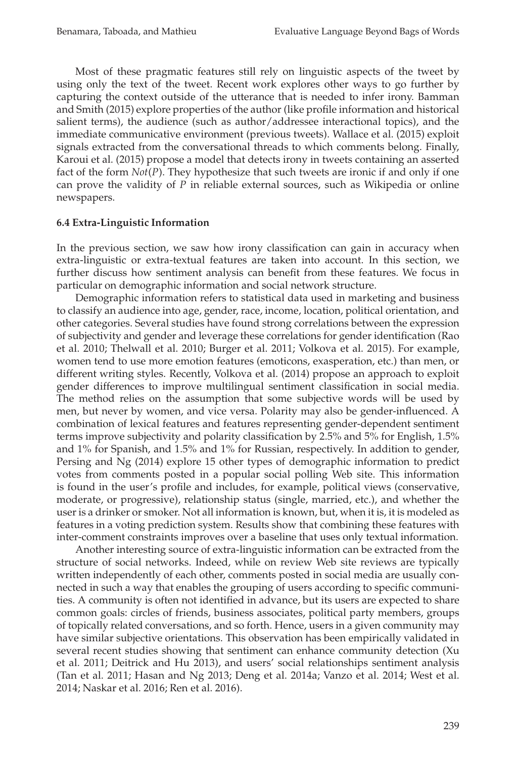Most of these pragmatic features still rely on linguistic aspects of the tweet by using only the text of the tweet. Recent work explores other ways to go further by capturing the context outside of the utterance that is needed to infer irony. Bamman and Smith (2015) explore properties of the author (like profile information and historical salient terms), the audience (such as author/addressee interactional topics), and the immediate communicative environment (previous tweets). Wallace et al. (2015) exploit signals extracted from the conversational threads to which comments belong. Finally, Karoui et al. (2015) propose a model that detects irony in tweets containing an asserted fact of the form *Not*(*P*). They hypothesize that such tweets are ironic if and only if one can prove the validity of *P* in reliable external sources, such as Wikipedia or online newspapers.

#### **6.4 Extra-Linguistic Information**

In the previous section, we saw how irony classification can gain in accuracy when extra-linguistic or extra-textual features are taken into account. In this section, we further discuss how sentiment analysis can benefit from these features. We focus in particular on demographic information and social network structure.

Demographic information refers to statistical data used in marketing and business to classify an audience into age, gender, race, income, location, political orientation, and other categories. Several studies have found strong correlations between the expression of subjectivity and gender and leverage these correlations for gender identification (Rao et al. 2010; Thelwall et al. 2010; Burger et al. 2011; Volkova et al. 2015). For example, women tend to use more emotion features (emoticons, exasperation, etc.) than men, or different writing styles. Recently, Volkova et al. (2014) propose an approach to exploit gender differences to improve multilingual sentiment classification in social media. The method relies on the assumption that some subjective words will be used by men, but never by women, and vice versa. Polarity may also be gender-influenced. A combination of lexical features and features representing gender-dependent sentiment terms improve subjectivity and polarity classification by 2.5% and 5% for English, 1.5% and 1% for Spanish, and 1.5% and 1% for Russian, respectively. In addition to gender, Persing and Ng (2014) explore 15 other types of demographic information to predict votes from comments posted in a popular social polling Web site. This information is found in the user's profile and includes, for example, political views (conservative, moderate, or progressive), relationship status (single, married, etc.), and whether the user is a drinker or smoker. Not all information is known, but, when it is, it is modeled as features in a voting prediction system. Results show that combining these features with inter-comment constraints improves over a baseline that uses only textual information.

Another interesting source of extra-linguistic information can be extracted from the structure of social networks. Indeed, while on review Web site reviews are typically written independently of each other, comments posted in social media are usually connected in such a way that enables the grouping of users according to specific communities. A community is often not identified in advance, but its users are expected to share common goals: circles of friends, business associates, political party members, groups of topically related conversations, and so forth. Hence, users in a given community may have similar subjective orientations. This observation has been empirically validated in several recent studies showing that sentiment can enhance community detection (Xu et al. 2011; Deitrick and Hu 2013), and users' social relationships sentiment analysis (Tan et al. 2011; Hasan and Ng 2013; Deng et al. 2014a; Vanzo et al. 2014; West et al. 2014; Naskar et al. 2016; Ren et al. 2016).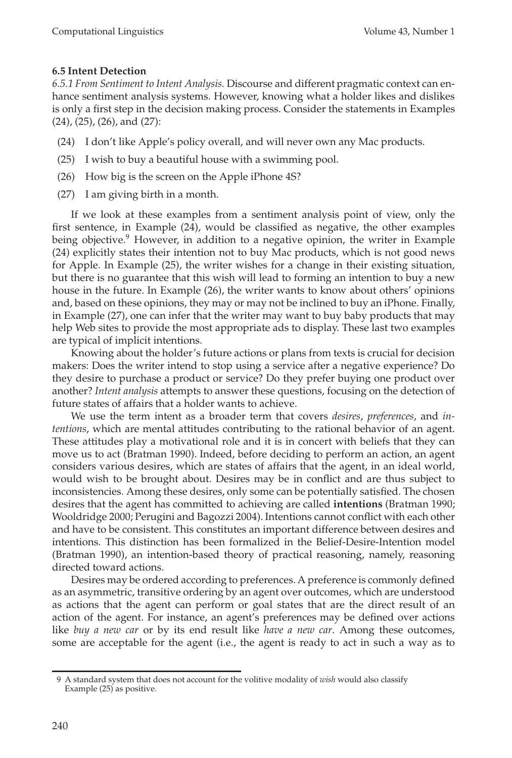## **6.5 Intent Detection**

*6.5.1 From Sentiment to Intent Analysis.* Discourse and different pragmatic context can enhance sentiment analysis systems. However, knowing what a holder likes and dislikes is only a first step in the decision making process. Consider the statements in Examples (24), (25), (26), and (27):

- (24) I don't like Apple's policy overall, and will never own any Mac products.
- (25) I wish to buy a beautiful house with a swimming pool.
- (26) How big is the screen on the Apple iPhone 4S?
- (27) I am giving birth in a month.

If we look at these examples from a sentiment analysis point of view, only the first sentence, in Example (24), would be classified as negative, the other examples being objective.<sup>9</sup> However, in addition to a negative opinion, the writer in Example (24) explicitly states their intention not to buy Mac products, which is not good news for Apple. In Example (25), the writer wishes for a change in their existing situation, but there is no guarantee that this wish will lead to forming an intention to buy a new house in the future. In Example (26), the writer wants to know about others' opinions and, based on these opinions, they may or may not be inclined to buy an iPhone. Finally, in Example (27), one can infer that the writer may want to buy baby products that may help Web sites to provide the most appropriate ads to display. These last two examples are typical of implicit intentions.

Knowing about the holder's future actions or plans from texts is crucial for decision makers: Does the writer intend to stop using a service after a negative experience? Do they desire to purchase a product or service? Do they prefer buying one product over another? *Intent analysis* attempts to answer these questions, focusing on the detection of future states of affairs that a holder wants to achieve.

We use the term intent as a broader term that covers *desires*, *preferences*, and *intentions*, which are mental attitudes contributing to the rational behavior of an agent. These attitudes play a motivational role and it is in concert with beliefs that they can move us to act (Bratman 1990). Indeed, before deciding to perform an action, an agent considers various desires, which are states of affairs that the agent, in an ideal world, would wish to be brought about. Desires may be in conflict and are thus subject to inconsistencies. Among these desires, only some can be potentially satisfied. The chosen desires that the agent has committed to achieving are called **intentions** (Bratman 1990; Wooldridge 2000; Perugini and Bagozzi 2004). Intentions cannot conflict with each other and have to be consistent. This constitutes an important difference between desires and intentions. This distinction has been formalized in the Belief-Desire-Intention model (Bratman 1990), an intention-based theory of practical reasoning, namely, reasoning directed toward actions.

Desires may be ordered according to preferences. A preference is commonly defined as an asymmetric, transitive ordering by an agent over outcomes, which are understood as actions that the agent can perform or goal states that are the direct result of an action of the agent. For instance, an agent's preferences may be defined over actions like *buy a new car* or by its end result like *have a new car*. Among these outcomes, some are acceptable for the agent (i.e., the agent is ready to act in such a way as to

<sup>9</sup> A standard system that does not account for the volitive modality of *wish* would also classify Example (25) as positive.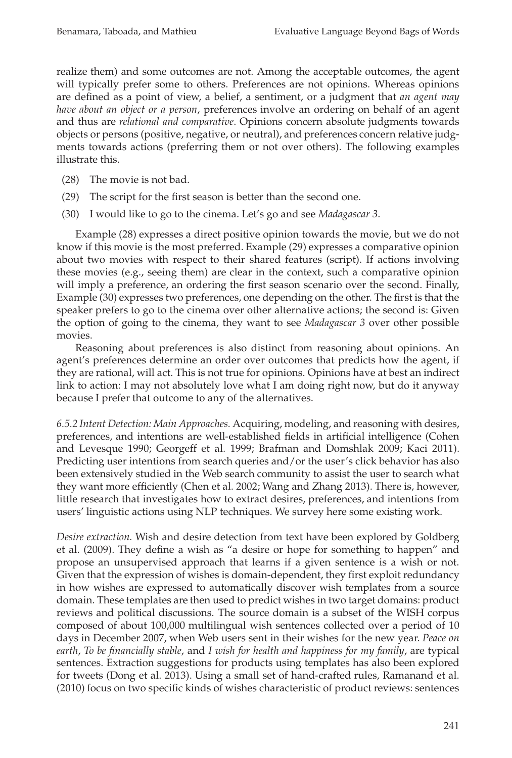realize them) and some outcomes are not. Among the acceptable outcomes, the agent will typically prefer some to others. Preferences are not opinions. Whereas opinions are defined as a point of view, a belief, a sentiment, or a judgment that *an agent may have about an object or a person*, preferences involve an ordering on behalf of an agent and thus are *relational and comparative*. Opinions concern absolute judgments towards objects or persons (positive, negative, or neutral), and preferences concern relative judgments towards actions (preferring them or not over others). The following examples illustrate this.

- (28) The movie is not bad.
- (29) The script for the first season is better than the second one.
- (30) I would like to go to the cinema. Let's go and see *Madagascar 3*.

Example (28) expresses a direct positive opinion towards the movie, but we do not know if this movie is the most preferred. Example (29) expresses a comparative opinion about two movies with respect to their shared features (script). If actions involving these movies (e.g., seeing them) are clear in the context, such a comparative opinion will imply a preference, an ordering the first season scenario over the second. Finally, Example (30) expresses two preferences, one depending on the other. The first is that the speaker prefers to go to the cinema over other alternative actions; the second is: Given the option of going to the cinema, they want to see *Madagascar 3* over other possible movies.

Reasoning about preferences is also distinct from reasoning about opinions. An agent's preferences determine an order over outcomes that predicts how the agent, if they are rational, will act. This is not true for opinions. Opinions have at best an indirect link to action: I may not absolutely love what I am doing right now, but do it anyway because I prefer that outcome to any of the alternatives.

*6.5.2 Intent Detection: Main Approaches.* Acquiring, modeling, and reasoning with desires, preferences, and intentions are well-established fields in artificial intelligence (Cohen and Levesque 1990; Georgeff et al. 1999; Brafman and Domshlak 2009; Kaci 2011). Predicting user intentions from search queries and/or the user's click behavior has also been extensively studied in the Web search community to assist the user to search what they want more efficiently (Chen et al. 2002; Wang and Zhang 2013). There is, however, little research that investigates how to extract desires, preferences, and intentions from users' linguistic actions using NLP techniques. We survey here some existing work.

*Desire extraction.* Wish and desire detection from text have been explored by Goldberg et al. (2009). They define a wish as "a desire or hope for something to happen" and propose an unsupervised approach that learns if a given sentence is a wish or not. Given that the expression of wishes is domain-dependent, they first exploit redundancy in how wishes are expressed to automatically discover wish templates from a source domain. These templates are then used to predict wishes in two target domains: product reviews and political discussions. The source domain is a subset of the WISH corpus composed of about 100,000 multilingual wish sentences collected over a period of 10 days in December 2007, when Web users sent in their wishes for the new year. *Peace on earth*, *To be financially stable*, and *I wish for health and happiness for my family*, are typical sentences. Extraction suggestions for products using templates has also been explored for tweets (Dong et al. 2013). Using a small set of hand-crafted rules, Ramanand et al. (2010) focus on two specific kinds of wishes characteristic of product reviews: sentences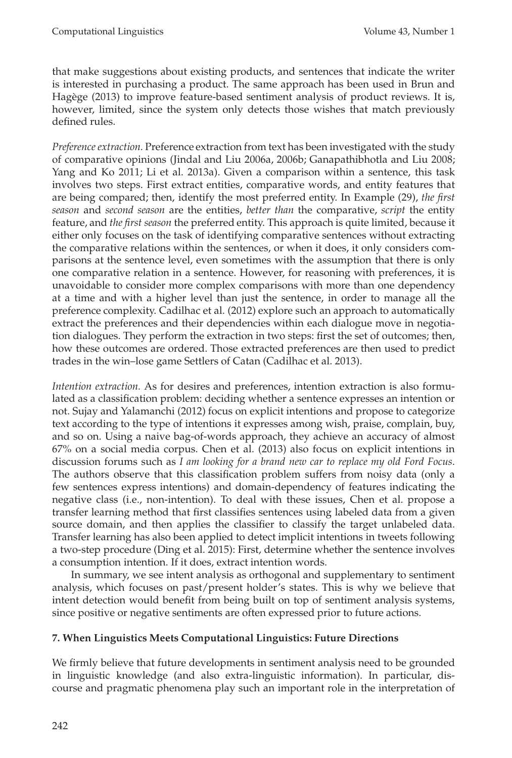that make suggestions about existing products, and sentences that indicate the writer is interested in purchasing a product. The same approach has been used in Brun and Hagège (2013) to improve feature-based sentiment analysis of product reviews. It is, however, limited, since the system only detects those wishes that match previously defined rules.

*Preference extraction.* Preference extraction from text has been investigated with the study of comparative opinions (Jindal and Liu 2006a, 2006b; Ganapathibhotla and Liu 2008; Yang and Ko 2011; Li et al. 2013a). Given a comparison within a sentence, this task involves two steps. First extract entities, comparative words, and entity features that are being compared; then, identify the most preferred entity. In Example (29), *the first season* and *second season* are the entities, *better than* the comparative, *script* the entity feature, and *the first season* the preferred entity. This approach is quite limited, because it either only focuses on the task of identifying comparative sentences without extracting the comparative relations within the sentences, or when it does, it only considers comparisons at the sentence level, even sometimes with the assumption that there is only one comparative relation in a sentence. However, for reasoning with preferences, it is unavoidable to consider more complex comparisons with more than one dependency at a time and with a higher level than just the sentence, in order to manage all the preference complexity. Cadilhac et al. (2012) explore such an approach to automatically extract the preferences and their dependencies within each dialogue move in negotiation dialogues. They perform the extraction in two steps: first the set of outcomes; then, how these outcomes are ordered. Those extracted preferences are then used to predict trades in the win–lose game Settlers of Catan (Cadilhac et al. 2013).

*Intention extraction.* As for desires and preferences, intention extraction is also formulated as a classification problem: deciding whether a sentence expresses an intention or not. Sujay and Yalamanchi (2012) focus on explicit intentions and propose to categorize text according to the type of intentions it expresses among wish, praise, complain, buy, and so on. Using a naive bag-of-words approach, they achieve an accuracy of almost 67% on a social media corpus. Chen et al. (2013) also focus on explicit intentions in discussion forums such as *I am looking for a brand new car to replace my old Ford Focus*. The authors observe that this classification problem suffers from noisy data (only a few sentences express intentions) and domain-dependency of features indicating the negative class (i.e., non-intention). To deal with these issues, Chen et al. propose a transfer learning method that first classifies sentences using labeled data from a given source domain, and then applies the classifier to classify the target unlabeled data. Transfer learning has also been applied to detect implicit intentions in tweets following a two-step procedure (Ding et al. 2015): First, determine whether the sentence involves a consumption intention. If it does, extract intention words.

In summary, we see intent analysis as orthogonal and supplementary to sentiment analysis, which focuses on past/present holder's states. This is why we believe that intent detection would benefit from being built on top of sentiment analysis systems, since positive or negative sentiments are often expressed prior to future actions.

# **7. When Linguistics Meets Computational Linguistics: Future Directions**

We firmly believe that future developments in sentiment analysis need to be grounded in linguistic knowledge (and also extra-linguistic information). In particular, discourse and pragmatic phenomena play such an important role in the interpretation of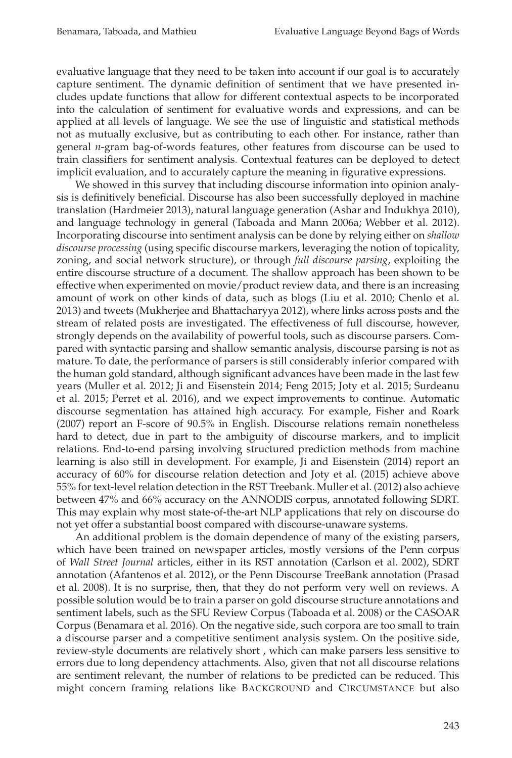evaluative language that they need to be taken into account if our goal is to accurately capture sentiment. The dynamic definition of sentiment that we have presented includes update functions that allow for different contextual aspects to be incorporated into the calculation of sentiment for evaluative words and expressions, and can be applied at all levels of language. We see the use of linguistic and statistical methods not as mutually exclusive, but as contributing to each other. For instance, rather than general *n*-gram bag-of-words features, other features from discourse can be used to train classifiers for sentiment analysis. Contextual features can be deployed to detect implicit evaluation, and to accurately capture the meaning in figurative expressions.

We showed in this survey that including discourse information into opinion analysis is definitively beneficial. Discourse has also been successfully deployed in machine translation (Hardmeier 2013), natural language generation (Ashar and Indukhya 2010), and language technology in general (Taboada and Mann 2006a; Webber et al. 2012). Incorporating discourse into sentiment analysis can be done by relying either on *shallow discourse processing* (using specific discourse markers, leveraging the notion of topicality, zoning, and social network structure), or through *full discourse parsing*, exploiting the entire discourse structure of a document. The shallow approach has been shown to be effective when experimented on movie/product review data, and there is an increasing amount of work on other kinds of data, such as blogs (Liu et al. 2010; Chenlo et al. 2013) and tweets (Mukherjee and Bhattacharyya 2012), where links across posts and the stream of related posts are investigated. The effectiveness of full discourse, however, strongly depends on the availability of powerful tools, such as discourse parsers. Compared with syntactic parsing and shallow semantic analysis, discourse parsing is not as mature. To date, the performance of parsers is still considerably inferior compared with the human gold standard, although significant advances have been made in the last few years (Muller et al. 2012; Ji and Eisenstein 2014; Feng 2015; Joty et al. 2015; Surdeanu et al. 2015; Perret et al. 2016), and we expect improvements to continue. Automatic discourse segmentation has attained high accuracy. For example, Fisher and Roark (2007) report an F-score of 90.5% in English. Discourse relations remain nonetheless hard to detect, due in part to the ambiguity of discourse markers, and to implicit relations. End-to-end parsing involving structured prediction methods from machine learning is also still in development. For example, Ji and Eisenstein (2014) report an accuracy of 60% for discourse relation detection and Joty et al. (2015) achieve above 55% for text-level relation detection in the RST Treebank. Muller et al. (2012) also achieve between 47% and 66% accuracy on the ANNODIS corpus, annotated following SDRT. This may explain why most state-of-the-art NLP applications that rely on discourse do not yet offer a substantial boost compared with discourse-unaware systems.

An additional problem is the domain dependence of many of the existing parsers, which have been trained on newspaper articles, mostly versions of the Penn corpus of *Wall Street Journal* articles, either in its RST annotation (Carlson et al. 2002), SDRT annotation (Afantenos et al. 2012), or the Penn Discourse TreeBank annotation (Prasad et al. 2008). It is no surprise, then, that they do not perform very well on reviews. A possible solution would be to train a parser on gold discourse structure annotations and sentiment labels, such as the SFU Review Corpus (Taboada et al. 2008) or the CASOAR Corpus (Benamara et al. 2016). On the negative side, such corpora are too small to train a discourse parser and a competitive sentiment analysis system. On the positive side, review-style documents are relatively short , which can make parsers less sensitive to errors due to long dependency attachments. Also, given that not all discourse relations are sentiment relevant, the number of relations to be predicted can be reduced. This might concern framing relations like BACKGROUND and CIRCUMSTANCE but also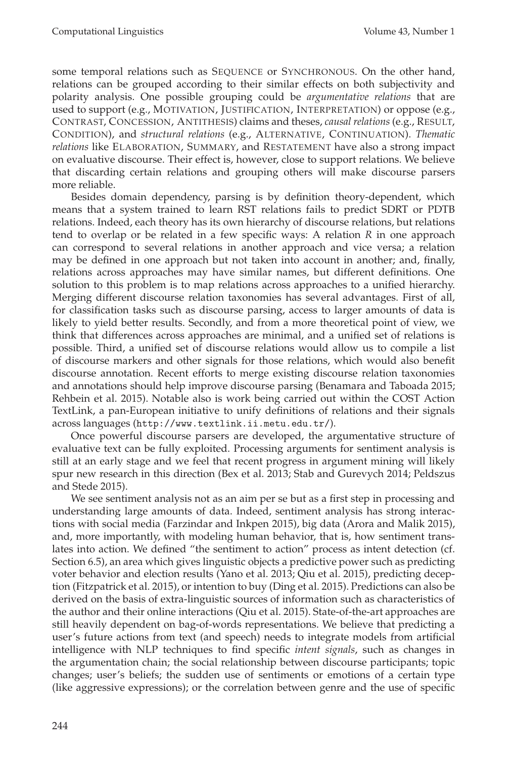some temporal relations such as SEQUENCE or SYNCHRONOUS. On the other hand, relations can be grouped according to their similar effects on both subjectivity and polarity analysis. One possible grouping could be *argumentative relations* that are used to support (e.g., MOTIVATION, JUSTIFICATION, INTERPRETATION) or oppose (e.g., CONTRAST, CONCESSION, ANTITHESIS) claims and theses, *causal relations* (e.g., RESULT, CONDITION), and *structural relations* (e.g., ALTERNATIVE, CONTINUATION). *Thematic relations* like ELABORATION, SUMMARY, and RESTATEMENT have also a strong impact on evaluative discourse. Their effect is, however, close to support relations. We believe that discarding certain relations and grouping others will make discourse parsers more reliable.

Besides domain dependency, parsing is by definition theory-dependent, which means that a system trained to learn RST relations fails to predict SDRT or PDTB relations. Indeed, each theory has its own hierarchy of discourse relations, but relations tend to overlap or be related in a few specific ways: A relation *R* in one approach can correspond to several relations in another approach and vice versa; a relation may be defined in one approach but not taken into account in another; and, finally, relations across approaches may have similar names, but different definitions. One solution to this problem is to map relations across approaches to a unified hierarchy. Merging different discourse relation taxonomies has several advantages. First of all, for classification tasks such as discourse parsing, access to larger amounts of data is likely to yield better results. Secondly, and from a more theoretical point of view, we think that differences across approaches are minimal, and a unified set of relations is possible. Third, a unified set of discourse relations would allow us to compile a list of discourse markers and other signals for those relations, which would also benefit discourse annotation. Recent efforts to merge existing discourse relation taxonomies and annotations should help improve discourse parsing (Benamara and Taboada 2015; Rehbein et al. 2015). Notable also is work being carried out within the COST Action TextLink, a pan-European initiative to unify definitions of relations and their signals across languages (http://www.textlink.ii.metu.edu.tr/).

Once powerful discourse parsers are developed, the argumentative structure of evaluative text can be fully exploited. Processing arguments for sentiment analysis is still at an early stage and we feel that recent progress in argument mining will likely spur new research in this direction (Bex et al. 2013; Stab and Gurevych 2014; Peldszus and Stede 2015).

We see sentiment analysis not as an aim per se but as a first step in processing and understanding large amounts of data. Indeed, sentiment analysis has strong interactions with social media (Farzindar and Inkpen 2015), big data (Arora and Malik 2015), and, more importantly, with modeling human behavior, that is, how sentiment translates into action. We defined "the sentiment to action" process as intent detection (cf. Section 6.5), an area which gives linguistic objects a predictive power such as predicting voter behavior and election results (Yano et al. 2013; Qiu et al. 2015), predicting deception (Fitzpatrick et al. 2015), or intention to buy (Ding et al. 2015). Predictions can also be derived on the basis of extra-linguistic sources of information such as characteristics of the author and their online interactions (Qiu et al. 2015). State-of-the-art approaches are still heavily dependent on bag-of-words representations. We believe that predicting a user's future actions from text (and speech) needs to integrate models from artificial intelligence with NLP techniques to find specific *intent signals*, such as changes in the argumentation chain; the social relationship between discourse participants; topic changes; user's beliefs; the sudden use of sentiments or emotions of a certain type (like aggressive expressions); or the correlation between genre and the use of specific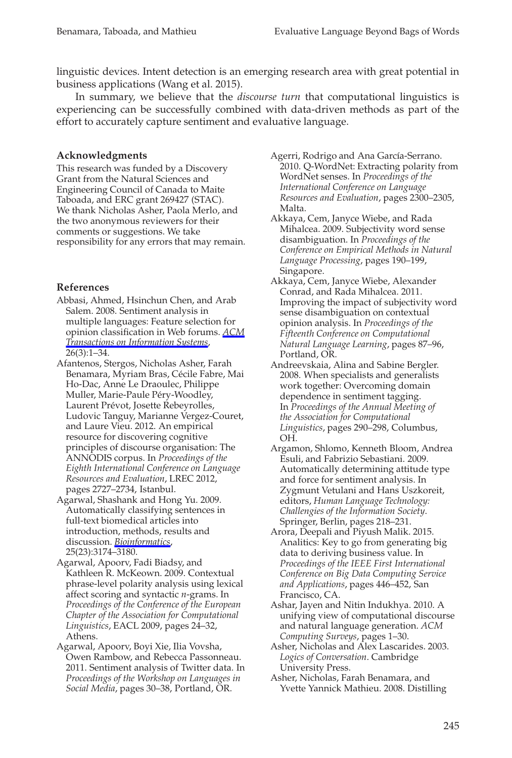linguistic devices. Intent detection is an emerging research area with great potential in business applications (Wang et al. 2015).

In summary, we believe that the *discourse turn* that computational linguistics is experiencing can be successfully combined with data-driven methods as part of the effort to accurately capture sentiment and evaluative language.

#### **Acknowledgments**

This research was funded by a Discovery Grant from the Natural Sciences and Engineering Council of Canada to Maite Taboada, and ERC grant 269427 (STAC). We thank Nicholas Asher, Paola Merlo, and the two anonymous reviewers for their comments or suggestions. We take responsibility for any errors that may remain.

#### **References**

- Abbasi, Ahmed, Hsinchun Chen, and Arab Salem. 2008. Sentiment analysis in multiple languages: Feature selection for opinion classification in Web forums. *[ACM](http://www.mitpressjournals.org/action/showLinks?crossref=10.1145%2F1361684.1361685) [Transactions on Information Systems](http://www.mitpressjournals.org/action/showLinks?crossref=10.1145%2F1361684.1361685)*,  $26(3):1-34.$
- Afantenos, Stergos, Nicholas Asher, Farah Benamara, Myriam Bras, Cécile Fabre, Mai Ho-Dac, Anne Le Draoulec, Philippe Muller, Marie-Paule Péry-Woodley, Laurent Prévot, Josette Rebeyrolles, Ludovic Tanguy, Marianne Vergez-Couret, and Laure Vieu. 2012. An empirical resource for discovering cognitive principles of discourse organisation: The ANNODIS corpus. In *Proceedings of the Eighth International Conference on Language Resources and Evaluation*, LREC 2012, pages 2727–2734, Istanbul.
- Agarwal, Shashank and Hong Yu. 2009. Automatically classifying sentences in full-text biomedical articles into introduction, methods, results and discussion. *[Bioinformatics](http://www.mitpressjournals.org/action/showLinks?crossref=10.1093%2Fbioinformatics%2Fbtp548)*, 25(23):3174–3180.
- Agarwal, Apoorv, Fadi Biadsy, and Kathleen R. McKeown. 2009. Contextual phrase-level polarity analysis using lexical affect scoring and syntactic *n*-grams. In *Proceedings of the Conference of the European Chapter of the Association for Computational Linguistics*, EACL 2009, pages 24–32, Athens.
- Agarwal, Apoorv, Boyi Xie, Ilia Vovsha, Owen Rambow, and Rebecca Passonneau. 2011. Sentiment analysis of Twitter data. In *Proceedings of the Workshop on Languages in Social Media*, pages 30–38, Portland, OR.
- Agerri, Rodrigo and Ana García-Serrano. 2010. Q-WordNet: Extracting polarity from WordNet senses. In *Proceedings of the International Conference on Language Resources and Evaluation*, pages 2300–2305, Malta.
- Akkaya, Cem, Janyce Wiebe, and Rada Mihalcea. 2009. Subjectivity word sense disambiguation. In *Proceedings of the Conference on Empirical Methods in Natural Language Processing*, pages 190–199, Singapore.
- Akkaya, Cem, Janyce Wiebe, Alexander Conrad, and Rada Mihalcea. 2011. Improving the impact of subjectivity word sense disambiguation on contextual opinion analysis. In *Proceedings of the Fifteenth Conference on Computational Natural Language Learning*, pages 87–96, Portland, OR.
- Andreevskaia, Alina and Sabine Bergler. 2008. When specialists and generalists work together: Overcoming domain dependence in sentiment tagging. In *Proceedings of the Annual Meeting of the Association for Computational Linguistics*, pages 290–298, Columbus, OH.
- Argamon, Shlomo, Kenneth Bloom, Andrea Esuli, and Fabrizio Sebastiani. 2009. Automatically determining attitude type and force for sentiment analysis. In Zygmunt Vetulani and Hans Uszkoreit, editors, *Human Language Technology: Challengies of the Information Society*. Springer, Berlin, pages 218–231.
- Arora, Deepali and Piyush Malik. 2015. Analitics: Key to go from generating big data to deriving business value. In *Proceedings of the IEEE First International Conference on Big Data Computing Service and Applications*, pages 446–452, San Francisco, CA.
- Ashar, Jayen and Nitin Indukhya. 2010. A unifying view of computational discourse and natural language generation. *ACM Computing Surveys*, pages 1–30.
- Asher, Nicholas and Alex Lascarides. 2003. *Logics of Conversation*. Cambridge University Press.
- Asher, Nicholas, Farah Benamara, and Yvette Yannick Mathieu. 2008. Distilling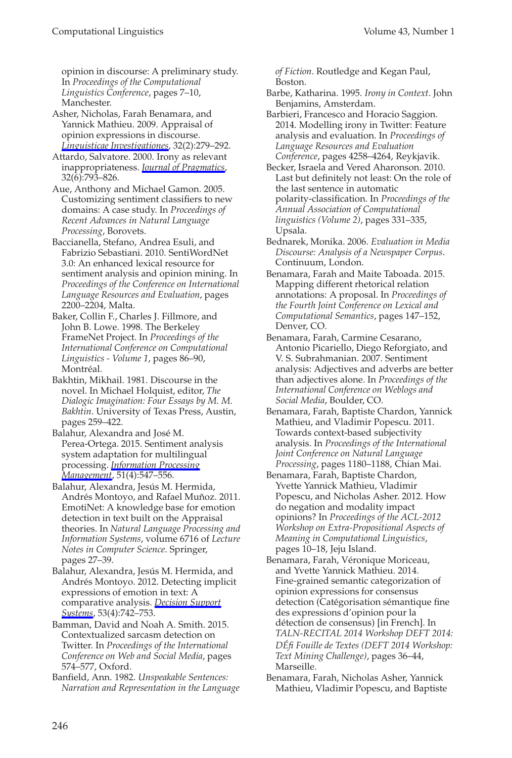opinion in discourse: A preliminary study. In *Proceedings of the Computational Linguistics Conference*, pages 7–10, Manchester.

Asher, Nicholas, Farah Benamara, and Yannick Mathieu. 2009. Appraisal of opinion expressions in discourse. *[Linguisticae Investigationes](http://www.mitpressjournals.org/action/showLinks?crossref=10.1075%2Fli.32.2.10ash)*, 32(2):279–292.

Attardo, Salvatore. 2000. Irony as relevant inappropriateness. *[Journal of Pragmatics](http://www.mitpressjournals.org/action/showLinks?crossref=10.1016%2FS0378-2166%2899%2900070-3)*, 32(6):793–826.

Aue, Anthony and Michael Gamon. 2005. Customizing sentiment classifiers to new domains: A case study. In *Proceedings of Recent Advances in Natural Language Processing*, Borovets.

Baccianella, Stefano, Andrea Esuli, and Fabrizio Sebastiani. 2010. SentiWordNet 3.0: An enhanced lexical resource for sentiment analysis and opinion mining. In *Proceedings of the Conference on International Language Resources and Evaluation*, pages 2200–2204, Malta.

Baker, Collin F., Charles J. Fillmore, and John B. Lowe. 1998. The Berkeley FrameNet Project. In *Proceedings of the International Conference on Computational Linguistics - Volume 1*, pages 86–90, Montréal.

Bakhtin, Mikhail. 1981. Discourse in the novel. In Michael Holquist, editor, *The Dialogic Imagination: Four Essays by M. M. Bakhtin*. University of Texas Press, Austin, pages 259–422.

Balahur, Alexandra and José M. Perea-Ortega. 2015. Sentiment analysis system adaptation for multilingual processing. *[Information Processing](http://www.mitpressjournals.org/action/showLinks?crossref=10.1016%2Fj.ipm.2014.10.004) [Management](http://www.mitpressjournals.org/action/showLinks?crossref=10.1016%2Fj.ipm.2014.10.004)*, 51(4):547–556.

Balahur, Alexandra, Jesús M. Hermida, Andrés Montoyo, and Rafael Muñoz. 2011. EmotiNet: A knowledge base for emotion detection in text built on the Appraisal theories. In *Natural Language Processing and Information Systems*, volume 6716 of *Lecture Notes in Computer Science*. Springer, pages 27–39.

Balahur, Alexandra, Jesús M. Hermida, and Andrés Montoyo. 2012. Detecting implicit expressions of emotion in text: A comparative analysis. *[Decision Support](http://www.mitpressjournals.org/action/showLinks?crossref=10.1016%2Fj.dss.2012.05.024) [Systems](http://www.mitpressjournals.org/action/showLinks?crossref=10.1016%2Fj.dss.2012.05.024)*, 53(4):742–753.

Bamman, David and Noah A. Smith. 2015. Contextualized sarcasm detection on Twitter. In *Proceedings of the International Conference on Web and Social Media*, pages 574–577, Oxford.

Banfield, Ann. 1982. *Unspeakable Sentences: Narration and Representation in the Language* *of Fiction*. Routledge and Kegan Paul, Boston.

- Barbe, Katharina. 1995. *Irony in Context*. John Benjamins, Amsterdam.
- Barbieri, Francesco and Horacio Saggion. 2014. Modelling irony in Twitter: Feature analysis and evaluation. In *Proceedings of Language Resources and Evaluation Conference*, pages 4258–4264, Reykjavik.

Becker, Israela and Vered Aharonson. 2010. Last but definitely not least: On the role of the last sentence in automatic polarity-classification. In *Proceedings of the Annual Association of Computational linguistics (Volume 2)*, pages 331–335, Upsala.

Bednarek, Monika. 2006. *Evaluation in Media Discourse: Analysis of a Newspaper Corpus*. Continuum, London.

Benamara, Farah and Maite Taboada. 2015. Mapping different rhetorical relation annotations: A proposal. In *Proceedings of the Fourth Joint Conference on Lexical and Computational Semantics*, pages 147–152, Denver, CO.

Benamara, Farah, Carmine Cesarano, Antonio Picariello, Diego Reforgiato, and V. S. Subrahmanian. 2007. Sentiment analysis: Adjectives and adverbs are better than adjectives alone. In *Proceedings of the International Conference on Weblogs and Social Media*, Boulder, CO.

Benamara, Farah, Baptiste Chardon, Yannick Mathieu, and Vladimir Popescu. 2011. Towards context-based subjectivity analysis. In *Proceedings of the International Joint Conference on Natural Language Processing*, pages 1180–1188, Chian Mai.

Benamara, Farah, Baptiste Chardon, Yvette Yannick Mathieu, Vladimir Popescu, and Nicholas Asher. 2012. How do negation and modality impact opinions? In *Proceedings of the ACL-2012 Workshop on Extra-Propositional Aspects of Meaning in Computational Linguistics*, pages 10–18, Jeju Island.

- Benamara, Farah, Véronique Moriceau, and Yvette Yannick Mathieu. 2014. Fine-grained semantic categorization of opinion expressions for consensus detection (Catégorisation sémantique fine des expressions d'opinion pour la détection de consensus) [in French]. In *TALN-RECITAL 2014 Workshop DEFT 2014: DEfi Fouille de Textes (DEFT 2014 Workshop: ´ Text Mining Challenge)*, pages 36–44, Marseille.
- Benamara, Farah, Nicholas Asher, Yannick Mathieu, Vladimir Popescu, and Baptiste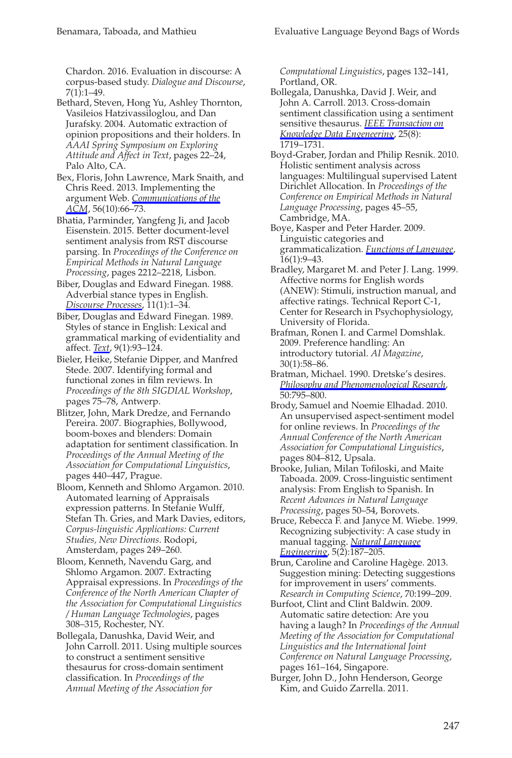Chardon. 2016. Evaluation in discourse: A corpus-based study. *Dialogue and Discourse*, 7(1):1–49.

Bethard, Steven, Hong Yu, Ashley Thornton, Vasileios Hatzivassiloglou, and Dan Jurafsky. 2004. Automatic extraction of opinion propositions and their holders. In *AAAI Spring Symposium on Exploring Attitude and Affect in Text*, pages 22–24, Palo Alto, CA.

Bex, Floris, John Lawrence, Mark Snaith, and Chris Reed. 2013. Implementing the argument Web. *[Communications of the](http://www.mitpressjournals.org/action/showLinks?crossref=10.1145%2F2500891) [ACM](http://www.mitpressjournals.org/action/showLinks?crossref=10.1145%2F2500891)*, 56(10):66–73.

Bhatia, Parminder, Yangfeng Ji, and Jacob Eisenstein. 2015. Better document-level sentiment analysis from RST discourse parsing. In *Proceedings of the Conference on Empirical Methods in Natural Language Processing*, pages 2212–2218, Lisbon.

Biber, Douglas and Edward Finegan. 1988. Adverbial stance types in English. *[Discourse Processes](http://www.mitpressjournals.org/action/showLinks?crossref=10.1080%2F01638538809544689)*, 11(1):1–34.

Biber, Douglas and Edward Finegan. 1989. Styles of stance in English: Lexical and grammatical marking of evidentiality and affect. *[Text](http://www.mitpressjournals.org/action/showLinks?crossref=10.1515%2Ftext.1.1989.9.1.93)*, 9(1):93–124.

Bieler, Heike, Stefanie Dipper, and Manfred Stede. 2007. Identifying formal and functional zones in film reviews. In *Proceedings of the 8th SIGDIAL Workshop*, pages 75–78, Antwerp.

Blitzer, John, Mark Dredze, and Fernando Pereira. 2007. Biographies, Bollywood, boom-boxes and blenders: Domain adaptation for sentiment classification. In *Proceedings of the Annual Meeting of the Association for Computational Linguistics*, pages 440–447, Prague.

Bloom, Kenneth and Shlomo Argamon. 2010. Automated learning of Appraisals expression patterns. In Stefanie Wulff, Stefan Th. Gries, and Mark Davies, editors, *Corpus-linguistic Applications: Current Studies, New Directions*. Rodopi, Amsterdam, pages 249–260.

Bloom, Kenneth, Navendu Garg, and Shlomo Argamon. 2007. Extracting Appraisal expressions. In *Proceedings of the Conference of the North American Chapter of the Association for Computational Linguistics / Human Language Technologies*, pages 308–315, Rochester, NY.

Bollegala, Danushka, David Weir, and John Carroll. 2011. Using multiple sources to construct a sentiment sensitive thesaurus for cross-domain sentiment classification. In *Proceedings of the Annual Meeting of the Association for*

*Computational Linguistics*, pages 132–141, Portland, OR.

Bollegala, Danushka, David J. Weir, and John A. Carroll. 2013. Cross-domain sentiment classification using a sentiment sensitive thesaurus. *[IEEE Transaction on](http://www.mitpressjournals.org/action/showLinks?crossref=10.1109%2FTKDE.2012.103) [Knowledge Data Engeneering](http://www.mitpressjournals.org/action/showLinks?crossref=10.1109%2FTKDE.2012.103)*, 25(8): 1719–1731.

Boyd-Graber, Jordan and Philip Resnik. 2010. Holistic sentiment analysis across languages: Multilingual supervised Latent Dirichlet Allocation. In *Proceedings of the Conference on Empirical Methods in Natural Language Processing*, pages 45–55, Cambridge, MA.

Boye, Kasper and Peter Harder. 2009. Linguistic categories and grammaticalization. *[Functions of Language](http://www.mitpressjournals.org/action/showLinks?crossref=10.1075%2Ffol.16.1.03boy)*, 16(1):9–43.

Bradley, Margaret M. and Peter J. Lang. 1999. Affective norms for English words (ANEW): Stimuli, instruction manual, and affective ratings. Technical Report C-1, Center for Research in Psychophysiology, University of Florida.

Brafman, Ronen I. and Carmel Domshlak. 2009. Preference handling: An introductory tutorial. *AI Magazine*, 30(1):58–86.

Bratman, Michael. 1990. Dretske's desires. *[Philosophy and Phenomenological Research](http://www.mitpressjournals.org/action/showLinks?crossref=10.2307%2F2108240)*, 50:795–800.

Brody, Samuel and Noemie Elhadad. 2010. An unsupervised aspect-sentiment model for online reviews. In *Proceedings of the Annual Conference of the North American Association for Computational Linguistics*, pages 804–812, Upsala.

Brooke, Julian, Milan Tofiloski, and Maite Taboada. 2009. Cross-linguistic sentiment analysis: From English to Spanish. In *Recent Advances in Natural Language Processing*, pages 50–54, Borovets.

Bruce, Rebecca F. and Janyce M. Wiebe. 1999. Recognizing subjectivity: A case study in manual tagging. *[Natural Language](http://www.mitpressjournals.org/action/showLinks?crossref=10.1017%2FS1351324999002181) [Engineering](http://www.mitpressjournals.org/action/showLinks?crossref=10.1017%2FS1351324999002181)*, 5(2):187–205.

Brun, Caroline and Caroline Hagège. 2013. Suggestion mining: Detecting suggestions for improvement in users' comments. *Research in Computing Science*, 70:199–209.

Burfoot, Clint and Clint Baldwin. 2009. Automatic satire detection: Are you having a laugh? In *Proceedings of the Annual Meeting of the Association for Computational Linguistics and the International Joint Conference on Natural Language Processing*, pages 161–164, Singapore.

Burger, John D., John Henderson, George Kim, and Guido Zarrella. 2011.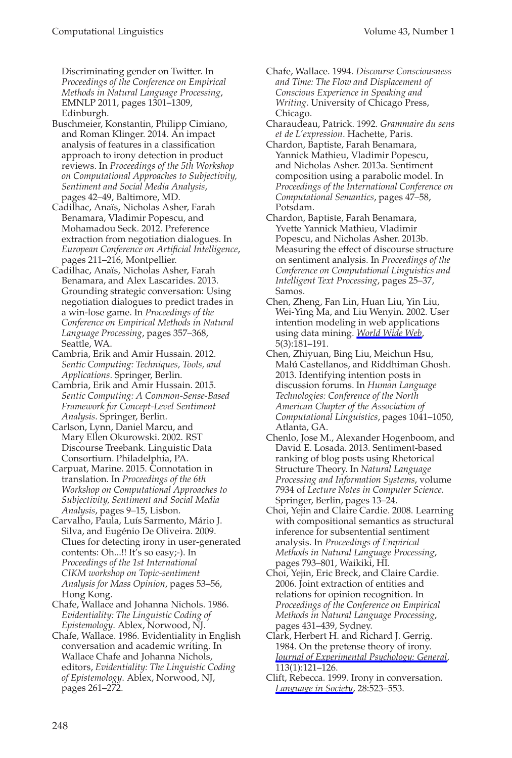Discriminating gender on Twitter. In *Proceedings of the Conference on Empirical Methods in Natural Language Processing*, EMNLP 2011, pages 1301–1309, Edinburgh.

- Buschmeier, Konstantin, Philipp Cimiano, and Roman Klinger. 2014. An impact analysis of features in a classification approach to irony detection in product reviews. In *Proceedings of the 5th Workshop on Computational Approaches to Subjectivity, Sentiment and Social Media Analysis*, pages 42–49, Baltimore, MD.
- Cadilhac, Ana¨ıs, Nicholas Asher, Farah Benamara, Vladimir Popescu, and Mohamadou Seck. 2012. Preference extraction from negotiation dialogues. In *European Conference on Artificial Intelligence*, pages 211–216, Montpellier.
- Cadilhac, Ana¨ıs, Nicholas Asher, Farah Benamara, and Alex Lascarides. 2013. Grounding strategic conversation: Using negotiation dialogues to predict trades in a win-lose game. In *Proceedings of the Conference on Empirical Methods in Natural Language Processing*, pages 357–368, Seattle, WA.
- Cambria, Erik and Amir Hussain. 2012. *Sentic Computing: Techniques, Tools, and Applications*. Springer, Berlin.
- Cambria, Erik and Amir Hussain. 2015. *Sentic Computing: A Common-Sense-Based Framework for Concept-Level Sentiment Analysis*. Springer, Berlin.
- Carlson, Lynn, Daniel Marcu, and Mary Ellen Okurowski. 2002. RST Discourse Treebank. Linguistic Data Consortium. Philadelphia, PA.
- Carpuat, Marine. 2015. Connotation in translation. In *Proceedings of the 6th Workshop on Computational Approaches to Subjectivity, Sentiment and Social Media Analysis*, pages 9–15, Lisbon.
- Carvalho, Paula, Luís Sarmento, Mário J. Silva, and Eugénio De Oliveira. 2009. Clues for detecting irony in user-generated contents: Oh...!! It's so easy;-). In *Proceedings of the 1st International CIKM workshop on Topic-sentiment Analysis for Mass Opinion*, pages 53–56, Hong Kong.
- Chafe, Wallace and Johanna Nichols. 1986. *Evidentiality: The Linguistic Coding of Epistemology*. Ablex, Norwood, NJ.
- Chafe, Wallace. 1986. Evidentiality in English conversation and academic writing. In Wallace Chafe and Johanna Nichols, editors, *Evidentiality: The Linguistic Coding of Epistemology*. Ablex, Norwood, NJ, pages 261–272.
- Chafe, Wallace. 1994. *Discourse Consciousness and Time: The Flow and Displacement of Conscious Experience in Speaking and Writing*. University of Chicago Press, Chicago.
- Charaudeau, Patrick. 1992. *Grammaire du sens et de L'expression*. Hachette, Paris.
- Chardon, Baptiste, Farah Benamara, Yannick Mathieu, Vladimir Popescu, and Nicholas Asher. 2013a. Sentiment composition using a parabolic model. In *Proceedings of the International Conference on Computational Semantics*, pages 47–58, Potsdam.
- Chardon, Baptiste, Farah Benamara, Yvette Yannick Mathieu, Vladimir Popescu, and Nicholas Asher. 2013b. Measuring the effect of discourse structure on sentiment analysis. In *Proceedings of the Conference on Computational Linguistics and Intelligent Text Processing*, pages 25–37, Samos.
- Chen, Zheng, Fan Lin, Huan Liu, Yin Liu, Wei-Ying Ma, and Liu Wenyin. 2002. User intention modeling in web applications using data mining. *[World Wide Web](http://www.mitpressjournals.org/action/showLinks?crossref=10.1023%2FA%3A1020980528899)*, 5(3):181–191.
- Chen, Zhiyuan, Bing Liu, Meichun Hsu, Malú Castellanos, and Riddhiman Ghosh. 2013. Identifying intention posts in discussion forums. In *Human Language Technologies: Conference of the North American Chapter of the Association of Computational Linguistics*, pages 1041–1050, Atlanta, GA.
- Chenlo, Jose M., Alexander Hogenboom, and David E. Losada. 2013. Sentiment-based ranking of blog posts using Rhetorical Structure Theory. In *Natural Language Processing and Information Systems*, volume 7934 of *Lecture Notes in Computer Science*. Springer, Berlin, pages 13–24.
- Choi, Yejin and Claire Cardie. 2008. Learning with compositional semantics as structural inference for subsentential sentiment analysis. In *Proceedings of Empirical Methods in Natural Language Processing*, pages 793–801, Waikiki, HI.
- Choi, Yejin, Eric Breck, and Claire Cardie. 2006. Joint extraction of entities and relations for opinion recognition. In *Proceedings of the Conference on Empirical Methods in Natural Language Processing*, pages 431–439, Sydney.
- Clark, Herbert H. and Richard J. Gerrig. 1984. On the pretense theory of irony. *[Journal of Experimental Psychology: General](http://www.mitpressjournals.org/action/showLinks?crossref=10.1037%2F0096-3445.113.1.121)*, 113(1):121–126.
- Clift, Rebecca. 1999. Irony in conversation. *[Language in Society](http://www.mitpressjournals.org/action/showLinks?crossref=10.1017%2FS0047404599004029)*, 28:523–553.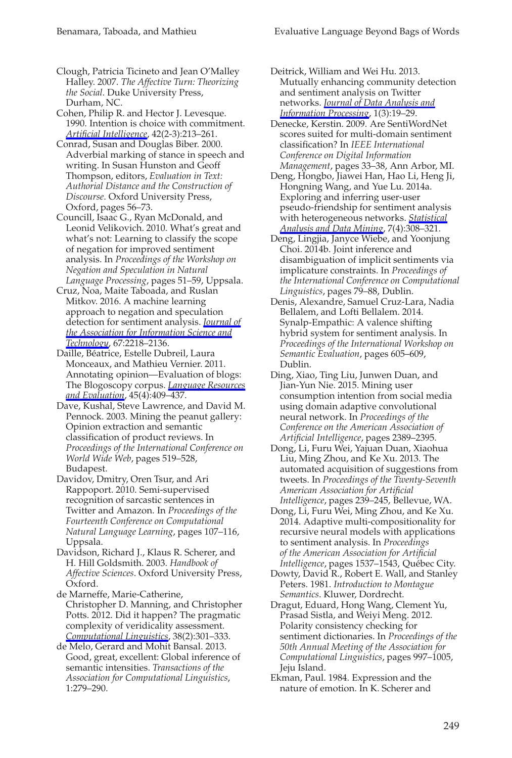- Clough, Patricia Ticineto and Jean O'Malley Halley. 2007. *The Affective Turn: Theorizing the Social*. Duke University Press, Durham, NC.
- Cohen, Philip R. and Hector J. Levesque. 1990. Intention is choice with commitment. *[Artificial Intelligence](http://www.mitpressjournals.org/action/showLinks?crossref=10.1016%2F0004-3702%2890%2990055-5)*, 42(2-3):213–261.
- Conrad, Susan and Douglas Biber. 2000. Adverbial marking of stance in speech and writing. In Susan Hunston and Geoff Thompson, editors, *Evaluation in Text: Authorial Distance and the Construction of Discourse*. Oxford University Press, Oxford, pages 56–73.
- Councill, Isaac G., Ryan McDonald, and Leonid Velikovich. 2010. What's great and what's not: Learning to classify the scope of negation for improved sentiment analysis. In *Proceedings of the Workshop on Negation and Speculation in Natural Language Processing*, pages 51–59, Uppsala.
- Cruz, Noa, Maite Taboada, and Ruslan Mitkov. 2016. A machine learning approach to negation and speculation detection for sentiment analysis. *[Journal of](http://www.mitpressjournals.org/action/showLinks?crossref=10.1002%2Fasi.23533) [the Association for Information Science and](http://www.mitpressjournals.org/action/showLinks?crossref=10.1002%2Fasi.23533) [Technology](http://www.mitpressjournals.org/action/showLinks?crossref=10.1002%2Fasi.23533)*, 67:2218–2136.
- Daille, Béatrice, Estelle Dubreil, Laura Monceaux, and Mathieu Vernier. 2011. Annotating opinion—Evaluation of blogs: The Blogoscopy corpus. *[Language Resources](http://www.mitpressjournals.org/action/showLinks?crossref=10.1007%2Fs10579-011-9154-z) [and Evaluation](http://www.mitpressjournals.org/action/showLinks?crossref=10.1007%2Fs10579-011-9154-z)*, 45(4):409–437.
- Dave, Kushal, Steve Lawrence, and David M. Pennock. 2003. Mining the peanut gallery: Opinion extraction and semantic classification of product reviews. In *Proceedings of the International Conference on World Wide Web*, pages 519–528, Budapest.
- Davidov, Dmitry, Oren Tsur, and Ari Rappoport. 2010. Semi-supervised recognition of sarcastic sentences in Twitter and Amazon. In *Proceedings of the Fourteenth Conference on Computational Natural Language Learning*, pages 107–116, Uppsala.
- Davidson, Richard J., Klaus R. Scherer, and H. Hill Goldsmith. 2003. *Handbook of Affective Sciences*. Oxford University Press, Oxford.
- de Marneffe, Marie-Catherine, Christopher D. Manning, and Christopher Potts. 2012. Did it happen? The pragmatic complexity of veridicality assessment. *[Computational Linguistics](http://www.mitpressjournals.org/action/showLinks?system=10.1162%2FCOLI_a_00097)*, 38(2):301–333.
- de Melo, Gerard and Mohit Bansal. 2013. Good, great, excellent: Global inference of semantic intensities. *Transactions of the Association for Computational Linguistics*, 1:279–290.

Deitrick, William and Wei Hu. 2013. Mutually enhancing community detection and sentiment analysis on Twitter networks. *[Journal of Data Analysis and](http://www.mitpressjournals.org/action/showLinks?crossref=10.4236%2Fjdaip.2013.13004) [Information Processing](http://www.mitpressjournals.org/action/showLinks?crossref=10.4236%2Fjdaip.2013.13004)*, 1(3):19–29.

- Denecke, Kerstin. 2009. Are SentiWordNet scores suited for multi-domain sentiment classification? In *IEEE International Conference on Digital Information Management*, pages 33–38, Ann Arbor, MI.
- Deng, Hongbo, Jiawei Han, Hao Li, Heng Ji, Hongning Wang, and Yue Lu. 2014a. Exploring and inferring user-user pseudo-friendship for sentiment analysis with heterogeneous networks. *[Statistical](http://www.mitpressjournals.org/action/showLinks?crossref=10.1002%2Fsam.11223) [Analysis and Data Mining](http://www.mitpressjournals.org/action/showLinks?crossref=10.1002%2Fsam.11223)*, 7(4):308–321.
- Deng, Lingjia, Janyce Wiebe, and Yoonjung Choi. 2014b. Joint inference and disambiguation of implicit sentiments via implicature constraints. In *Proceedings of the International Conference on Computational Linguistics*, pages 79–88, Dublin.
- Denis, Alexandre, Samuel Cruz-Lara, Nadia Bellalem, and Lofti Bellalem. 2014. Synalp-Empathic: A valence shifting hybrid system for sentiment analysis. In *Proceedings of the International Workshop on Semantic Evaluation*, pages 605–609, Dublin.
- Ding, Xiao, Ting Liu, Junwen Duan, and Jian-Yun Nie. 2015. Mining user consumption intention from social media using domain adaptive convolutional neural network. In *Proceedings of the Conference on the American Association of Artificial Intelligence*, pages 2389–2395.
- Dong, Li, Furu Wei, Yajuan Duan, Xiaohua Liu, Ming Zhou, and Ke Xu. 2013. The automated acquisition of suggestions from tweets. In *Proceedings of the Twenty-Seventh American Association for Artificial Intelligence*, pages 239–245, Bellevue, WA.
- Dong, Li, Furu Wei, Ming Zhou, and Ke Xu. 2014. Adaptive multi-compositionality for recursive neural models with applications to sentiment analysis. In *Proceedings of the American Association for Artificial* Intelligence, pages 1537–1543, Québec City.
- Dowty, David R., Robert E. Wall, and Stanley Peters. 1981. *Introduction to Montague Semantics*. Kluwer, Dordrecht.
- Dragut, Eduard, Hong Wang, Clement Yu, Prasad Sistla, and Weiyi Meng. 2012. Polarity consistency checking for sentiment dictionaries. In *Proceedings of the 50th Annual Meeting of the Association for Computational Linguistics*, pages 997–1005, Jeju Island.
- Ekman, Paul. 1984. Expression and the nature of emotion. In K. Scherer and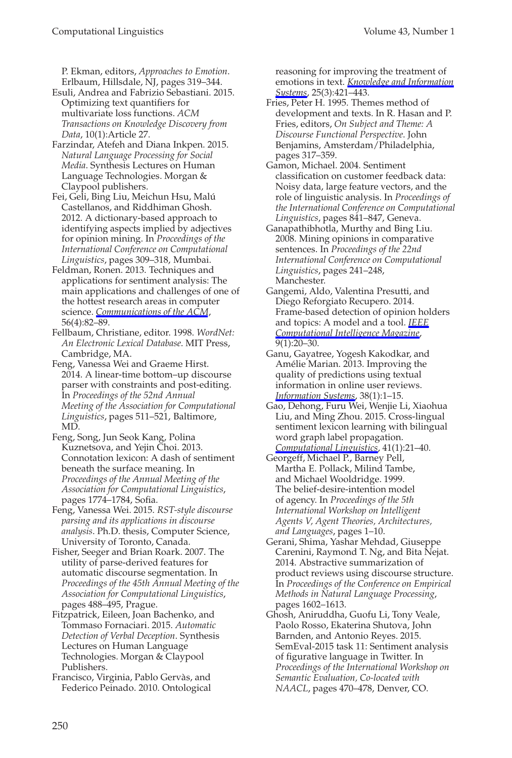P. Ekman, editors, *Approaches to Emotion*. Erlbaum, Hillsdale, NJ, pages 319–344.

Esuli, Andrea and Fabrizio Sebastiani. 2015. Optimizing text quantifiers for multivariate loss functions. *ACM Transactions on Knowledge Discovery from Data*, 10(1):Article 27.

- Farzindar, Atefeh and Diana Inkpen. 2015. *Natural Language Processing for Social Media*. Synthesis Lectures on Human Language Technologies. Morgan & Claypool publishers.
- Fei, Geli, Bing Liu, Meichun Hsu, Malú Castellanos, and Riddhiman Ghosh. 2012. A dictionary-based approach to identifying aspects implied by adjectives for opinion mining. In *Proceedings of the International Conference on Computational Linguistics*, pages 309–318, Mumbai.
- Feldman, Ronen. 2013. Techniques and applications for sentiment analysis: The main applications and challenges of one of the hottest research areas in computer science. *[Communications of the ACM](http://www.mitpressjournals.org/action/showLinks?crossref=10.1145%2F2436256.2436274)*, 56(4):82–89.

Fellbaum, Christiane, editor. 1998. *WordNet: An Electronic Lexical Database*. MIT Press, Cambridge, MA.

Feng, Vanessa Wei and Graeme Hirst. 2014. A linear-time bottom–up discourse parser with constraints and post-editing. In *Proceedings of the 52nd Annual Meeting of the Association for Computational Linguistics*, pages 511–521, Baltimore, MD.

Feng, Song, Jun Seok Kang, Polina Kuznetsova, and Yejin Choi. 2013. Connotation lexicon: A dash of sentiment beneath the surface meaning. In *Proceedings of the Annual Meeting of the Association for Computational Linguistics*, pages 1774–1784, Sofia.

Feng, Vanessa Wei. 2015. *RST-style discourse parsing and its applications in discourse analysis*. Ph.D. thesis, Computer Science, University of Toronto, Canada.

Fisher, Seeger and Brian Roark. 2007. The utility of parse-derived features for automatic discourse segmentation. In *Proceedings of the 45th Annual Meeting of the Association for Computational Linguistics*, pages 488–495, Prague.

Fitzpatrick, Eileen, Joan Bachenko, and Tommaso Fornaciari. 2015. *Automatic Detection of Verbal Deception*. Synthesis Lectures on Human Language Technologies. Morgan & Claypool Publishers.

Francisco, Virginia, Pablo Gervàs, and Federico Peinado. 2010. Ontological reasoning for improving the treatment of emotions in text. *[Knowledge and Information](http://www.mitpressjournals.org/action/showLinks?crossref=10.1007%2Fs10115-010-0320-1) [Systems](http://www.mitpressjournals.org/action/showLinks?crossref=10.1007%2Fs10115-010-0320-1)*, 25(3):421–443.

Fries, Peter H. 1995. Themes method of development and texts. In R. Hasan and P. Fries, editors, *On Subject and Theme: A Discourse Functional Perspective*. John Benjamins, Amsterdam/Philadelphia, pages 317–359.

Gamon, Michael. 2004. Sentiment classification on customer feedback data: Noisy data, large feature vectors, and the role of linguistic analysis. In *Proceedings of the International Conference on Computational Linguistics*, pages 841–847, Geneva.

- Ganapathibhotla, Murthy and Bing Liu. 2008. Mining opinions in comparative sentences. In *Proceedings of the 22nd International Conference on Computational Linguistics*, pages 241–248, Manchester.
- Gangemi, Aldo, Valentina Presutti, and Diego Reforgiato Recupero. 2014. Frame-based detection of opinion holders and topics: A model and a tool. *[IEEE](http://www.mitpressjournals.org/action/showLinks?crossref=10.1109%2FMCI.2013.2291688) [Computational Intelligence Magazine](http://www.mitpressjournals.org/action/showLinks?crossref=10.1109%2FMCI.2013.2291688)*, 9(1):20–30.
- Ganu, Gayatree, Yogesh Kakodkar, and Amélie Marian. 2013. Improving the quality of predictions using textual information in online user reviews. *[Information Systems](http://www.mitpressjournals.org/action/showLinks?crossref=10.1016%2Fj.is.2012.03.001)*, 38(1):1–15.
- Gao, Dehong, Furu Wei, Wenjie Li, Xiaohua Liu, and Ming Zhou. 2015. Cross-lingual sentiment lexicon learning with bilingual word graph label propagation. *[Computational Linguistics](http://www.mitpressjournals.org/action/showLinks?system=10.1162%2FCOLI_a_00207)*, 41(1):21–40.
- Georgeff, Michael P., Barney Pell, Martha E. Pollack, Milind Tambe, and Michael Wooldridge. 1999. The belief-desire-intention model of agency. In *Proceedings of the 5th International Workshop on Intelligent Agents V, Agent Theories, Architectures, and Languages*, pages 1–10.
- Gerani, Shima, Yashar Mehdad, Giuseppe Carenini, Raymond T. Ng, and Bita Nejat. 2014. Abstractive summarization of product reviews using discourse structure. In *Proceedings of the Conference on Empirical Methods in Natural Language Processing*, pages 1602–1613.

Ghosh, Aniruddha, Guofu Li, Tony Veale, Paolo Rosso, Ekaterina Shutova, John Barnden, and Antonio Reyes. 2015. SemEval-2015 task 11: Sentiment analysis of figurative language in Twitter. In *Proceedings of the International Workshop on Semantic Evaluation, Co-located with NAACL*, pages 470–478, Denver, CO.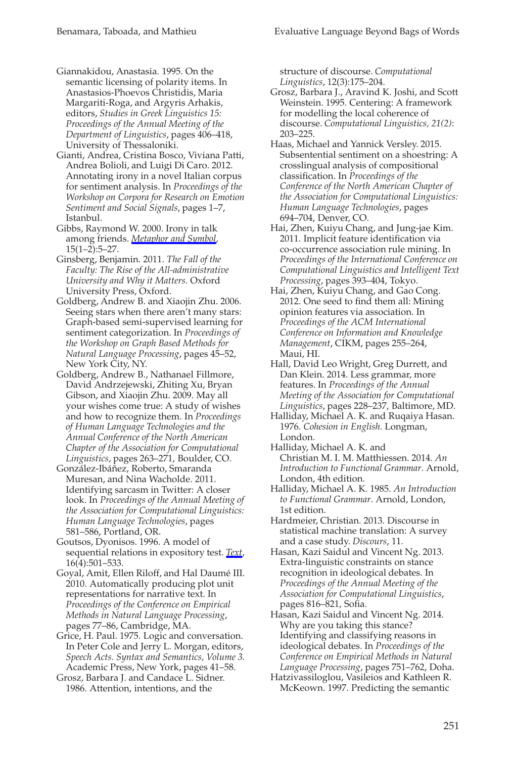- Giannakidou, Anastasia. 1995. On the semantic licensing of polarity items. In Anastasios-Phoevos Christidis, Maria Margariti-Roga, and Argyris Arhakis, editors, *Studies in Greek Linguistics 15: Proceedings of the Annual Meeting of the Department of Linguistics*, pages 406–418, University of Thessaloniki.
- Gianti, Andrea, Cristina Bosco, Viviana Patti, Andrea Bolioli, and Luigi Di Caro. 2012. Annotating irony in a novel Italian corpus for sentiment analysis. In *Proceedings of the Workshop on Corpora for Research on Emotion Sentiment and Social Signals*, pages 1–7, Istanbul.
- Gibbs, Raymond W. 2000. Irony in talk among friends. *[Metaphor and Symbol](http://www.mitpressjournals.org/action/showLinks?crossref=10.1080%2F10926488.2000.9678862)*, 15(1–2):5–27.
- Ginsberg, Benjamin. 2011. *The Fall of the Faculty: The Rise of the All-administrative University and Why it Matters*. Oxford University Press, Oxford.
- Goldberg, Andrew B. and Xiaojin Zhu. 2006. Seeing stars when there aren't many stars: Graph-based semi-supervised learning for sentiment categorization. In *Proceedings of the Workshop on Graph Based Methods for Natural Language Processing*, pages 45–52, New York City, NY.
- Goldberg, Andrew B., Nathanael Fillmore, David Andrzejewski, Zhiting Xu, Bryan Gibson, and Xiaojin Zhu. 2009. May all your wishes come true: A study of wishes and how to recognize them. In *Proceedings of Human Language Technologies and the Annual Conference of the North American Chapter of the Association for Computational Linguistics*, pages 263–271, Boulder, CO.
- González-Ibáñez, Roberto, Smaranda Muresan, and Nina Wacholde. 2011. Identifying sarcasm in Twitter: A closer look. In *Proceedings of the Annual Meeting of the Association for Computational Linguistics: Human Language Technologies*, pages 581–586, Portland, OR.
- Goutsos, Dyonisos. 1996. A model of sequential relations in expository test. *[Text](http://www.mitpressjournals.org/action/showLinks?crossref=10.1515%2Ftext.1.1996.16.4.501)*, 16(4):501–533.
- Goyal, Amit, Ellen Riloff, and Hal Daumé III. 2010. Automatically producing plot unit representations for narrative text. In *Proceedings of the Conference on Empirical Methods in Natural Language Processing*, pages 77–86, Cambridge, MA.
- Grice, H. Paul. 1975. Logic and conversation. In Peter Cole and Jerry L. Morgan, editors, *Speech Acts. Syntax and Semantics, Volume 3*. Academic Press, New York, pages 41–58.
- Grosz, Barbara J. and Candace L. Sidner. 1986. Attention, intentions, and the

structure of discourse. *Computational Linguistics*, 12(3):175–204.

- Grosz, Barbara J., Aravind K. Joshi, and Scott Weinstein. 1995. Centering: A framework for modelling the local coherence of discourse. *Computational Linguistics, 21(2)*: 203–225.
- Haas, Michael and Yannick Versley. 2015. Subsentential sentiment on a shoestring: A crosslingual analysis of compositional classification. In *Proceedings of the Conference of the North American Chapter of the Association for Computational Linguistics: Human Language Technologies*, pages 694–704, Denver, CO.
- Hai, Zhen, Kuiyu Chang, and Jung-jae Kim. 2011. Implicit feature identification via co-occurrence association rule mining. In *Proceedings of the International Conference on Computational Linguistics and Intelligent Text Processing*, pages 393–404, Tokyo.
- Hai, Zhen, Kuiyu Chang, and Gao Cong. 2012. One seed to find them all: Mining opinion features via association. In *Proceedings of the ACM International Conference on Information and Knowledge Management*, CIKM, pages 255–264, Maui, HI.
- Hall, David Leo Wright, Greg Durrett, and Dan Klein. 2014. Less grammar, more features. In *Proceedings of the Annual Meeting of the Association for Computational Linguistics*, pages 228–237, Baltimore, MD.
- Halliday, Michael A. K. and Ruqaiya Hasan. 1976. *Cohesion in English*. Longman, London.
- Halliday, Michael A. K. and Christian M. I. M. Matthiessen. 2014. *An Introduction to Functional Grammar*. Arnold, London, 4th edition.
- Halliday, Michael A. K. 1985. *An Introduction to Functional Grammar*. Arnold, London, 1st edition.
- Hardmeier, Christian. 2013. Discourse in statistical machine translation: A survey and a case study. *Discours*, 11.
- Hasan, Kazi Saidul and Vincent Ng. 2013. Extra-linguistic constraints on stance recognition in ideological debates. In *Proceedings of the Annual Meeting of the Association for Computational Linguistics*, pages 816–821, Sofia.
- Hasan, Kazi Saidul and Vincent Ng. 2014. Why are you taking this stance? Identifying and classifying reasons in ideological debates. In *Proceedings of the Conference on Empirical Methods in Natural Language Processing*, pages 751–762, Doha.
- Hatzivassiloglou, Vasileios and Kathleen R. McKeown. 1997. Predicting the semantic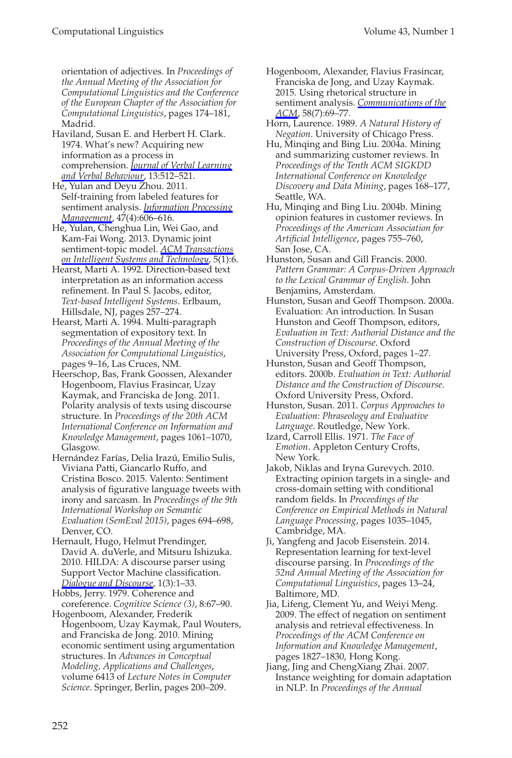orientation of adjectives. In *Proceedings of the Annual Meeting of the Association for Computational Linguistics and the Conference of the European Chapter of the Association for Computational Linguistics*, pages 174–181, Madrid.

- Haviland, Susan E. and Herbert H. Clark. 1974. What's new? Acquiring new information as a process in comprehension. *[Journal of Verbal Learning](http://www.mitpressjournals.org/action/showLinks?crossref=10.1016%2FS0022-5371%2874%2980003-4) [and Verbal Behaviour](http://www.mitpressjournals.org/action/showLinks?crossref=10.1016%2FS0022-5371%2874%2980003-4)*, 13:512–521.
- He, Yulan and Deyu Zhou. 2011. Self-training from labeled features for sentiment analysis. *[Information Processing](http://www.mitpressjournals.org/action/showLinks?crossref=10.1016%2Fj.ipm.2010.11.003) [Management](http://www.mitpressjournals.org/action/showLinks?crossref=10.1016%2Fj.ipm.2010.11.003)*, 47(4):606–616.
- He, Yulan, Chenghua Lin, Wei Gao, and Kam-Fai Wong. 2013. Dynamic joint sentiment-topic model. *[ACM Transactions](http://www.mitpressjournals.org/action/showLinks?crossref=10.1145%2F2542182.2542188) [on Intelligent Systems and Technology](http://www.mitpressjournals.org/action/showLinks?crossref=10.1145%2F2542182.2542188)*, 5(1):6.
- Hearst, Marti A. 1992. Direction-based text interpretation as an information access refinement. In Paul S. Jacobs, editor, *Text-based Intelligent Systems*. Erlbaum, Hillsdale, NJ, pages 257–274.
- Hearst, Marti A. 1994. Multi-paragraph segmentation of expository text. In *Proceedings of the Annual Meeting of the Association for Computational Linguistics*, pages 9–16, Las Cruces, NM.
- Heerschop, Bas, Frank Goossen, Alexander Hogenboom, Flavius Frasincar, Uzay Kaymak, and Franciska de Jong. 2011. Polarity analysis of texts using discourse structure. In *Proceedings of the 20th ACM International Conference on Information and Knowledge Management*, pages 1061–1070, Glasgow.
- Hernández Farías, Delia Irazú, Emilio Sulis, Viviana Patti, Giancarlo Ruffo, and Cristina Bosco. 2015. Valento: Sentiment analysis of figurative language tweets with irony and sarcasm. In *Proceedings of the 9th International Workshop on Semantic Evaluation (SemEval 2015)*, pages 694–698, Denver, CO.
- Hernault, Hugo, Helmut Prendinger, David A. duVerle, and Mitsuru Ishizuka. 2010. HILDA: A discourse parser using Support Vector Machine classification. *[Dialogue and Discourse](http://www.mitpressjournals.org/action/showLinks?crossref=10.5087%2Fdad.2010.003)*, 1(3):1–33.
- Hobbs, Jerry. 1979. Coherence and coreference. *Cognitive Science (3)*, 8:67–90.
- Hogenboom, Alexander, Frederik Hogenboom, Uzay Kaymak, Paul Wouters, and Franciska de Jong. 2010. Mining economic sentiment using argumentation structures. In *Advances in Conceptual Modeling, Applications and Challenges*, volume 6413 of *Lecture Notes in Computer Science*. Springer, Berlin, pages 200–209.
- Hogenboom, Alexander, Flavius Frasincar, Franciska de Jong, and Uzay Kaymak. 2015. Using rhetorical structure in sentiment analysis. *[Communications of the](http://www.mitpressjournals.org/action/showLinks?crossref=10.1145%2F2699418) [ACM](http://www.mitpressjournals.org/action/showLinks?crossref=10.1145%2F2699418)*, 58(7):69–77.
- Horn, Laurence. 1989. *A Natural History of Negation*. University of Chicago Press.
- Hu, Minqing and Bing Liu. 2004a. Mining and summarizing customer reviews. In *Proceedings of the Tenth ACM SIGKDD International Conference on Knowledge Discovery and Data Mining*, pages 168–177, Seattle, WA.
- Hu, Minqing and Bing Liu. 2004b. Mining opinion features in customer reviews. In *Proceedings of the American Association for Artificial Intelligence*, pages 755–760, San Jose, CA.
- Hunston, Susan and Gill Francis. 2000. *Pattern Grammar: A Corpus-Driven Approach to the Lexical Grammar of English*. John Benjamins, Amsterdam.
- Hunston, Susan and Geoff Thompson. 2000a. Evaluation: An introduction. In Susan Hunston and Geoff Thompson, editors, *Evaluation in Text: Authorial Distance and the Construction of Discourse*. Oxford University Press, Oxford, pages 1–27.
- Hunston, Susan and Geoff Thompson, editors. 2000b. *Evaluation in Text: Authorial Distance and the Construction of Discourse*. Oxford University Press, Oxford.
- Hunston, Susan. 2011. *Corpus Approaches to Evaluation: Phraseology and Evaluative Language*. Routledge, New York.
- Izard, Carroll Ellis. 1971. *The Face of Emotion*. Appleton Century Crofts, New York.
- Jakob, Niklas and Iryna Gurevych. 2010. Extracting opinion targets in a single- and cross-domain setting with conditional random fields. In *Proceedings of the Conference on Empirical Methods in Natural Language Processing*, pages 1035–1045, Cambridge, MA.
- Ji, Yangfeng and Jacob Eisenstein. 2014. Representation learning for text-level discourse parsing. In *Proceedings of the 52nd Annual Meeting of the Association for Computational Linguistics*, pages 13–24, Baltimore, MD.
- Jia, Lifeng, Clement Yu, and Weiyi Meng. 2009. The effect of negation on sentiment analysis and retrieval effectiveness. In *Proceedings of the ACM Conference on Information and Knowledge Management*, pages 1827–1830, Hong Kong.
- Jiang, Jing and ChengXiang Zhai. 2007. Instance weighting for domain adaptation in NLP. In *Proceedings of the Annual*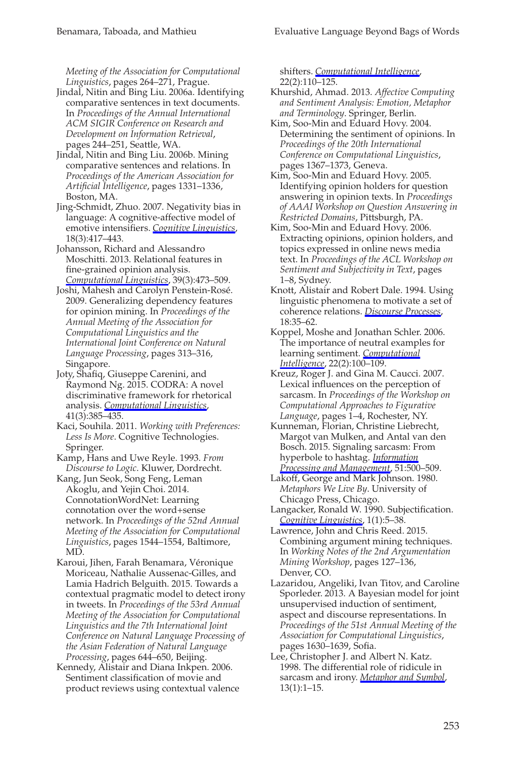*Meeting of the Association for Computational Linguistics*, pages 264–271, Prague.

Jindal, Nitin and Bing Liu. 2006a. Identifying comparative sentences in text documents. In *Proceedings of the Annual International ACM SIGIR Conference on Research and Development on Information Retrieval*, pages 244–251, Seattle, WA.

Jindal, Nitin and Bing Liu. 2006b. Mining comparative sentences and relations. In *Proceedings of the American Association for Artificial Intelligence*, pages 1331–1336, Boston, MA.

Jing-Schmidt, Zhuo. 2007. Negativity bias in language: A cognitive-affective model of emotive intensifiers. *[Cognitive Linguistics](http://www.mitpressjournals.org/action/showLinks?crossref=10.1515%2FCOG.2007.023)*, 18(3):417–443.

Johansson, Richard and Alessandro Moschitti. 2013. Relational features in fine-grained opinion analysis. *[Computational Linguistics](http://www.mitpressjournals.org/action/showLinks?system=10.1162%2FCOLI_a_00141)*, 39(3):473–509.

Joshi, Mahesh and Carolyn Penstein-Rosé. 2009. Generalizing dependency features for opinion mining. In *Proceedings of the Annual Meeting of the Association for Computational Linguistics and the International Joint Conference on Natural Language Processing*, pages 313–316, Singapore.

Joty, Shafiq, Giuseppe Carenini, and Raymond Ng. 2015. CODRA: A novel discriminative framework for rhetorical analysis. *[Computational Linguistics](http://www.mitpressjournals.org/action/showLinks?system=10.1162%2FCOLI_a_00226)*, 41(3):385–435.

Kaci, Souhila. 2011. *Working with Preferences: Less Is More*. Cognitive Technologies. Springer.

Kamp, Hans and Uwe Reyle. 1993. *From Discourse to Logic*. Kluwer, Dordrecht.

Kang, Jun Seok, Song Feng, Leman Akoglu, and Yejin Choi. 2014. ConnotationWordNet: Learning connotation over the word+sense network. In *Proceedings of the 52nd Annual Meeting of the Association for Computational Linguistics*, pages 1544–1554, Baltimore, MD.

Karoui, Jihen, Farah Benamara, Véronique Moriceau, Nathalie Aussenac-Gilles, and Lamia Hadrich Belguith. 2015. Towards a contextual pragmatic model to detect irony in tweets. In *Proceedings of the 53rd Annual Meeting of the Association for Computational Linguistics and the 7th International Joint Conference on Natural Language Processing of the Asian Federation of Natural Language Processing*, pages 644–650, Beijing.

Kennedy, Alistair and Diana Inkpen. 2006. Sentiment classification of movie and product reviews using contextual valence shifters. *[Computational Intelligence](http://www.mitpressjournals.org/action/showLinks?crossref=10.1111%2Fj.1467-8640.2006.00277.x)*, 22(2):110–125.

Khurshid, Ahmad. 2013. *Affective Computing and Sentiment Analysis: Emotion, Metaphor and Terminology*. Springer, Berlin.

Kim, Soo-Min and Eduard Hovy. 2004. Determining the sentiment of opinions. In *Proceedings of the 20th International Conference on Computational Linguistics*, pages 1367–1373, Geneva.

Kim, Soo-Min and Eduard Hovy. 2005. Identifying opinion holders for question answering in opinion texts. In *Proceedings of AAAI Workshop on Question Answering in Restricted Domains*, Pittsburgh, PA.

Kim, Soo-Min and Eduard Hovy. 2006. Extracting opinions, opinion holders, and topics expressed in online news media text. In *Proceedings of the ACL Workshop on Sentiment and Subjectivity in Text*, pages 1–8, Sydney.

Knott, Alistair and Robert Dale. 1994. Using linguistic phenomena to motivate a set of coherence relations. *[Discourse Processes](http://www.mitpressjournals.org/action/showLinks?crossref=10.1080%2F01638539409544883)*, 18:35–62.

Koppel, Moshe and Jonathan Schler. 2006. The importance of neutral examples for learning sentiment. *[Computational](http://www.mitpressjournals.org/action/showLinks?crossref=10.1111%2Fj.1467-8640.2006.00276.x) [Intelligence](http://www.mitpressjournals.org/action/showLinks?crossref=10.1111%2Fj.1467-8640.2006.00276.x)*, 22(2):100–109.

Kreuz, Roger J. and Gina M. Caucci. 2007. Lexical influences on the perception of sarcasm. In *Proceedings of the Workshop on Computational Approaches to Figurative Language*, pages 1–4, Rochester, NY.

Kunneman, Florian, Christine Liebrecht, Margot van Mulken, and Antal van den Bosch. 2015. Signaling sarcasm: From hyperbole to hashtag. *[Information](http://www.mitpressjournals.org/action/showLinks?crossref=10.1016%2Fj.ipm.2014.07.006) [Processing and Management](http://www.mitpressjournals.org/action/showLinks?crossref=10.1016%2Fj.ipm.2014.07.006)*, 51:500–509.

Lakoff, George and Mark Johnson. 1980. *Metaphors We Live By*. University of Chicago Press, Chicago.

Langacker, Ronald W. 1990. Subjectification. *[Cognitive Linguistics](http://www.mitpressjournals.org/action/showLinks?crossref=10.1515%2Fcogl.1990.1.1.5)*, 1(1):5–38.

Lawrence, John and Chris Reed. 2015. Combining argument mining techniques. In *Working Notes of the 2nd Argumentation Mining Workshop*, pages 127–136, Denver, CO.

Lazaridou, Angeliki, Ivan Titov, and Caroline Sporleder. 2013. A Bayesian model for joint unsupervised induction of sentiment, aspect and discourse representations. In *Proceedings of the 51st Annual Meeting of the Association for Computational Linguistics*, pages 1630–1639, Sofia.

Lee, Christopher J. and Albert N. Katz. 1998. The differential role of ridicule in sarcasm and irony. *[Metaphor and Symbol](http://www.mitpressjournals.org/action/showLinks?crossref=10.1207%2Fs15327868ms1301_1)*, 13(1):1–15.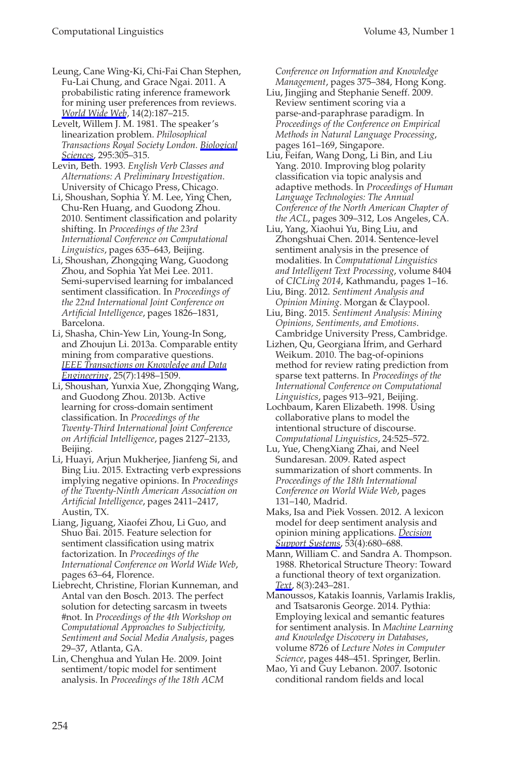- Leung, Cane Wing-Ki, Chi-Fai Chan Stephen, Fu-Lai Chung, and Grace Ngai. 2011. A probabilistic rating inference framework for mining user preferences from reviews. *[World Wide Web](http://www.mitpressjournals.org/action/showLinks?crossref=10.1007%2Fs11280-011-0117-5)*, 14(2):187–215.
- Levelt, Willem J. M. 1981. The speaker's linearization problem. *Philosophical Transactions Royal Society London. [Biological](http://www.mitpressjournals.org/action/showLinks?crossref=10.1098%2Frstb.1981.0142) [Sciences](http://www.mitpressjournals.org/action/showLinks?crossref=10.1098%2Frstb.1981.0142)*, 295:305–315.
- Levin, Beth. 1993. *English Verb Classes and Alternations: A Preliminary Investigation*. University of Chicago Press, Chicago.
- Li, Shoushan, Sophia Y. M. Lee, Ying Chen, Chu-Ren Huang, and Guodong Zhou. 2010. Sentiment classification and polarity shifting. In *Proceedings of the 23rd International Conference on Computational Linguistics*, pages 635–643, Beijing.
- Li, Shoushan, Zhongqing Wang, Guodong Zhou, and Sophia Yat Mei Lee. 2011. Semi-supervised learning for imbalanced sentiment classification. In *Proceedings of the 22nd International Joint Conference on Artificial Intelligence*, pages 1826–1831, Barcelona.
- Li, Shasha, Chin-Yew Lin, Young-In Song, and Zhoujun Li. 2013a. Comparable entity mining from comparative questions. *[IEEE Transactions on Knowledge and Data](http://www.mitpressjournals.org/action/showLinks?crossref=10.1109%2FTKDE.2011.210) [Engineering](http://www.mitpressjournals.org/action/showLinks?crossref=10.1109%2FTKDE.2011.210)*, 25(7):1498–1509.
- Li, Shoushan, Yunxia Xue, Zhongqing Wang, and Guodong Zhou. 2013b. Active learning for cross-domain sentiment classification. In *Proceedings of the Twenty-Third International Joint Conference on Artificial Intelligence*, pages 2127–2133, Beijing.
- Li, Huayi, Arjun Mukherjee, Jianfeng Si, and Bing Liu. 2015. Extracting verb expressions implying negative opinions. In *Proceedings of the Twenty-Ninth American Association on Artificial Intelligence*, pages 2411–2417, Austin, TX.
- Liang, Jiguang, Xiaofei Zhou, Li Guo, and Shuo Bai. 2015. Feature selection for sentiment classification using matrix factorization. In *Proceedings of the International Conference on World Wide Web*, pages 63–64, Florence.
- Liebrecht, Christine, Florian Kunneman, and Antal van den Bosch. 2013. The perfect solution for detecting sarcasm in tweets #not. In *Proceedings of the 4th Workshop on Computational Approaches to Subjectivity, Sentiment and Social Media Analysis*, pages 29–37, Atlanta, GA.
- Lin, Chenghua and Yulan He. 2009. Joint sentiment/topic model for sentiment analysis. In *Proceedings of the 18th ACM*

*Conference on Information and Knowledge Management*, pages 375–384, Hong Kong.

- Liu, Jingjing and Stephanie Seneff. 2009. Review sentiment scoring via a parse-and-paraphrase paradigm. In *Proceedings of the Conference on Empirical Methods in Natural Language Processing*, pages 161–169, Singapore.
- Liu, Feifan, Wang Dong, Li Bin, and Liu Yang. 2010. Improving blog polarity classification via topic analysis and adaptive methods. In *Proceedings of Human Language Technologies: The Annual Conference of the North American Chapter of the ACL*, pages 309–312, Los Angeles, CA.
- Liu, Yang, Xiaohui Yu, Bing Liu, and Zhongshuai Chen. 2014. Sentence-level sentiment analysis in the presence of modalities. In *Computational Linguistics and Intelligent Text Processing*, volume 8404 of *CICLing 2014*, Kathmandu, pages 1–16.
- Liu, Bing. 2012. *Sentiment Analysis and Opinion Mining*. Morgan & Claypool.
- Liu, Bing. 2015. *Sentiment Analysis: Mining Opinions, Sentiments, and Emotions*. Cambridge University Press, Cambridge.
- Lizhen, Qu, Georgiana Ifrim, and Gerhard Weikum. 2010. The bag-of-opinions method for review rating prediction from sparse text patterns. In *Proceedings of the International Conference on Computational Linguistics*, pages 913–921, Beijing.
- Lochbaum, Karen Elizabeth. 1998. Using collaborative plans to model the intentional structure of discourse. *Computational Linguistics*, 24:525–572.
- Lu, Yue, ChengXiang Zhai, and Neel Sundaresan. 2009. Rated aspect summarization of short comments. In *Proceedings of the 18th International Conference on World Wide Web*, pages 131–140, Madrid.
- Maks, Isa and Piek Vossen. 2012. A lexicon model for deep sentiment analysis and opinion mining applications. *[Decision](http://www.mitpressjournals.org/action/showLinks?crossref=10.1016%2Fj.dss.2012.05.025) [Support Systems](http://www.mitpressjournals.org/action/showLinks?crossref=10.1016%2Fj.dss.2012.05.025)*, 53(4):680–688.
- Mann, William C. and Sandra A. Thompson. 1988. Rhetorical Structure Theory: Toward a functional theory of text organization. *[Text](http://www.mitpressjournals.org/action/showLinks?crossref=10.1515%2Ftext.1.1988.8.3.243)*, 8(3):243–281.
- Manoussos, Katakis Ioannis, Varlamis Iraklis, and Tsatsaronis George. 2014. Pythia: Employing lexical and semantic features for sentiment analysis. In *Machine Learning and Knowledge Discovery in Databases*, volume 8726 of *Lecture Notes in Computer Science*, pages 448–451. Springer, Berlin.
- Mao, Yi and Guy Lebanon. 2007. Isotonic conditional random fields and local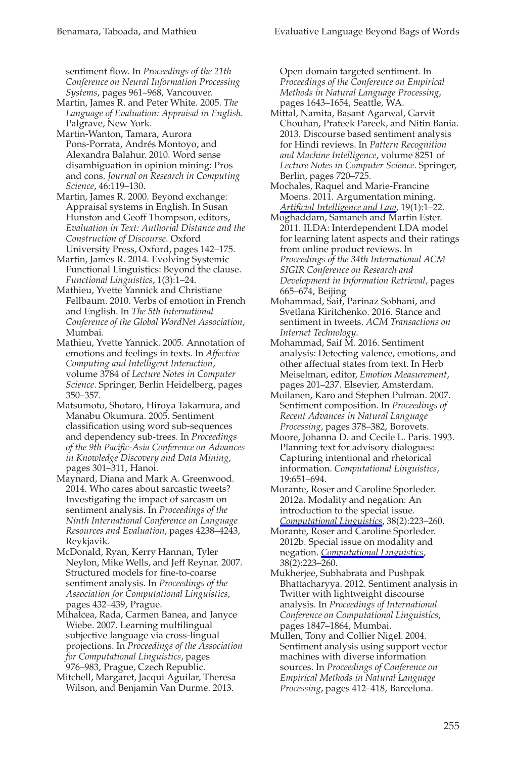sentiment flow. In *Proceedings of the 21th Conference on Neural Information Processing Systems*, pages 961–968, Vancouver.

Martin, James R. and Peter White. 2005. *The Language of Evaluation: Appraisal in English*. Palgrave, New York.

Martin-Wanton, Tamara, Aurora Pons-Porrata, Andrés Montoyo, and Alexandra Balahur. 2010. Word sense disambiguation in opinion mining: Pros and cons. *Journal on Research in Computing Science*, 46:119–130.

Martin, James R. 2000. Beyond exchange: Appraisal systems in English. In Susan Hunston and Geoff Thompson, editors, *Evaluation in Text: Authorial Distance and the Construction of Discourse*. Oxford University Press, Oxford, pages 142–175.

Martin, James R. 2014. Evolving Systemic Functional Linguistics: Beyond the clause. *Functional Linguistics*, 1(3):1–24.

Mathieu, Yvette Yannick and Christiane Fellbaum. 2010. Verbs of emotion in French and English. In *The 5th International Conference of the Global WordNet Association*, Mumbai.

Mathieu, Yvette Yannick. 2005. Annotation of emotions and feelings in texts. In *Affective Computing and Intelligent Interaction*, volume 3784 of *Lecture Notes in Computer Science*. Springer, Berlin Heidelberg, pages 350–357.

Matsumoto, Shotaro, Hiroya Takamura, and Manabu Okumura. 2005. Sentiment classification using word sub-sequences and dependency sub-trees. In *Proceedings of the 9th Pacific-Asia Conference on Advances in Knowledge Discovery and Data Mining*, pages 301–311, Hanoi.

Maynard, Diana and Mark A. Greenwood. 2014. Who cares about sarcastic tweets? Investigating the impact of sarcasm on sentiment analysis. In *Proceedings of the Ninth International Conference on Language Resources and Evaluation*, pages 4238–4243, Reykjavik.

McDonald, Ryan, Kerry Hannan, Tyler Neylon, Mike Wells, and Jeff Reynar. 2007. Structured models for fine-to-coarse sentiment analysis. In *Proceedings of the Association for Computational Linguistics*, pages 432–439, Prague.

Mihalcea, Rada, Carmen Banea, and Janyce Wiebe. 2007. Learning multilingual subjective language via cross-lingual projections. In *Proceedings of the Association for Computational Linguistics*, pages 976–983, Prague, Czech Republic.

Mitchell, Margaret, Jacqui Aguilar, Theresa Wilson, and Benjamin Van Durme. 2013.

Open domain targeted sentiment. In *Proceedings of the Conference on Empirical Methods in Natural Language Processing*, pages 1643–1654, Seattle, WA.

Mittal, Namita, Basant Agarwal, Garvit Chouhan, Prateek Pareek, and Nitin Bania. 2013. Discourse based sentiment analysis for Hindi reviews. In *Pattern Recognition and Machine Intelligence*, volume 8251 of *Lecture Notes in Computer Science*. Springer, Berlin, pages 720–725.

Mochales, Raquel and Marie-Francine Moens. 2011. Argumentation mining. *[Artificial Intelligence and Law](http://www.mitpressjournals.org/action/showLinks?crossref=10.1007%2Fs10506-010-9104-x)*, 19(1):1–22.

Moghaddam, Samaneh and Martin Ester. 2011. ILDA: Interdependent LDA model for learning latent aspects and their ratings from online product reviews. In *Proceedings of the 34th International ACM SIGIR Conference on Research and Development in Information Retrieval*, pages 665–674, Beijing

Mohammad, Saif, Parinaz Sobhani, and Svetlana Kiritchenko. 2016. Stance and sentiment in tweets. *ACM Transactions on Internet Technology*.

Mohammad, Saif M. 2016. Sentiment analysis: Detecting valence, emotions, and other affectual states from text. In Herb Meiselman, editor, *Emotion Measurement*, pages 201–237. Elsevier, Amsterdam.

Moilanen, Karo and Stephen Pulman. 2007. Sentiment composition. In *Proceedings of Recent Advances in Natural Language Processing*, pages 378–382, Borovets.

Moore, Johanna D. and Cecile L. Paris. 1993. Planning text for advisory dialogues: Capturing intentional and rhetorical information. *Computational Linguistics*, 19:651–694.

Morante, Roser and Caroline Sporleder. 2012a. Modality and negation: An introduction to the special issue. *[Computational Linguistics](http://www.mitpressjournals.org/action/showLinks?system=10.1162%2FCOLI_a_00095)*, 38(2):223–260.

Morante, Roser and Caroline Sporleder. 2012b. Special issue on modality and negation. *[Computational Linguistics](http://www.mitpressjournals.org/action/showLinks?system=10.1162%2FCOLI_a_00095)*, 38(2):223–260.

Mukherjee, Subhabrata and Pushpak Bhattacharyya. 2012. Sentiment analysis in Twitter with lightweight discourse analysis. In *Proceedings of International Conference on Computational Linguistics*, pages 1847–1864, Mumbai.

Mullen, Tony and Collier Nigel. 2004. Sentiment analysis using support vector machines with diverse information sources. In *Proceedings of Conference on Empirical Methods in Natural Language Processing*, pages 412–418, Barcelona.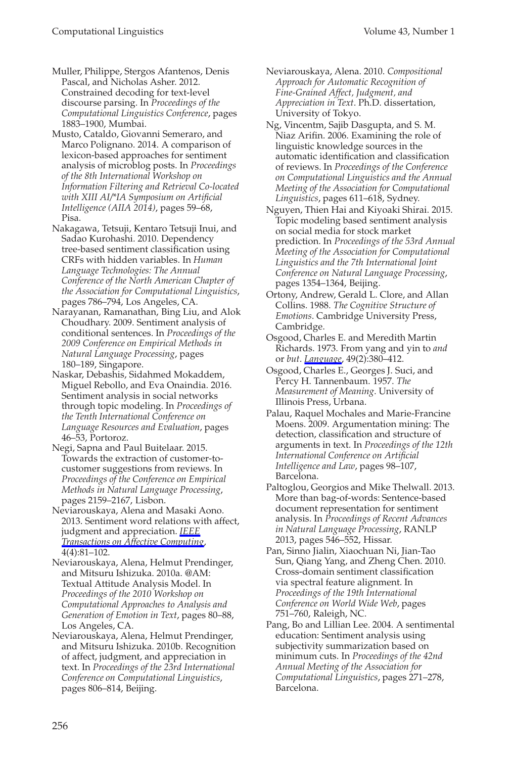- Muller, Philippe, Stergos Afantenos, Denis Pascal, and Nicholas Asher. 2012. Constrained decoding for text-level discourse parsing. In *Proceedings of the Computational Linguistics Conference*, pages 1883–1900, Mumbai.
- Musto, Cataldo, Giovanni Semeraro, and Marco Polignano. 2014. A comparison of lexicon-based approaches for sentiment analysis of microblog posts. In *Proceedings of the 8th International Workshop on Information Filtering and Retrieval Co-located with XIII AI/\*IA Symposium on Artificial Intelligence (AIIA 2014)*, pages 59–68, Pisa.
- Nakagawa, Tetsuji, Kentaro Tetsuji Inui, and Sadao Kurohashi. 2010. Dependency tree-based sentiment classification using CRFs with hidden variables. In *Human Language Technologies: The Annual Conference of the North American Chapter of the Association for Computational Linguistics*, pages 786–794, Los Angeles, CA.
- Narayanan, Ramanathan, Bing Liu, and Alok Choudhary. 2009. Sentiment analysis of conditional sentences. In *Proceedings of the 2009 Conference on Empirical Methods in Natural Language Processing*, pages 180–189, Singapore.
- Naskar, Debashis, Sidahmed Mokaddem, Miguel Rebollo, and Eva Onaindia. 2016. Sentiment analysis in social networks through topic modeling. In *Proceedings of the Tenth International Conference on Language Resources and Evaluation*, pages 46–53, Portoroz.
- Negi, Sapna and Paul Buitelaar. 2015. Towards the extraction of customer-tocustomer suggestions from reviews. In *Proceedings of the Conference on Empirical Methods in Natural Language Processing*, pages 2159–2167, Lisbon.
- Neviarouskaya, Alena and Masaki Aono. 2013. Sentiment word relations with affect, judgment and appreciation. *[IEEE](http://www.mitpressjournals.org/action/showLinks?crossref=10.1109%2FT-AFFC.2013.31) [Transactions on Affective Computing](http://www.mitpressjournals.org/action/showLinks?crossref=10.1109%2FT-AFFC.2013.31)*, 4(4):81–102.
- Neviarouskaya, Alena, Helmut Prendinger, and Mitsuru Ishizuka. 2010a. @AM: Textual Attitude Analysis Model. In *Proceedings of the 2010 Workshop on Computational Approaches to Analysis and Generation of Emotion in Text*, pages 80–88, Los Angeles, CA.
- Neviarouskaya, Alena, Helmut Prendinger, and Mitsuru Ishizuka. 2010b. Recognition of affect, judgment, and appreciation in text. In *Proceedings of the 23rd International Conference on Computational Linguistics*, pages 806–814, Beijing.
- Neviarouskaya, Alena. 2010. *Compositional Approach for Automatic Recognition of Fine-Grained Affect, Judgment, and Appreciation in Text*. Ph.D. dissertation, University of Tokyo.
- Ng, Vincentm, Sajib Dasgupta, and S. M. Niaz Arifin. 2006. Examining the role of linguistic knowledge sources in the automatic identification and classification of reviews. In *Proceedings of the Conference on Computational Linguistics and the Annual Meeting of the Association for Computational Linguistics*, pages 611–618, Sydney.
- Nguyen, Thien Hai and Kiyoaki Shirai. 2015. Topic modeling based sentiment analysis on social media for stock market prediction. In *Proceedings of the 53rd Annual Meeting of the Association for Computational Linguistics and the 7th International Joint Conference on Natural Language Processing*, pages 1354–1364, Beijing.
- Ortony, Andrew, Gerald L. Clore, and Allan Collins. 1988. *The Cognitive Structure of Emotions*. Cambridge University Press, Cambridge.
- Osgood, Charles E. and Meredith Martin Richards. 1973. From yang and yin to *and* or *but*. *[Language](http://www.mitpressjournals.org/action/showLinks?crossref=10.2307%2F412460)*, 49(2):380–412.
- Osgood, Charles E., Georges J. Suci, and Percy H. Tannenbaum. 1957. *The Measurement of Meaning*. University of Illinois Press, Urbana.
- Palau, Raquel Mochales and Marie-Francine Moens. 2009. Argumentation mining: The detection, classification and structure of arguments in text. In *Proceedings of the 12th International Conference on Artificial Intelligence and Law*, pages 98–107, Barcelona.
- Paltoglou, Georgios and Mike Thelwall. 2013. More than bag-of-words: Sentence-based document representation for sentiment analysis. In *Proceedings of Recent Advances in Natural Language Processing*, RANLP 2013, pages 546–552, Hissar.
- Pan, Sinno Jialin, Xiaochuan Ni, Jian-Tao Sun, Qiang Yang, and Zheng Chen. 2010. Cross-domain sentiment classification via spectral feature alignment. In *Proceedings of the 19th International Conference on World Wide Web*, pages 751–760, Raleigh, NC.
- Pang, Bo and Lillian Lee. 2004. A sentimental education: Sentiment analysis using subjectivity summarization based on minimum cuts. In *Proceedings of the 42nd Annual Meeting of the Association for Computational Linguistics*, pages 271–278, Barcelona.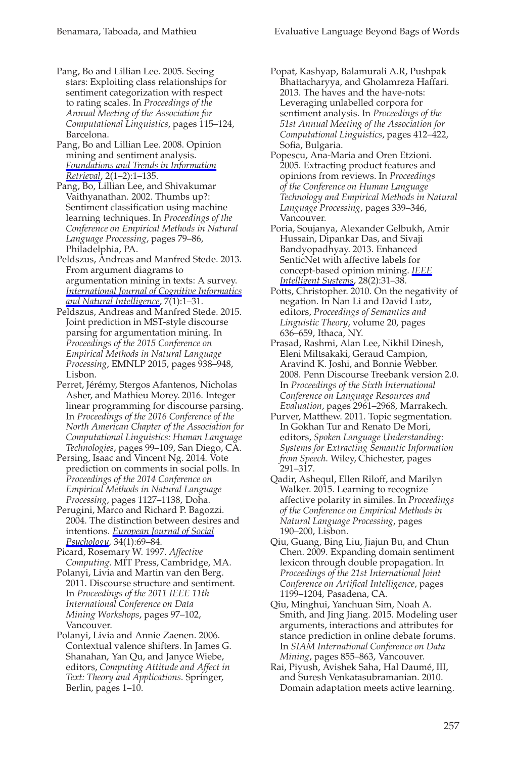- Pang, Bo and Lillian Lee. 2005. Seeing stars: Exploiting class relationships for sentiment categorization with respect to rating scales. In *Proceedings of the Annual Meeting of the Association for Computational Linguistics*, pages 115–124, Barcelona.
- Pang, Bo and Lillian Lee. 2008. Opinion mining and sentiment analysis. *[Foundations and Trends in Information](http://www.mitpressjournals.org/action/showLinks?crossref=10.1561%2F1500000011) [Retrieval](http://www.mitpressjournals.org/action/showLinks?crossref=10.1561%2F1500000011)*, 2(1–2):1–135.
- Pang, Bo, Lillian Lee, and Shivakumar Vaithyanathan. 2002. Thumbs up?: Sentiment classification using machine learning techniques. In *Proceedings of the Conference on Empirical Methods in Natural Language Processing*, pages 79–86, Philadelphia, PA.
- Peldszus, Andreas and Manfred Stede. 2013. From argument diagrams to argumentation mining in texts: A survey. *[International Journal of Cognitive Informatics](http://www.mitpressjournals.org/action/showLinks?crossref=10.4018%2Fjcini.2013010101) [and Natural Intelligence](http://www.mitpressjournals.org/action/showLinks?crossref=10.4018%2Fjcini.2013010101)*, 7(1):1–31.
- Peldszus, Andreas and Manfred Stede. 2015. Joint prediction in MST-style discourse parsing for argumentation mining. In *Proceedings of the 2015 Conference on Empirical Methods in Natural Language Processing*, EMNLP 2015, pages 938–948, Lisbon.
- Perret, Jérémy, Stergos Afantenos, Nicholas Asher, and Mathieu Morey. 2016. Integer linear programming for discourse parsing. In *Proceedings of the 2016 Conference of the North American Chapter of the Association for Computational Linguistics: Human Language Technologies*, pages 99–109, San Diego, CA.
- Persing, Isaac and Vincent Ng. 2014. Vote prediction on comments in social polls. In *Proceedings of the 2014 Conference on Empirical Methods in Natural Language Processing*, pages 1127–1138, Doha.
- Perugini, Marco and Richard P. Bagozzi. 2004. The distinction between desires and intentions. *[European Journal of Social](http://www.mitpressjournals.org/action/showLinks?crossref=10.1002%2Fejsp.186) [Psychology](http://www.mitpressjournals.org/action/showLinks?crossref=10.1002%2Fejsp.186)*, 34(1):69–84.
- Picard, Rosemary W. 1997. *Affective Computing*. MIT Press, Cambridge, MA.
- Polanyi, Livia and Martin van den Berg. 2011. Discourse structure and sentiment. In *Proceedings of the 2011 IEEE 11th International Conference on Data Mining Workshops*, pages 97–102, Vancouver.
- Polanyi, Livia and Annie Zaenen. 2006. Contextual valence shifters. In James G. Shanahan, Yan Qu, and Janyce Wiebe, editors, *Computing Attitude and Affect in Text: Theory and Applications*. Springer, Berlin, pages 1–10.
- Popat, Kashyap, Balamurali A.R, Pushpak Bhattacharyya, and Gholamreza Haffari. 2013. The haves and the have-nots: Leveraging unlabelled corpora for sentiment analysis. In *Proceedings of the 51st Annual Meeting of the Association for Computational Linguistics*, pages 412–422, Sofia, Bulgaria.
- Popescu, Ana-Maria and Oren Etzioni. 2005. Extracting product features and opinions from reviews. In *Proceedings of the Conference on Human Language Technology and Empirical Methods in Natural Language Processing*, pages 339–346, Vancouver.
- Poria, Soujanya, Alexander Gelbukh, Amir Hussain, Dipankar Das, and Sivaji Bandyopadhyay. 2013. Enhanced SenticNet with affective labels for concept-based opinion mining. *[IEEE](http://www.mitpressjournals.org/action/showLinks?crossref=10.1109%2FMIS.2013.4) [Intelligent Systems](http://www.mitpressjournals.org/action/showLinks?crossref=10.1109%2FMIS.2013.4)*, 28(2):31–38.
- Potts, Christopher. 2010. On the negativity of negation. In Nan Li and David Lutz, editors, *Proceedings of Semantics and Linguistic Theory*, volume 20, pages 636–659, Ithaca, NY.
- Prasad, Rashmi, Alan Lee, Nikhil Dinesh, Eleni Miltsakaki, Geraud Campion, Aravind K. Joshi, and Bonnie Webber. 2008. Penn Discourse Treebank version 2.0. In *Proceedings of the Sixth International Conference on Language Resources and Evaluation*, pages 2961–2968, Marrakech.
- Purver, Matthew. 2011. Topic segmentation. In Gokhan Tur and Renato De Mori, editors, *Spoken Language Understanding: Systems for Extracting Semantic Information from Speech*. Wiley, Chichester, pages 291–317.
- Qadir, Ashequl, Ellen Riloff, and Marilyn Walker. 2015. Learning to recognize affective polarity in similes. In *Proceedings of the Conference on Empirical Methods in Natural Language Processing*, pages 190–200, Lisbon.
- Qiu, Guang, Bing Liu, Jiajun Bu, and Chun Chen. 2009. Expanding domain sentiment lexicon through double propagation. In *Proceedings of the 21st International Joint Conference on Artifical Intelligence*, pages 1199–1204, Pasadena, CA.
- Qiu, Minghui, Yanchuan Sim, Noah A. Smith, and Jing Jiang. 2015. Modeling user arguments, interactions and attributes for stance prediction in online debate forums. In *SIAM International Conference on Data Mining*, pages 855–863, Vancouver.
- Rai, Piyush, Avishek Saha, Hal Daum´e, III, and Suresh Venkatasubramanian. 2010. Domain adaptation meets active learning.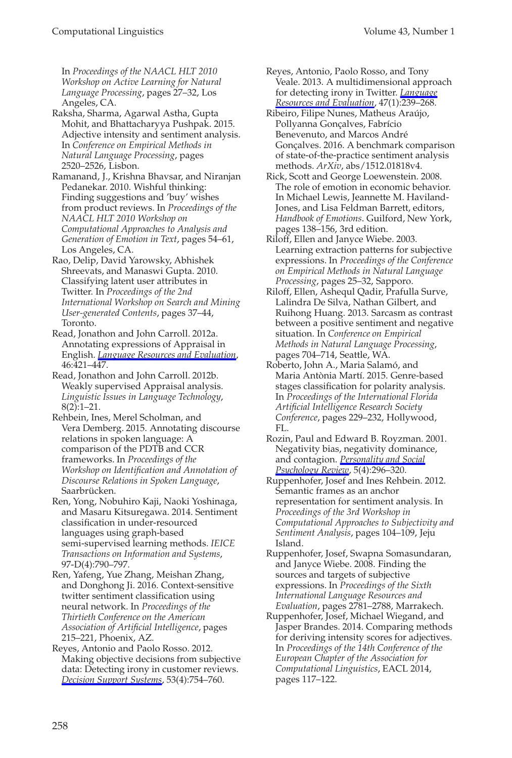In *Proceedings of the NAACL HLT 2010 Workshop on Active Learning for Natural Language Processing*, pages 27–32, Los Angeles, CA.

Raksha, Sharma, Agarwal Astha, Gupta Mohit, and Bhattacharyya Pushpak. 2015. Adjective intensity and sentiment analysis. In *Conference on Empirical Methods in Natural Language Processing*, pages 2520–2526, Lisbon.

Ramanand, J., Krishna Bhavsar, and Niranjan Pedanekar. 2010. Wishful thinking: Finding suggestions and 'buy' wishes from product reviews. In *Proceedings of the NAACL HLT 2010 Workshop on Computational Approaches to Analysis and Generation of Emotion in Text*, pages 54–61, Los Angeles, CA.

- Rao, Delip, David Yarowsky, Abhishek Shreevats, and Manaswi Gupta. 2010. Classifying latent user attributes in Twitter. In *Proceedings of the 2nd International Workshop on Search and Mining User-generated Contents*, pages 37–44, Toronto.
- Read, Jonathon and John Carroll. 2012a. Annotating expressions of Appraisal in English. *[Language Resources and Evaluation](http://www.mitpressjournals.org/action/showLinks?crossref=10.1007%2Fs10579-010-9135-7)*, 46:421–447.
- Read, Jonathon and John Carroll. 2012b. Weakly supervised Appraisal analysis. *Linguistic Issues in Language Technology*, 8(2):1–21.
- Rehbein, Ines, Merel Scholman, and Vera Demberg. 2015. Annotating discourse relations in spoken language: A comparison of the PDTB and CCR frameworks. In *Proceedings of the Workshop on Identification and Annotation of Discourse Relations in Spoken Language*, Saarbrücken.

Ren, Yong, Nobuhiro Kaji, Naoki Yoshinaga, and Masaru Kitsuregawa. 2014. Sentiment classification in under-resourced languages using graph-based semi-supervised learning methods. *IEICE Transactions on Information and Systems*, 97-D(4):790–797.

Ren, Yafeng, Yue Zhang, Meishan Zhang, and Donghong Ji. 2016. Context-sensitive twitter sentiment classification using neural network. In *Proceedings of the Thirtieth Conference on the American Association of Artificial Intelligence*, pages 215–221, Phoenix, AZ.

Reyes, Antonio and Paolo Rosso. 2012. Making objective decisions from subjective data: Detecting irony in customer reviews. *[Decision Support Systems](http://www.mitpressjournals.org/action/showLinks?crossref=10.1016%2Fj.dss.2012.05.027)*, 53(4):754–760.

- Reyes, Antonio, Paolo Rosso, and Tony Veale. 2013. A multidimensional approach for detecting irony in Twitter. *[Language](http://www.mitpressjournals.org/action/showLinks?crossref=10.1007%2Fs10579-012-9196-x) [Resources and Evaluation](http://www.mitpressjournals.org/action/showLinks?crossref=10.1007%2Fs10579-012-9196-x)*, 47(1):239–268.
- Ribeiro, Filipe Nunes, Matheus Araújo, Pollyanna Gonçalves, Fabrício Benevenuto, and Marcos André Gonçalves. 2016. A benchmark comparison of state-of-the-practice sentiment analysis methods. *ArXiv*, abs/1512.01818v4.
- Rick, Scott and George Loewenstein. 2008. The role of emotion in economic behavior. In Michael Lewis, Jeannette M. Haviland-Jones, and Lisa Feldman Barrett, editors, *Handbook of Emotions*. Guilford, New York, pages 138–156, 3rd edition.
- Riloff, Ellen and Janyce Wiebe. 2003. Learning extraction patterns for subjective expressions. In *Proceedings of the Conference on Empirical Methods in Natural Language Processing*, pages 25–32, Sapporo.
- Riloff, Ellen, Ashequl Qadir, Prafulla Surve, Lalindra De Silva, Nathan Gilbert, and Ruihong Huang. 2013. Sarcasm as contrast between a positive sentiment and negative situation. In *Conference on Empirical Methods in Natural Language Processing*, pages 704–714, Seattle, WA.
- Roberto, John A., Maria Salamó, and Maria Antònia Martí. 2015. Genre-based stages classification for polarity analysis. In *Proceedings of the International Florida Artificial Intelligence Research Society Conference*, pages 229–232, Hollywood, FL.
- Rozin, Paul and Edward B. Royzman. 2001. Negativity bias, negativity dominance, and contagion. *[Personality and Social](http://www.mitpressjournals.org/action/showLinks?crossref=10.1207%2FS15327957PSPR0504_2) [Psychology Review](http://www.mitpressjournals.org/action/showLinks?crossref=10.1207%2FS15327957PSPR0504_2)*, 5(4):296–320.
- Ruppenhofer, Josef and Ines Rehbein. 2012. Semantic frames as an anchor representation for sentiment analysis. In *Proceedings of the 3rd Workshop in Computational Approaches to Subjectivity and Sentiment Analysis*, pages 104–109, Jeju Island.
- Ruppenhofer, Josef, Swapna Somasundaran, and Janyce Wiebe. 2008. Finding the sources and targets of subjective expressions. In *Proceedings of the Sixth International Language Resources and Evaluation*, pages 2781–2788, Marrakech.
- Ruppenhofer, Josef, Michael Wiegand, and Jasper Brandes. 2014. Comparing methods for deriving intensity scores for adjectives. In *Proceedings of the 14th Conference of the European Chapter of the Association for Computational Linguistics*, EACL 2014, pages 117–122.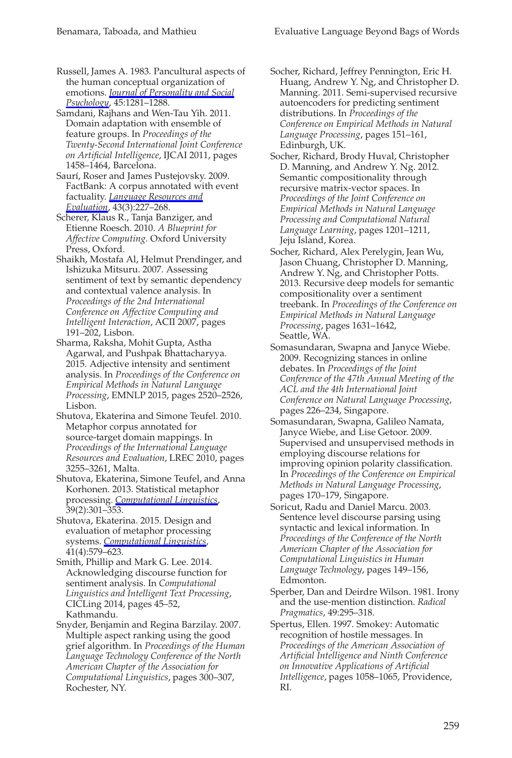Russell, James A. 1983. Pancultural aspects of the human conceptual organization of emotions. *[Journal of Personality and Social](http://www.mitpressjournals.org/action/showLinks?crossref=10.1037%2F0022-3514.45.6.1281) [Psychology](http://www.mitpressjournals.org/action/showLinks?crossref=10.1037%2F0022-3514.45.6.1281)*, 45:1281–1288.

Samdani, Rajhans and Wen-Tau Yih. 2011. Domain adaptation with ensemble of feature groups. In *Proceedings of the Twenty-Second International Joint Conference on Artificial Intelligence*, IJCAI 2011, pages 1458–1464, Barcelona.

Saurí, Roser and James Pustejovsky. 2009. FactBank: A corpus annotated with event factuality. *[Language Resources and](http://www.mitpressjournals.org/action/showLinks?crossref=10.1007%2Fs10579-009-9089-9) [Evaluation](http://www.mitpressjournals.org/action/showLinks?crossref=10.1007%2Fs10579-009-9089-9)*, 43(3):227–268.

Scherer, Klaus R., Tanja Banziger, and Etienne Roesch. 2010. *A Blueprint for Affective Computing*. Oxford University Press, Oxford.

Shaikh, Mostafa Al, Helmut Prendinger, and Ishizuka Mitsuru. 2007. Assessing sentiment of text by semantic dependency and contextual valence analysis. In *Proceedings of the 2nd International Conference on Affective Computing and Intelligent Interaction*, ACII 2007, pages 191–202, Lisbon.

Sharma, Raksha, Mohit Gupta, Astha Agarwal, and Pushpak Bhattacharyya. 2015. Adjective intensity and sentiment analysis. In *Proceedings of the Conference on Empirical Methods in Natural Language Processing*, EMNLP 2015, pages 2520–2526, Lisbon.

Shutova, Ekaterina and Simone Teufel. 2010. Metaphor corpus annotated for source-target domain mappings. In *Proceedings of the International Language Resources and Evaluation*, LREC 2010, pages 3255–3261, Malta.

Shutova, Ekaterina, Simone Teufel, and Anna Korhonen. 2013. Statistical metaphor processing. *[Computational Linguistics](http://www.mitpressjournals.org/action/showLinks?system=10.1162%2FCOLI_a_00124)*, 39(2):301–353.

Shutova, Ekaterina. 2015. Design and evaluation of metaphor processing systems. *[Computational Linguistics](http://www.mitpressjournals.org/action/showLinks?system=10.1162%2FCOLI_a_00233)*, 41(4):579–623.

Smith, Phillip and Mark G. Lee. 2014. Acknowledging discourse function for sentiment analysis. In *Computational Linguistics and Intelligent Text Processing*, CICLing 2014, pages 45–52, Kathmandu.

Snyder, Benjamin and Regina Barzilay. 2007. Multiple aspect ranking using the good grief algorithm. In *Proceedings of the Human Language Technology Conference of the North American Chapter of the Association for Computational Linguistics*, pages 300–307, Rochester, NY.

Socher, Richard, Jeffrey Pennington, Eric H. Huang, Andrew Y. Ng, and Christopher D. Manning. 2011. Semi-supervised recursive autoencoders for predicting sentiment distributions. In *Proceedings of the Conference on Empirical Methods in Natural Language Processing*, pages 151–161, Edinburgh, UK.

Socher, Richard, Brody Huval, Christopher D. Manning, and Andrew Y. Ng. 2012. Semantic compositionality through recursive matrix-vector spaces. In *Proceedings of the Joint Conference on Empirical Methods in Natural Language Processing and Computational Natural Language Learning*, pages 1201–1211, Jeju Island, Korea.

Socher, Richard, Alex Perelygin, Jean Wu, Jason Chuang, Christopher D. Manning, Andrew Y. Ng, and Christopher Potts. 2013. Recursive deep models for semantic compositionality over a sentiment treebank. In *Proceedings of the Conference on Empirical Methods in Natural Language Processing*, pages 1631–1642, Seattle, WA.

Somasundaran, Swapna and Janyce Wiebe. 2009. Recognizing stances in online debates. In *Proceedings of the Joint Conference of the 47th Annual Meeting of the ACL and the 4th International Joint Conference on Natural Language Processing*, pages 226–234, Singapore.

Somasundaran, Swapna, Galileo Namata, Janyce Wiebe, and Lise Getoor. 2009. Supervised and unsupervised methods in employing discourse relations for improving opinion polarity classification. In *Proceedings of the Conference on Empirical Methods in Natural Language Processing*, pages 170–179, Singapore.

Soricut, Radu and Daniel Marcu. 2003. Sentence level discourse parsing using syntactic and lexical information. In *Proceedings of the Conference of the North American Chapter of the Association for Computational Linguistics in Human Language Technology*, pages 149–156, Edmonton.

Sperber, Dan and Deirdre Wilson. 1981. Irony and the use-mention distinction. *Radical Pragmatics*, 49:295–318.

Spertus, Ellen. 1997. Smokey: Automatic recognition of hostile messages. In *Proceedings of the American Association of Artificial Intelligence and Ninth Conference on Innovative Applications of Artificial Intelligence*, pages 1058–1065, Providence, RI.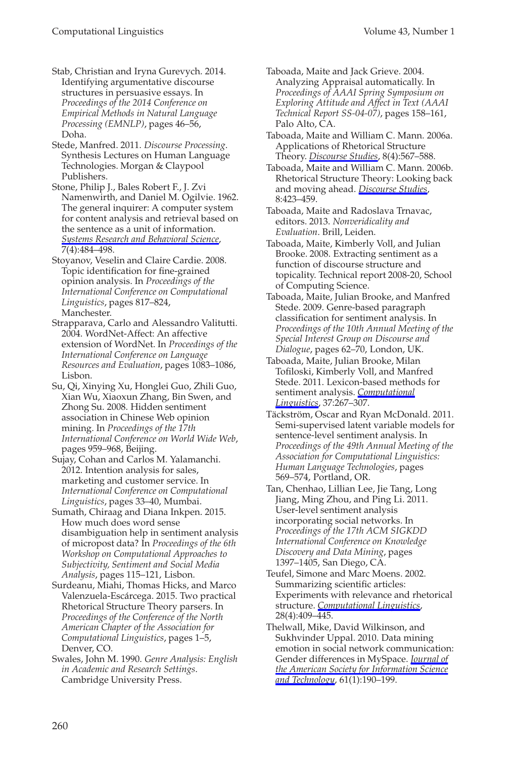- Stab, Christian and Iryna Gurevych. 2014. Identifying argumentative discourse structures in persuasive essays. In *Proceedings of the 2014 Conference on Empirical Methods in Natural Language Processing (EMNLP)*, pages 46–56, Doha.
- Stede, Manfred. 2011. *Discourse Processing*. Synthesis Lectures on Human Language Technologies. Morgan & Claypool Publishers.
- Stone, Philip J., Bales Robert F., J. Zvi Namenwirth, and Daniel M. Ogilvie. 1962. The general inquirer: A computer system for content analysis and retrieval based on the sentence as a unit of information. *[Systems Research and Behavioral Science](http://www.mitpressjournals.org/action/showLinks?crossref=10.1002%2Fbs.3830070412)*, 7(4):484–498.
- Stoyanov, Veselin and Claire Cardie. 2008. Topic identification for fine-grained opinion analysis. In *Proceedings of the International Conference on Computational Linguistics*, pages 817–824, Manchester.
- Strapparava, Carlo and Alessandro Valitutti. 2004. WordNet-Affect: An affective extension of WordNet. In *Proceedings of the International Conference on Language Resources and Evaluation*, pages 1083–1086, Lisbon.
- Su, Qi, Xinying Xu, Honglei Guo, Zhili Guo, Xian Wu, Xiaoxun Zhang, Bin Swen, and Zhong Su. 2008. Hidden sentiment association in Chinese Web opinion mining. In *Proceedings of the 17th International Conference on World Wide Web*, pages 959–968, Beijing.
- Sujay, Cohan and Carlos M. Yalamanchi. 2012. Intention analysis for sales, marketing and customer service. In *International Conference on Computational Linguistics*, pages 33–40, Mumbai.
- Sumath, Chiraag and Diana Inkpen. 2015. How much does word sense disambiguation help in sentiment analysis of micropost data? In *Proceedings of the 6th Workshop on Computational Approaches to Subjectivity, Sentiment and Social Media Analysis*, pages 115–121, Lisbon.
- Surdeanu, Miahi, Thomas Hicks, and Marco Valenzuela-Escárcega. 2015. Two practical Rhetorical Structure Theory parsers. In *Proceedings of the Conference of the North American Chapter of the Association for Computational Linguistics*, pages 1–5, Denver, CO.
- Swales, John M. 1990. *Genre Analysis: English in Academic and Research Settings*. Cambridge University Press.
- Taboada, Maite and Jack Grieve. 2004. Analyzing Appraisal automatically. In *Proceedings of AAAI Spring Symposium on Exploring Attitude and Affect in Text (AAAI Technical Report SS-04-07)*, pages 158–161, Palo Alto, CA.
- Taboada, Maite and William C. Mann. 2006a. Applications of Rhetorical Structure Theory. *[Discourse Studies](http://www.mitpressjournals.org/action/showLinks?crossref=10.1177%2F1461445606064836)*, 8(4):567–588.
- Taboada, Maite and William C. Mann. 2006b. Rhetorical Structure Theory: Looking back and moving ahead. *[Discourse Studies](http://www.mitpressjournals.org/action/showLinks?crossref=10.1177%2F1461445606061881)*, 8:423–459.
- Taboada, Maite and Radoslava Trnavac, editors. 2013. *Nonveridicality and Evaluation*. Brill, Leiden.
- Taboada, Maite, Kimberly Voll, and Julian Brooke. 2008. Extracting sentiment as a function of discourse structure and topicality. Technical report 2008-20, School of Computing Science.
- Taboada, Maite, Julian Brooke, and Manfred Stede. 2009. Genre-based paragraph classification for sentiment analysis. In *Proceedings of the 10th Annual Meeting of the Special Interest Group on Discourse and Dialogue*, pages 62–70, London, UK.
- Taboada, Maite, Julian Brooke, Milan Tofiloski, Kimberly Voll, and Manfred Stede. 2011. Lexicon-based methods for sentiment analysis. *[Computational](http://www.mitpressjournals.org/action/showLinks?system=10.1162%2FCOLI_a_00049) [Linguistics](http://www.mitpressjournals.org/action/showLinks?system=10.1162%2FCOLI_a_00049)*, 37:267–307.
- Täckström, Oscar and Ryan McDonald. 2011. Semi-supervised latent variable models for sentence-level sentiment analysis. In *Proceedings of the 49th Annual Meeting of the Association for Computational Linguistics: Human Language Technologies*, pages 569–574, Portland, OR.
- Tan, Chenhao, Lillian Lee, Jie Tang, Long Jiang, Ming Zhou, and Ping Li. 2011. User-level sentiment analysis incorporating social networks. In *Proceedings of the 17th ACM SIGKDD International Conference on Knowledge Discovery and Data Mining*, pages 1397–1405, San Diego, CA.
- Teufel, Simone and Marc Moens. 2002. Summarizing scientific articles: Experiments with relevance and rhetorical structure. *[Computational Linguistics](http://www.mitpressjournals.org/action/showLinks?system=10.1162%2F089120102762671936)*, 28(4):409–445.
- Thelwall, Mike, David Wilkinson, and Sukhvinder Uppal. 2010. Data mining emotion in social network communication: Gender differences in MySpace. *[Journal of](http://www.mitpressjournals.org/action/showLinks?crossref=10.1002%2Fasi.21180) [the American Society for Information Science](http://www.mitpressjournals.org/action/showLinks?crossref=10.1002%2Fasi.21180) [and Technology](http://www.mitpressjournals.org/action/showLinks?crossref=10.1002%2Fasi.21180)*, 61(1):190–199.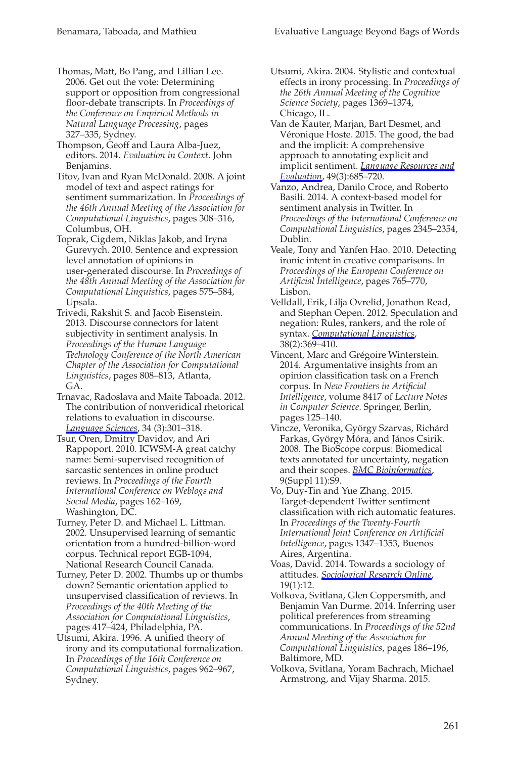Thomas, Matt, Bo Pang, and Lillian Lee. 2006. Get out the vote: Determining support or opposition from congressional floor-debate transcripts. In *Proceedings of the Conference on Empirical Methods in Natural Language Processing*, pages 327–335, Sydney.

Thompson, Geoff and Laura Alba-Juez, editors. 2014. *Evaluation in Context*. John Benjamins.

Titov, Ivan and Ryan McDonald. 2008. A joint model of text and aspect ratings for sentiment summarization. In *Proceedings of the 46th Annual Meeting of the Association for Computational Linguistics*, pages 308–316, Columbus, OH.

Toprak, Cigdem, Niklas Jakob, and Iryna Gurevych. 2010. Sentence and expression level annotation of opinions in user-generated discourse. In *Proceedings of the 48th Annual Meeting of the Association for Computational Linguistics*, pages 575–584, Upsala.

Trivedi, Rakshit S. and Jacob Eisenstein. 2013. Discourse connectors for latent subjectivity in sentiment analysis. In *Proceedings of the Human Language Technology Conference of the North American Chapter of the Association for Computational Linguistics*, pages 808–813, Atlanta, GA.

Trnavac, Radoslava and Maite Taboada. 2012. The contribution of nonveridical rhetorical relations to evaluation in discourse. *[Language Sciences](http://www.mitpressjournals.org/action/showLinks?crossref=10.1016%2Fj.langsci.2011.10.005)*, 34 (3):301–318.

Tsur, Oren, Dmitry Davidov, and Ari Rappoport. 2010. ICWSM-A great catchy name: Semi-supervised recognition of sarcastic sentences in online product reviews. In *Proceedings of the Fourth International Conference on Weblogs and Social Media*, pages 162–169, Washington, DC.

Turney, Peter D. and Michael L. Littman. 2002. Unsupervised learning of semantic orientation from a hundred-billion-word corpus. Technical report EGB-1094, National Research Council Canada.

Turney, Peter D. 2002. Thumbs up or thumbs down? Semantic orientation applied to unsupervised classification of reviews. In *Proceedings of the 40th Meeting of the Association for Computational Linguistics*, pages 417–424, Philadelphia, PA.

Utsumi, Akira. 1996. A unified theory of irony and its computational formalization. In *Proceedings of the 16th Conference on Computational Linguistics*, pages 962–967, Sydney.

Utsumi, Akira. 2004. Stylistic and contextual effects in irony processing. In *Proceedings of the 26th Annual Meeting of the Cognitive Science Society*, pages 1369–1374, Chicago, IL.

Van de Kauter, Marjan, Bart Desmet, and Véronique Hoste. 2015. The good, the bad and the implicit: A comprehensive approach to annotating explicit and implicit sentiment. *[Language Resources and](http://www.mitpressjournals.org/action/showLinks?crossref=10.1007%2Fs10579-015-9297-4) [Evaluation](http://www.mitpressjournals.org/action/showLinks?crossref=10.1007%2Fs10579-015-9297-4)*, 49(3):685–720.

Vanzo, Andrea, Danilo Croce, and Roberto Basili. 2014. A context-based model for sentiment analysis in Twitter. In *Proceedings of the International Conference on Computational Linguistics*, pages 2345–2354, Dublin.

Veale, Tony and Yanfen Hao. 2010. Detecting ironic intent in creative comparisons. In *Proceedings of the European Conference on Artificial Intelligence*, pages 765–770, Lisbon.

Velldall, Erik, Lilja Ovrelid, Jonathon Read, and Stephan Oepen. 2012. Speculation and negation: Rules, rankers, and the role of syntax. *[Computational Linguistics](http://www.mitpressjournals.org/action/showLinks?system=10.1162%2FCOLI_a_00126)*, 38(2):369–410.

Vincent, Marc and Grégoire Winterstein. 2014. Argumentative insights from an opinion classification task on a French corpus. In *New Frontiers in Artificial Intelligence*, volume 8417 of *Lecture Notes in Computer Science*. Springer, Berlin, pages 125–140.

Vincze, Veronika, György Szarvas, Richárd Farkas, György Móra, and János Csirik. 2008. The BioScope corpus: Biomedical texts annotated for uncertainty, negation and their scopes. *[BMC Bioinformatics](http://www.mitpressjournals.org/action/showLinks?crossref=10.1186%2F1471-2105-9-S11-S9)*, 9(Suppl 11):S9.

Vo, Duy-Tin and Yue Zhang. 2015. Target-dependent Twitter sentiment classification with rich automatic features. In *Proceedings of the Twenty-Fourth International Joint Conference on Artificial Intelligence*, pages 1347–1353, Buenos Aires, Argentina.

Voas, David. 2014. Towards a sociology of attitudes. *[Sociological Research Online](http://www.mitpressjournals.org/action/showLinks?crossref=10.5153%2Fsro.3289)*, 19(1):12.

Volkova, Svitlana, Glen Coppersmith, and Benjamin Van Durme. 2014. Inferring user political preferences from streaming communications. In *Proceedings of the 52nd Annual Meeting of the Association for Computational Linguistics*, pages 186–196, Baltimore, MD.

Volkova, Svitlana, Yoram Bachrach, Michael Armstrong, and Vijay Sharma. 2015.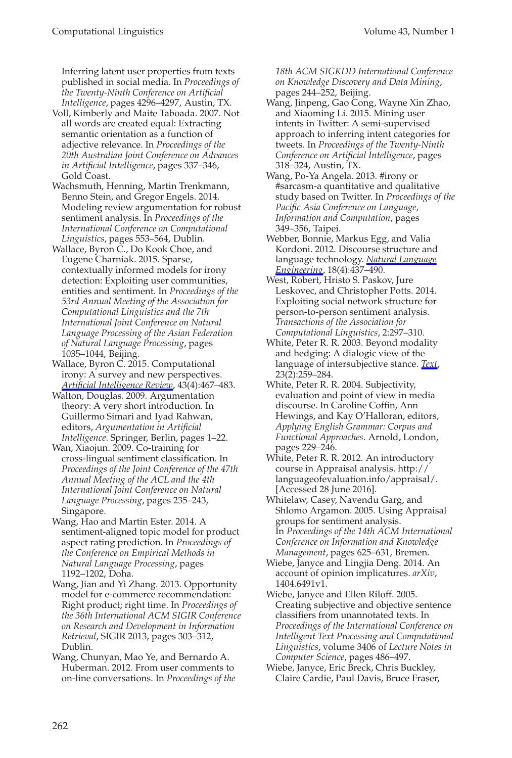Inferring latent user properties from texts published in social media. In *Proceedings of the Twenty-Ninth Conference on Artificial Intelligence*, pages 4296–4297, Austin, TX.

- Voll, Kimberly and Maite Taboada. 2007. Not all words are created equal: Extracting semantic orientation as a function of adjective relevance. In *Proceedings of the 20th Australian Joint Conference on Advances in Artificial Intelligence*, pages 337–346, Gold Coast.
- Wachsmuth, Henning, Martin Trenkmann, Benno Stein, and Gregor Engels. 2014. Modeling review argumentation for robust sentiment analysis. In *Proceedings of the International Conference on Computational Linguistics*, pages 553–564, Dublin.
- Wallace, Byron C., Do Kook Choe, and Eugene Charniak. 2015. Sparse, contextually informed models for irony detection: Exploiting user communities, entities and sentiment. In *Proceedings of the 53rd Annual Meeting of the Association for Computational Linguistics and the 7th International Joint Conference on Natural Language Processing of the Asian Federation of Natural Language Processing*, pages 1035–1044, Beijing.
- Wallace, Byron C. 2015. Computational irony: A survey and new perspectives. *[Artificial Intelligence Review](http://www.mitpressjournals.org/action/showLinks?crossref=10.1007%2Fs10462-012-9392-5)*, 43(4):467–483.
- Walton, Douglas. 2009. Argumentation theory: A very short introduction. In Guillermo Simari and Iyad Rahwan, editors, *Argumentation in Artificial Intelligence*. Springer, Berlin, pages 1–22.
- Wan, Xiaojun. 2009. Co-training for cross-lingual sentiment classification. In *Proceedings of the Joint Conference of the 47th Annual Meeting of the ACL and the 4th International Joint Conference on Natural Language Processing*, pages 235–243, Singapore.
- Wang, Hao and Martin Ester. 2014. A sentiment-aligned topic model for product aspect rating prediction. In *Proceedings of the Conference on Empirical Methods in Natural Language Processing*, pages 1192–1202, Doha.
- Wang, Jian and Yi Zhang. 2013. Opportunity model for e-commerce recommendation: Right product; right time. In *Proceedings of the 36th International ACM SIGIR Conference on Research and Development in Information Retrieval*, SIGIR 2013, pages 303–312, Dublin.
- Wang, Chunyan, Mao Ye, and Bernardo A. Huberman. 2012. From user comments to on-line conversations. In *Proceedings of the*

*18th ACM SIGKDD International Conference on Knowledge Discovery and Data Mining*, pages 244–252, Beijing.

Wang, Jinpeng, Gao Cong, Wayne Xin Zhao, and Xiaoming Li. 2015. Mining user intents in Twitter: A semi-supervised approach to inferring intent categories for tweets. In *Proceedings of the Twenty-Ninth Conference on Artificial Intelligence*, pages 318–324, Austin, TX.

Wang, Po-Ya Angela. 2013. #irony or #sarcasm-a quantitative and qualitative study based on Twitter. In *Proceedings of the Pacific Asia Conference on Language, Information and Computation*, pages 349–356, Taipei.

Webber, Bonnie, Markus Egg, and Valia Kordoni. 2012. Discourse structure and language technology. *[Natural Language](http://www.mitpressjournals.org/action/showLinks?crossref=10.1017%2FS1351324911000337) [Engineering](http://www.mitpressjournals.org/action/showLinks?crossref=10.1017%2FS1351324911000337)*, 18(4):437–490.

- West, Robert, Hristo S. Paskov, Jure Leskovec, and Christopher Potts. 2014. Exploiting social network structure for person-to-person sentiment analysis. *Transactions of the Association for Computational Linguistics*, 2:297–310.
- White, Peter R. R. 2003. Beyond modality and hedging: A dialogic view of the language of intersubjective stance. *[Text](http://www.mitpressjournals.org/action/showLinks?crossref=10.1515%2Ftext.2003.011)*, 23(2):259–284.
- White, Peter R. R. 2004. Subjectivity, evaluation and point of view in media discourse. In Caroline Coffin, Ann Hewings, and Kay O'Halloran, editors, *Applying English Grammar: Corpus and Functional Approaches*. Arnold, London, pages 229–246.
- White, Peter R. R. 2012. An introductory course in Appraisal analysis. http:// languageofevaluation.info/appraisal/. [Accessed 28 June 2016].
- Whitelaw, Casey, Navendu Garg, and Shlomo Argamon. 2005. Using Appraisal groups for sentiment analysis. In *Proceedings of the 14th ACM International Conference on Information and Knowledge Management*, pages 625–631, Bremen.
- Wiebe, Janyce and Lingjia Deng. 2014. An account of opinion implicatures. *arXiv*, 1404.6491v1.
- Wiebe, Janyce and Ellen Riloff. 2005. Creating subjective and objective sentence classifiers from unannotated texts. In *Proceedings of the International Conference on Intelligent Text Processing and Computational Linguistics*, volume 3406 of *Lecture Notes in Computer Science*, pages 486–497.
- Wiebe, Janyce, Eric Breck, Chris Buckley, Claire Cardie, Paul Davis, Bruce Fraser,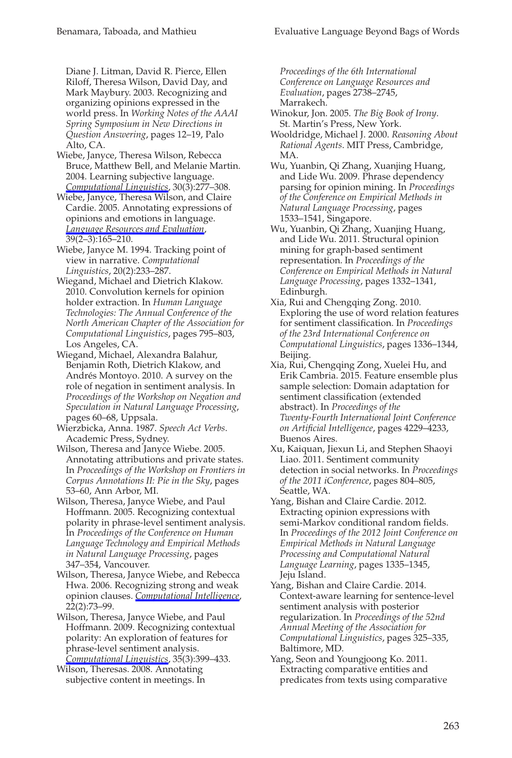Diane J. Litman, David R. Pierce, Ellen Riloff, Theresa Wilson, David Day, and Mark Maybury. 2003. Recognizing and organizing opinions expressed in the world press. In *Working Notes of the AAAI Spring Symposium in New Directions in Question Answering*, pages 12–19, Palo Alto, CA.

- Wiebe, Janyce, Theresa Wilson, Rebecca Bruce, Matthew Bell, and Melanie Martin. 2004. Learning subjective language. *[Computational Linguistics](http://www.mitpressjournals.org/action/showLinks?system=10.1162%2F0891201041850885)*, 30(3):277–308.
- Wiebe, Janyce, Theresa Wilson, and Claire Cardie. 2005. Annotating expressions of opinions and emotions in language. *[Language Resources and Evaluation](http://www.mitpressjournals.org/action/showLinks?crossref=10.1007%2Fs10579-005-7880-9)*, 39(2–3):165–210.
- Wiebe, Janyce M. 1994. Tracking point of view in narrative. *Computational Linguistics*, 20(2):233–287.
- Wiegand, Michael and Dietrich Klakow. 2010. Convolution kernels for opinion holder extraction. In *Human Language Technologies: The Annual Conference of the North American Chapter of the Association for Computational Linguistics*, pages 795–803, Los Angeles, CA.
- Wiegand, Michael, Alexandra Balahur, Benjamin Roth, Dietrich Klakow, and Andrés Montoyo. 2010. A survey on the role of negation in sentiment analysis. In *Proceedings of the Workshop on Negation and Speculation in Natural Language Processing*, pages 60–68, Uppsala.
- Wierzbicka, Anna. 1987. *Speech Act Verbs*. Academic Press, Sydney.
- Wilson, Theresa and Janyce Wiebe. 2005. Annotating attributions and private states. In *Proceedings of the Workshop on Frontiers in Corpus Annotations II: Pie in the Sky*, pages 53–60, Ann Arbor, MI.
- Wilson, Theresa, Janyce Wiebe, and Paul Hoffmann. 2005. Recognizing contextual polarity in phrase-level sentiment analysis. In *Proceedings of the Conference on Human Language Technology and Empirical Methods in Natural Language Processing*, pages 347–354, Vancouver.
- Wilson, Theresa, Janyce Wiebe, and Rebecca Hwa. 2006. Recognizing strong and weak opinion clauses. *[Computational Intelligence](http://www.mitpressjournals.org/action/showLinks?crossref=10.1111%2Fj.1467-8640.2006.00275.x)*, 22(2):73–99.
- Wilson, Theresa, Janyce Wiebe, and Paul Hoffmann. 2009. Recognizing contextual polarity: An exploration of features for phrase-level sentiment analysis. *[Computational Linguistics](http://www.mitpressjournals.org/action/showLinks?system=10.1162%2Fcoli.08-012-R1-06-90)*, 35(3):399–433.
- Wilson, Theresas. 2008. Annotating subjective content in meetings. In

*Proceedings of the 6th International Conference on Language Resources and Evaluation*, pages 2738–2745, Marrakech.

- Winokur, Jon. 2005. *The Big Book of Irony*. St. Martin's Press, New York.
- Wooldridge, Michael J. 2000. *Reasoning About Rational Agents*. MIT Press, Cambridge, MA.
- Wu, Yuanbin, Qi Zhang, Xuanjing Huang, and Lide Wu. 2009. Phrase dependency parsing for opinion mining. In *Proceedings of the Conference on Empirical Methods in Natural Language Processing*, pages 1533–1541, Singapore.
- Wu, Yuanbin, Qi Zhang, Xuanjing Huang, and Lide Wu. 2011. Structural opinion mining for graph-based sentiment representation. In *Proceedings of the Conference on Empirical Methods in Natural Language Processing*, pages 1332–1341, Edinburgh.
- Xia, Rui and Chengqing Zong. 2010. Exploring the use of word relation features for sentiment classification. In *Proceedings of the 23rd International Conference on Computational Linguistics*, pages 1336–1344, Beijing.
- Xia, Rui, Chengqing Zong, Xuelei Hu, and Erik Cambria. 2015. Feature ensemble plus sample selection: Domain adaptation for sentiment classification (extended abstract). In *Proceedings of the Twenty-Fourth International Joint Conference on Artificial Intelligence*, pages 4229–4233, Buenos Aires.
- Xu, Kaiquan, Jiexun Li, and Stephen Shaoyi Liao. 2011. Sentiment community detection in social networks. In *Proceedings of the 2011 iConference*, pages 804–805, Seattle, WA.
- Yang, Bishan and Claire Cardie. 2012. Extracting opinion expressions with semi-Markov conditional random fields. In *Proceedings of the 2012 Joint Conference on Empirical Methods in Natural Language Processing and Computational Natural Language Learning*, pages 1335–1345, Jeju Island.
- Yang, Bishan and Claire Cardie. 2014. Context-aware learning for sentence-level sentiment analysis with posterior regularization. In *Proceedings of the 52nd Annual Meeting of the Association for Computational Linguistics*, pages 325–335, Baltimore, MD.
- Yang, Seon and Youngjoong Ko. 2011. Extracting comparative entities and predicates from texts using comparative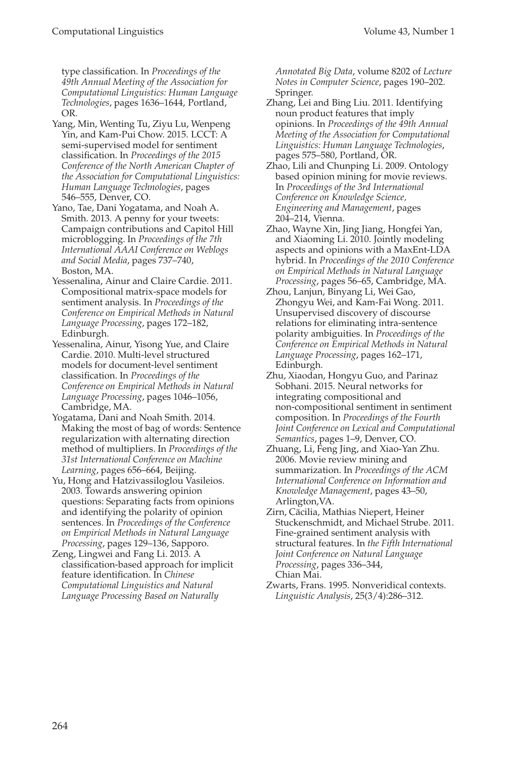type classification. In *Proceedings of the 49th Annual Meeting of the Association for Computational Linguistics: Human Language Technologies*, pages 1636–1644, Portland, OR.

- Yang, Min, Wenting Tu, Ziyu Lu, Wenpeng Yin, and Kam-Pui Chow. 2015. LCCT: A semi-supervised model for sentiment classification. In *Proceedings of the 2015 Conference of the North American Chapter of the Association for Computational Linguistics: Human Language Technologies*, pages 546–555, Denver, CO.
- Yano, Tae, Dani Yogatama, and Noah A. Smith. 2013. A penny for your tweets: Campaign contributions and Capitol Hill microblogging. In *Proceedings of the 7th International AAAI Conference on Weblogs and Social Media*, pages 737–740, Boston, MA.
- Yessenalina, Ainur and Claire Cardie. 2011. Compositional matrix-space models for sentiment analysis. In *Proceedings of the Conference on Empirical Methods in Natural Language Processing*, pages 172–182, Edinburgh.
- Yessenalina, Ainur, Yisong Yue, and Claire Cardie. 2010. Multi-level structured models for document-level sentiment classification. In *Proceedings of the Conference on Empirical Methods in Natural Language Processing*, pages 1046–1056, Cambridge, MA.
- Yogatama, Dani and Noah Smith. 2014. Making the most of bag of words: Sentence regularization with alternating direction method of multipliers. In *Proceedings of the 31st International Conference on Machine Learning*, pages 656–664, Beijing.
- Yu, Hong and Hatzivassiloglou Vasileios. 2003. Towards answering opinion questions: Separating facts from opinions and identifying the polarity of opinion sentences. In *Proceedings of the Conference on Empirical Methods in Natural Language Processing*, pages 129–136, Sapporo.
- Zeng, Lingwei and Fang Li. 2013. A classification-based approach for implicit feature identification. In *Chinese Computational Linguistics and Natural Language Processing Based on Naturally*

*Annotated Big Data*, volume 8202 of *Lecture Notes in Computer Science*, pages 190–202. Springer.

- Zhang, Lei and Bing Liu. 2011. Identifying noun product features that imply opinions. In *Proceedings of the 49th Annual Meeting of the Association for Computational Linguistics: Human Language Technologies*, pages 575–580, Portland, OR.
- Zhao, Lili and Chunping Li. 2009. Ontology based opinion mining for movie reviews. In *Proceedings of the 3rd International Conference on Knowledge Science, Engineering and Management*, pages 204–214, Vienna.
- Zhao, Wayne Xin, Jing Jiang, Hongfei Yan, and Xiaoming Li. 2010. Jointly modeling aspects and opinions with a MaxEnt-LDA hybrid. In *Proceedings of the 2010 Conference on Empirical Methods in Natural Language Processing*, pages 56–65, Cambridge, MA.
- Zhou, Lanjun, Binyang Li, Wei Gao, Zhongyu Wei, and Kam-Fai Wong. 2011. Unsupervised discovery of discourse relations for eliminating intra-sentence polarity ambiguities. In *Proceedings of the Conference on Empirical Methods in Natural Language Processing*, pages 162–171, Edinburgh.
- Zhu, Xiaodan, Hongyu Guo, and Parinaz Sobhani. 2015. Neural networks for integrating compositional and non-compositional sentiment in sentiment composition. In *Proceedings of the Fourth Joint Conference on Lexical and Computational Semantics*, pages 1–9, Denver, CO.
- Zhuang, Li, Feng Jing, and Xiao-Yan Zhu. 2006. Movie review mining and summarization. In *Proceedings of the ACM International Conference on Information and Knowledge Management*, pages 43–50, Arlington,VA.
- Zirn, Cäcilia, Mathias Niepert, Heiner Stuckenschmidt, and Michael Strube. 2011. Fine-grained sentiment analysis with structural features. In *the Fifth International Joint Conference on Natural Language Processing*, pages 336–344, Chian Mai.
- Zwarts, Frans. 1995. Nonveridical contexts. *Linguistic Analysis*, 25(3/4):286–312.